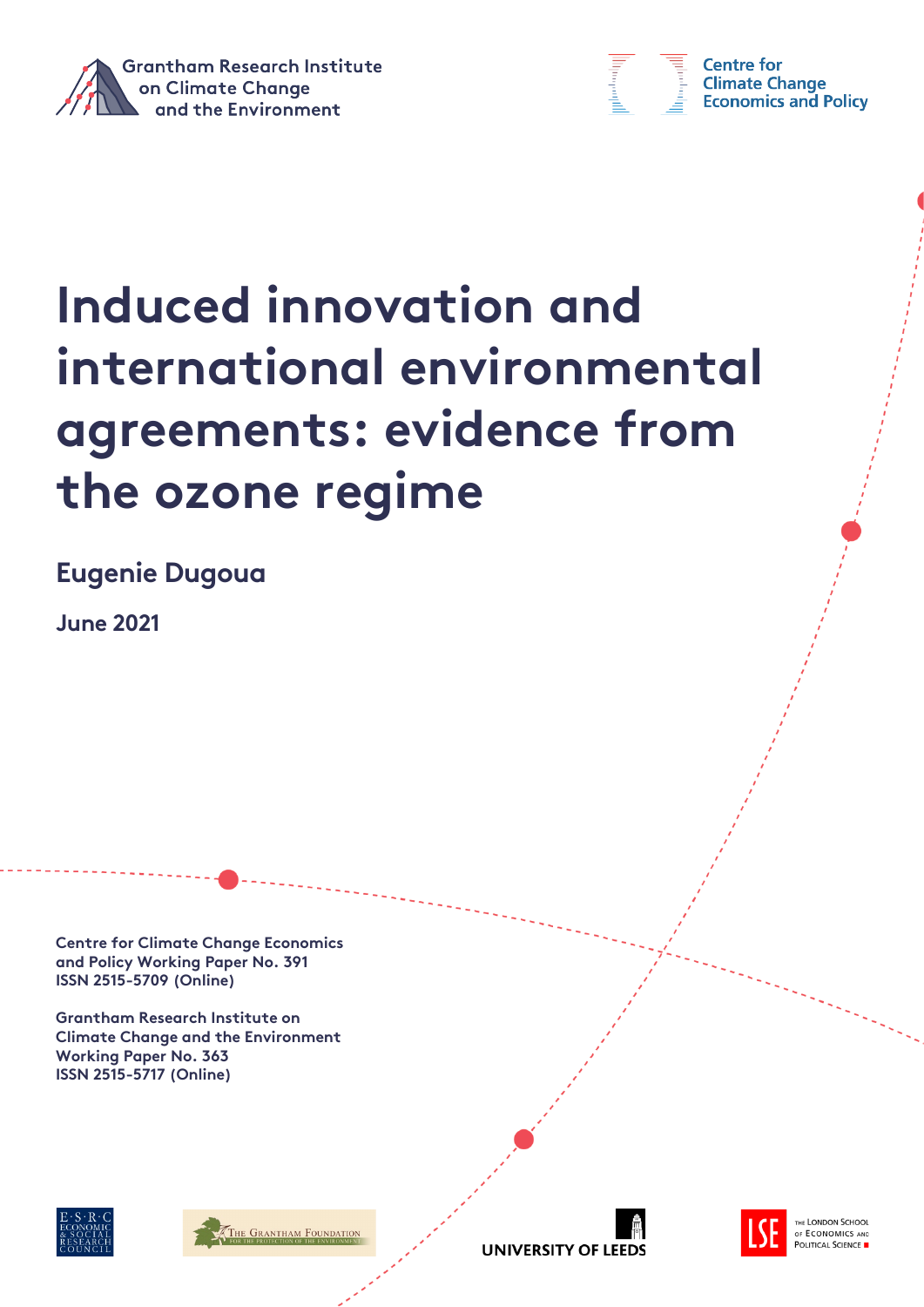



**Centre for Climate Change Economics and Policy** 

# **Induced innovation and international environmental agreements: evidence from the ozone regime**

**Eugenie Dugoua**

**June 2021**

**Centre for Climate Change Economics and Policy Working Paper No. 391 ISSN 2515-5709 (Online)**

**Grantham Research Institute on Climate Change and the Environment Working Paper No. 363 ISSN 2515-5717 (Online)**







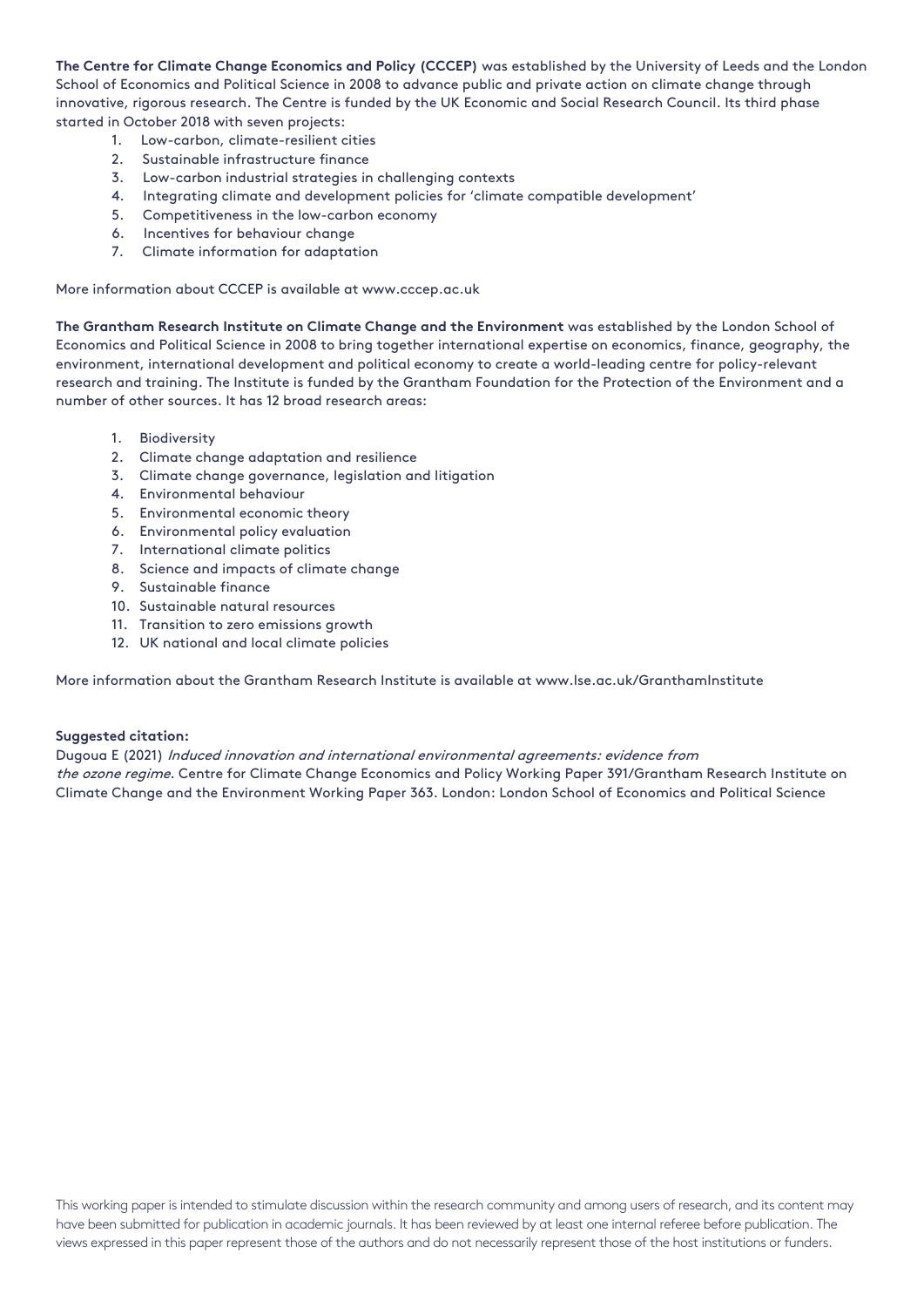**The Centre for Climate Change Economics and Policy (CCCEP)** was established by the University of Leeds and the London School of Economics and Political Science in 2008 to advance public and private action on climate change through innovative, rigorous research. The Centre is funded by the UK Economic and Social Research Council. Its third phase started in October 2018 with seven projects:

- 1. Low-carbon, climate-resilient cities
- 2. Sustainable infrastructure finance
- 3. Low-carbon industrial strategies in challenging contexts
- 4. Integrating climate and development policies for 'climate compatible development'
- 5. Competitiveness in the low-carbon economy
- 6. Incentives for behaviour change
- 7. Climate information for adaptation

More information about CCCEP is available at www.cccep.ac.uk

**The Grantham Research Institute on Climate Change and the Environment** was established by the London School of Economics and Political Science in 2008 to bring together international expertise on economics, finance, geography, the environment, international development and political economy to create a world-leading centre for policy-relevant research and training. The Institute is funded by the Grantham Foundation for the Protection of the Environment and a number of other sources. It has 12 broad research areas:

- 1. Biodiversity
- 2. Climate change adaptation and resilience
- 3. Climate change governance, legislation and litigation
- 4. Environmental behaviour
- 5. Environmental economic theory
- 6. Environmental policy evaluation
- 7. International climate politics
- 8. Science and impacts of climate change
- 9. Sustainable finance
- 10. Sustainable natural resources
- 11. Transition to zero emissions growth
- 12. UK national and local climate policies

More information about the Grantham Research Institute is available at www.lse.ac.uk/GranthamInstitute

#### **Suggested citation:**

Dugoua E (2021) Induced innovation and international environmental agreements: evidence from the ozone regime. Centre for Climate Change Economics and Policy Working Paper 391/Grantham Research Institute on Climate Change and the Environment Working Paper 363. London: London School of Economics and Political Science

This working paper is intended to stimulate discussion within the research community and among users of research, and its content may have been submitted for publication in academic journals. It has been reviewed by at least one internal referee before publication. The views expressed in this paper represent those of the authors and do not necessarily represent those of the host institutions or funders.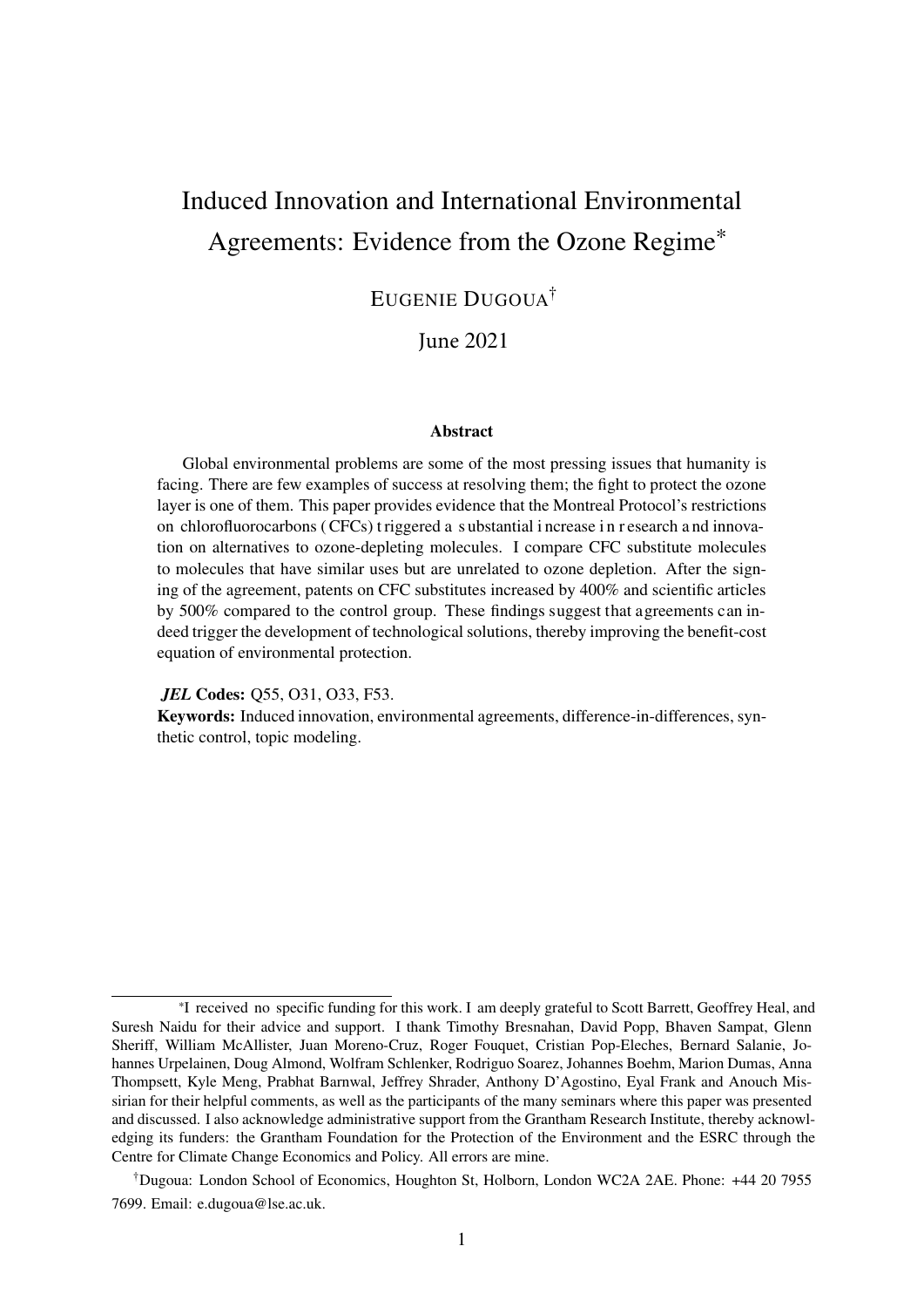# <span id="page-2-0"></span>Induced Innovation and International Environmental Agreements: Evidence from the Ozone Regime\*

## EUGENIE DUGOUA†

June 2021

#### Abstract

Global environmental problems are some of the most pressing issues that humanity is facing. There are few examples of success at resolving them; the fight to protect the ozone layer is one of them. This paper provides evidence that the Montreal Protocol's restrictions on chlorofluorocarbons ( CFCs) t riggered a s ubstantial i ncrease i n r esearch a nd innovation on alternatives to ozone-depleting molecules. I compare CFC substitute molecules to molecules that have similar uses but are unrelated to ozone depletion. After the signing of the agreement, patents on CFC substitutes increased by 400% and scientific articles by 500% compared to the control group. These findings suggest that agreements can indeed trigger the development of technological solutions, thereby improving the benefit-cost equation of environmental protection.

*JEL* Codes: Q55, O31, O33, F53.

Keywords: Induced innovation, environmental agreements, difference-in-differences, synthetic control, topic modeling.

<sup>\*</sup>I received no specific funding for this work. I am deeply grateful to Scott Barrett, Geoffrey Heal, and Suresh Naidu for their advice and support. I thank Timothy Bresnahan, David Popp, Bhaven Sampat, Glenn Sheriff, William McAllister, Juan Moreno-Cruz, Roger Fouquet, Cristian Pop-Eleches, Bernard Salanie, Johannes Urpelainen, Doug Almond, Wolfram Schlenker, Rodriguo Soarez, Johannes Boehm, Marion Dumas, Anna Thompsett, Kyle Meng, Prabhat Barnwal, Jeffrey Shrader, Anthony D'Agostino, Eyal Frank and Anouch Missirian for their helpful comments, as well as the participants of the many seminars where this paper was presented and discussed. I also acknowledge administrative support from the Grantham Research Institute, thereby acknowledging its funders: the Grantham Foundation for the Protection of the Environment and the ESRC through the Centre for Climate Change Economics and Policy. All errors are mine.

<sup>†</sup>Dugoua: London School of Economics, Houghton St, Holborn, London WC2A 2AE. Phone: +44 20 7955 7699. Email: e.dugoua@lse.ac.uk.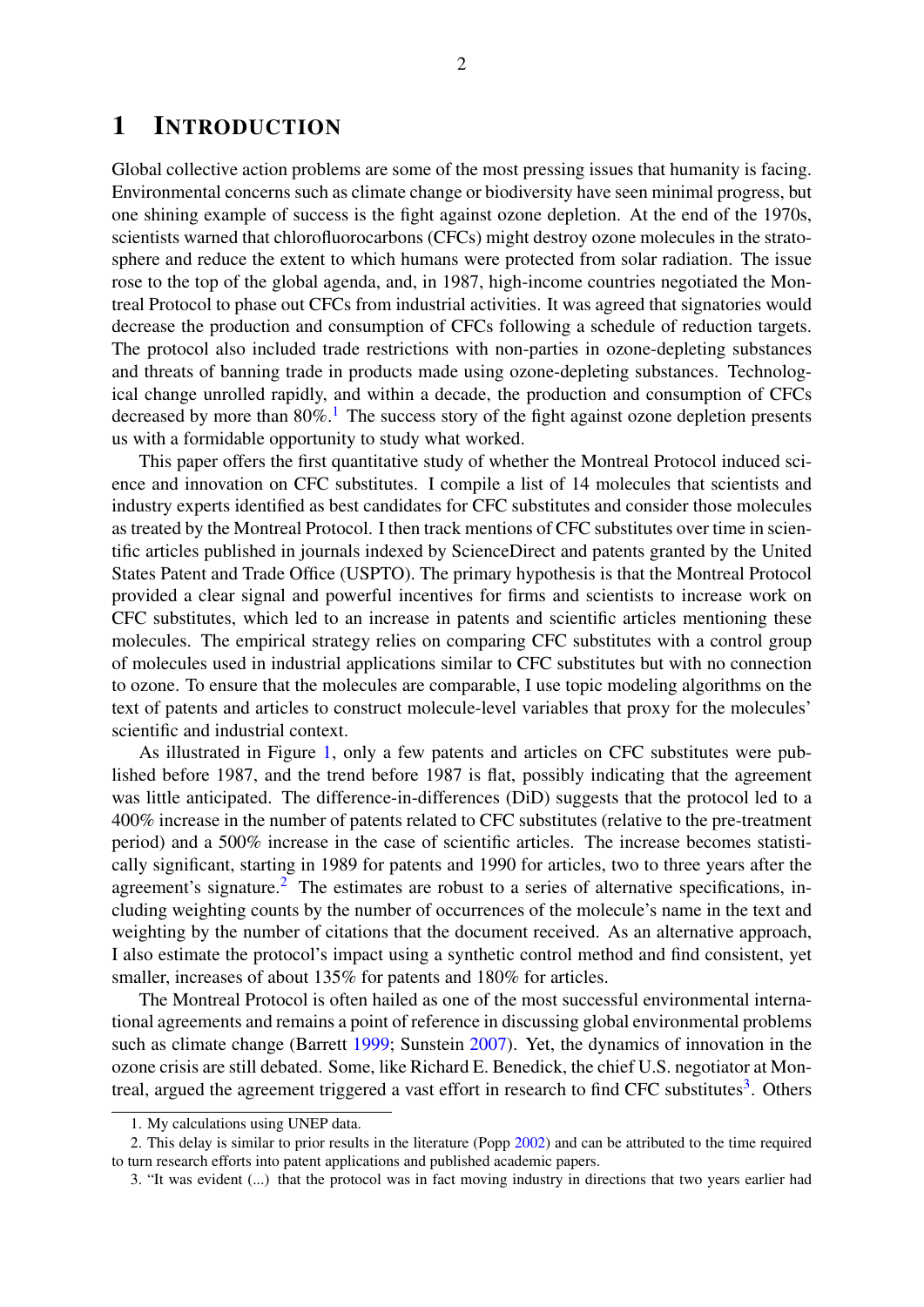## 1 INTRODUCTION

Global collective action problems are some of the most pressing issues that humanity is facing. Environmental concerns such as climate change or biodiversity have seen minimal progress, but one shining example of success is the fight against ozone depletion. At the end of the 1970s, scientists warned that chlorofluorocarbons (CFCs) might destroy ozone molecules in the stratosphere and reduce the extent to which humans were protected from solar radiation. The issue rose to the top of the global agenda, and, in 1987, high-income countries negotiated the Montreal Protocol to phase out CFCs from industrial activities. It was agreed that signatories would decrease the production and consumption of CFCs following a schedule of reduction targets. The protocol also included trade restrictions with non-parties in ozone-depleting substances and threats of banning trade in products made using ozone-depleting substances. Technological change unrolled rapidly, and within a decade, the production and consumption of CFCs decreased by more than  $80\%$ .<sup>[1](#page-2-0)</sup> The success story of the fight against ozone depletion presents us with a formidable opportunity to study what worked.

This paper offers the first quantitative study of whether the Montreal Protocol induced science and innovation on CFC substitutes. I compile a list of 14 molecules that scientists and industry experts identified as best candidates for CFC substitutes and consider those molecules as treated by the Montreal Protocol. I then track mentions of CFC substitutes over time in scientific articles published in journals indexed by ScienceDirect and patents granted by the United States Patent and Trade Office (USPTO). The primary hypothesis is that the Montreal Protocol provided a clear signal and powerful incentives for firms and scientists to increase work on CFC substitutes, which led to an increase in patents and scientific articles mentioning these molecules. The empirical strategy relies on comparing CFC substitutes with a control group of molecules used in industrial applications similar to CFC substitutes but with no connection to ozone. To ensure that the molecules are comparable, I use topic modeling algorithms on the text of patents and articles to construct molecule-level variables that proxy for the molecules' scientific and industrial context.

As illustrated in Figure [1,](#page-4-0) only a few patents and articles on CFC substitutes were published before 1987, and the trend before 1987 is flat, possibly indicating that the agreement was little anticipated. The difference-in-differences (DiD) suggests that the protocol led to a 400% increase in the number of patents related to CFC substitutes (relative to the pre-treatment period) and a 500% increase in the case of scientific articles. The increase becomes statistically significant, starting in 1989 for patents and 1990 for articles, two to three years after the agreement's signature.<sup>[2](#page-2-0)</sup> The estimates are robust to a series of alternative specifications, including weighting counts by the number of occurrences of the molecule's name in the text and weighting by the number of citations that the document received. As an alternative approach, I also estimate the protocol's impact using a synthetic control method and find consistent, yet smaller, increases of about 135% for patents and 180% for articles.

The Montreal Protocol is often hailed as one of the most successful environmental international agreements and remains a point of reference in discussing global environmental problems such as climate change (Barrett [1999;](#page-31-0) Sunstein [2007\)](#page-34-0). Yet, the dynamics of innovation in the ozone crisis are still debated. Some, like Richard E. Benedick, the chief U.S. negotiator at Mon-treal, argued the agreement triggered a vast effort in research to find CFC substitutes<sup>[3](#page-2-0)</sup>. Others

<sup>1.</sup> My calculations using UNEP data.

<sup>2.</sup> This delay is similar to prior results in the literature (Popp [2002\)](#page-33-0) and can be attributed to the time required to turn research efforts into patent applications and published academic papers.

<sup>3. &</sup>quot;It was evident (...) that the protocol was in fact moving industry in directions that two years earlier had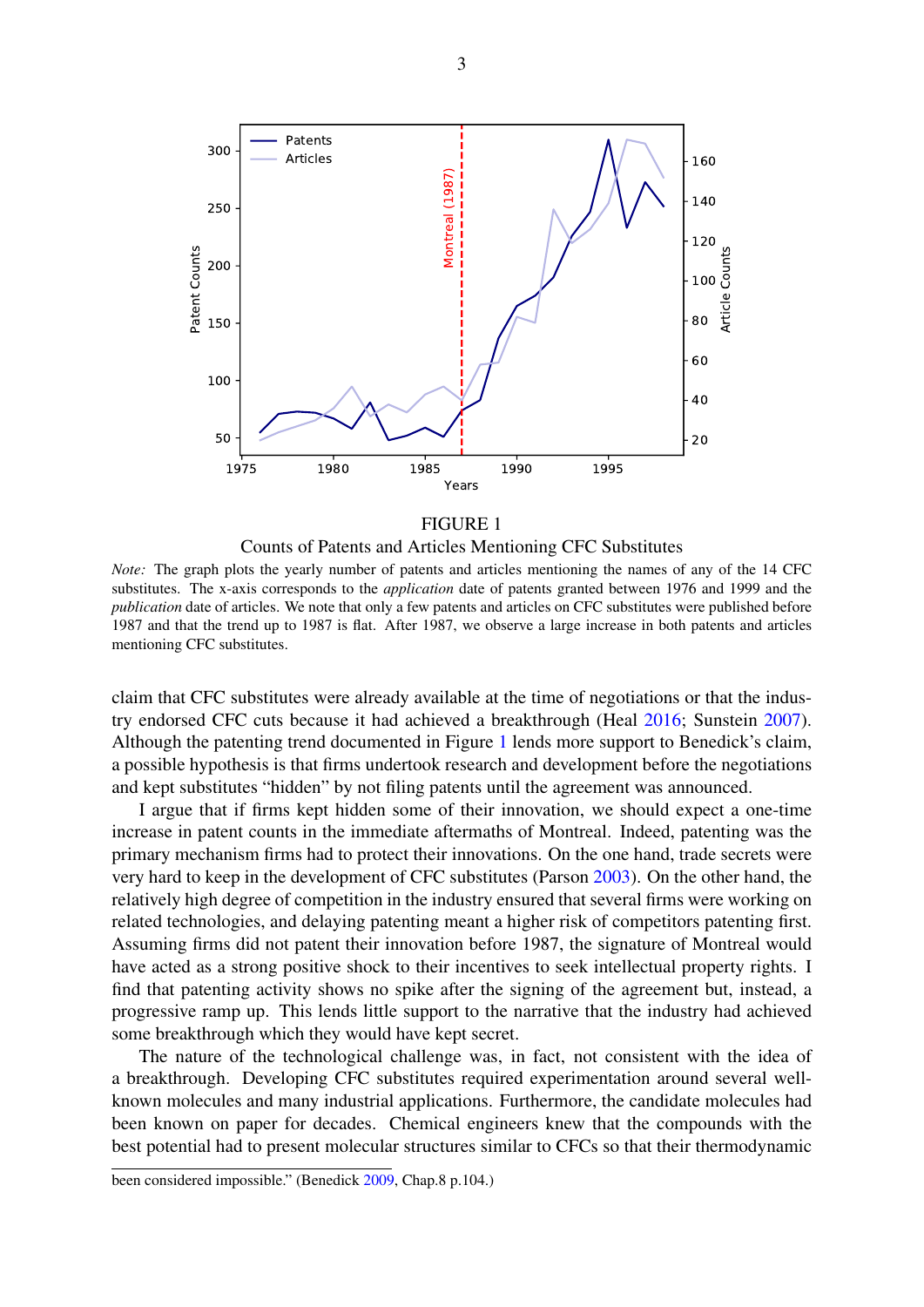<span id="page-4-0"></span>

Counts of Patents and Articles Mentioning CFC Substitutes

*Note:* The graph plots the yearly number of patents and articles mentioning the names of any of the 14 CFC substitutes. The x-axis corresponds to the *application* date of patents granted between 1976 and 1999 and the *publication* date of articles. We note that only a few patents and articles on CFC substitutes were published before 1987 and that the trend up to 1987 is flat. After 1987, we observe a large increase in both patents and articles mentioning CFC substitutes.

claim that CFC substitutes were already available at the time of negotiations or that the industry endorsed CFC cuts because it had achieved a breakthrough (Heal [2016;](#page-32-0) Sunstein [2007\)](#page-34-0). Although the patenting trend documented in Figure [1](#page-4-0) lends more support to Benedick's claim, a possible hypothesis is that firms undertook research and development before the negotiations and kept substitutes "hidden" by not filing patents until the agreement was announced.

I argue that if firms kept hidden some of their innovation, we should expect a one-time increase in patent counts in the immediate aftermaths of Montreal. Indeed, patenting was the primary mechanism firms had to protect their innovations. On the one hand, trade secrets were very hard to keep in the development of CFC substitutes (Parson [2003\)](#page-33-1). On the other hand, the relatively high degree of competition in the industry ensured that several firms were working on related technologies, and delaying patenting meant a higher risk of competitors patenting first. Assuming firms did not patent their innovation before 1987, the signature of Montreal would have acted as a strong positive shock to their incentives to seek intellectual property rights. I find that patenting activity shows no spike after the signing of the agreement but, instead, a progressive ramp up. This lends little support to the narrative that the industry had achieved some breakthrough which they would have kept secret.

The nature of the technological challenge was, in fact, not consistent with the idea of a breakthrough. Developing CFC substitutes required experimentation around several wellknown molecules and many industrial applications. Furthermore, the candidate molecules had been known on paper for decades. Chemical engineers knew that the compounds with the best potential had to present molecular structures similar to CFCs so that their thermodynamic

been considered impossible." (Benedick [2009,](#page-32-1) Chap.8 p.104.)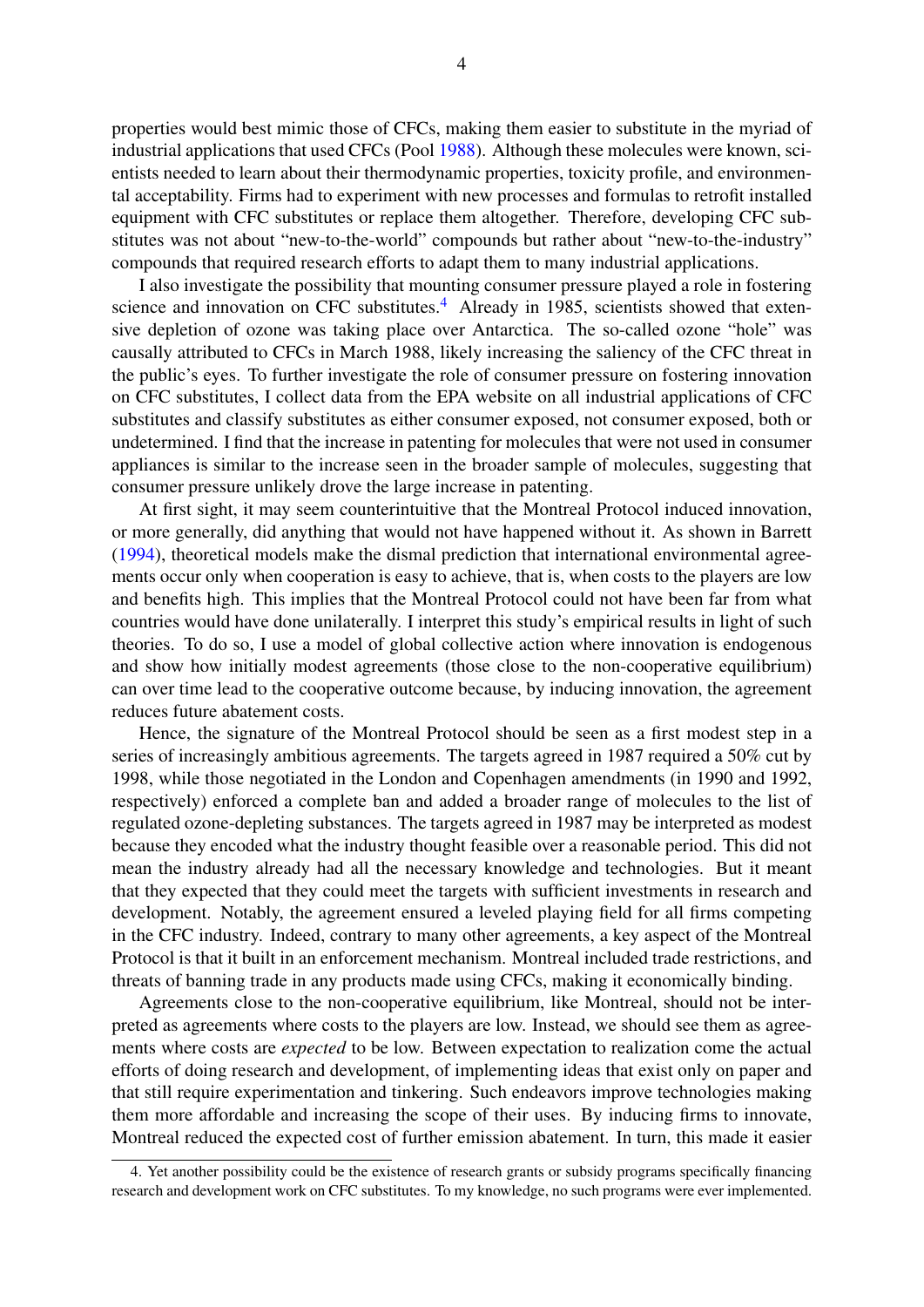properties would best mimic those of CFCs, making them easier to substitute in the myriad of industrial applications that used CFCs (Pool [1988\)](#page-33-2). Although these molecules were known, scientists needed to learn about their thermodynamic properties, toxicity profile, and environmental acceptability. Firms had to experiment with new processes and formulas to retrofit installed equipment with CFC substitutes or replace them altogether. Therefore, developing CFC substitutes was not about "new-to-the-world" compounds but rather about "new-to-the-industry" compounds that required research efforts to adapt them to many industrial applications.

I also investigate the possibility that mounting consumer pressure played a role in fostering science and innovation on CFC substitutes.<sup>[4](#page-2-0)</sup> Already in 1985, scientists showed that extensive depletion of ozone was taking place over Antarctica. The so-called ozone "hole" was causally attributed to CFCs in March 1988, likely increasing the saliency of the CFC threat in the public's eyes. To further investigate the role of consumer pressure on fostering innovation on CFC substitutes, I collect data from the EPA website on all industrial applications of CFC substitutes and classify substitutes as either consumer exposed, not consumer exposed, both or undetermined. I find that the increase in patenting for molecules that were not used in consumer appliances is similar to the increase seen in the broader sample of molecules, suggesting that consumer pressure unlikely drove the large increase in patenting.

At first sight, it may seem counterintuitive that the Montreal Protocol induced innovation, or more generally, did anything that would not have happened without it. As shown in Barrett [\(1994\)](#page-31-1), theoretical models make the dismal prediction that international environmental agreements occur only when cooperation is easy to achieve, that is, when costs to the players are low and benefits high. This implies that the Montreal Protocol could not have been far from what countries would have done unilaterally. I interpret this study's empirical results in light of such theories. To do so, I use a model of global collective action where innovation is endogenous and show how initially modest agreements (those close to the non-cooperative equilibrium) can over time lead to the cooperative outcome because, by inducing innovation, the agreement reduces future abatement costs.

Hence, the signature of the Montreal Protocol should be seen as a first modest step in a series of increasingly ambitious agreements. The targets agreed in 1987 required a 50% cut by 1998, while those negotiated in the London and Copenhagen amendments (in 1990 and 1992, respectively) enforced a complete ban and added a broader range of molecules to the list of regulated ozone-depleting substances. The targets agreed in 1987 may be interpreted as modest because they encoded what the industry thought feasible over a reasonable period. This did not mean the industry already had all the necessary knowledge and technologies. But it meant that they expected that they could meet the targets with sufficient investments in research and development. Notably, the agreement ensured a leveled playing field for all firms competing in the CFC industry. Indeed, contrary to many other agreements, a key aspect of the Montreal Protocol is that it built in an enforcement mechanism. Montreal included trade restrictions, and threats of banning trade in any products made using CFCs, making it economically binding.

Agreements close to the non-cooperative equilibrium, like Montreal, should not be interpreted as agreements where costs to the players are low. Instead, we should see them as agreements where costs are *expected* to be low. Between expectation to realization come the actual efforts of doing research and development, of implementing ideas that exist only on paper and that still require experimentation and tinkering. Such endeavors improve technologies making them more affordable and increasing the scope of their uses. By inducing firms to innovate, Montreal reduced the expected cost of further emission abatement. In turn, this made it easier

<sup>4.</sup> Yet another possibility could be the existence of research grants or subsidy programs specifically financing research and development work on CFC substitutes. To my knowledge, no such programs were ever implemented.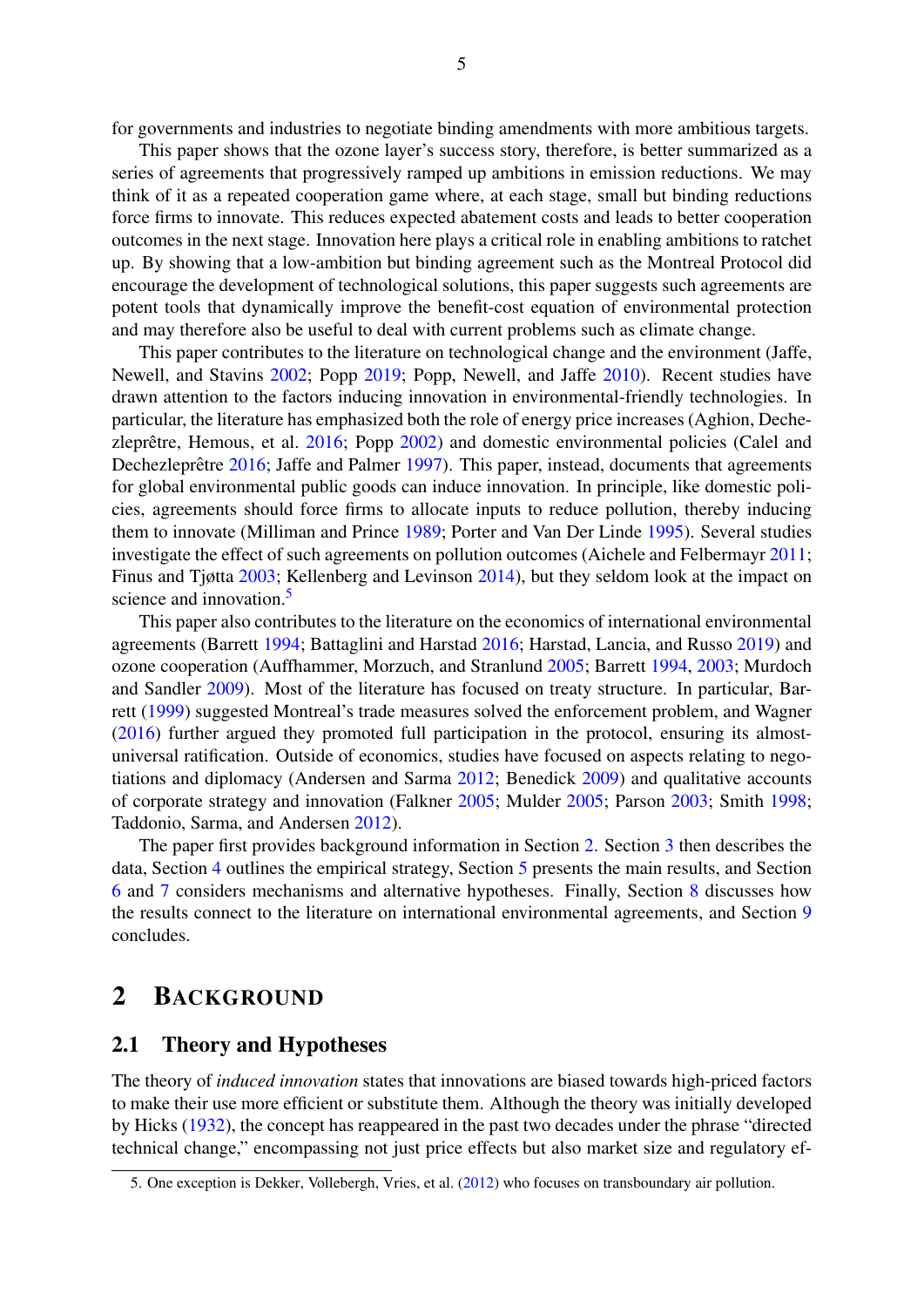for governments and industries to negotiate binding amendments with more ambitious targets.

This paper shows that the ozone layer's success story, therefore, is better summarized as a series of agreements that progressively ramped up ambitions in emission reductions. We may think of it as a repeated cooperation game where, at each stage, small but binding reductions force firms to innovate. This reduces expected abatement costs and leads to better cooperation outcomes in the next stage. Innovation here plays a critical role in enabling ambitions to ratchet up. By showing that a low-ambition but binding agreement such as the Montreal Protocol did encourage the development of technological solutions, this paper suggests such agreements are potent tools that dynamically improve the benefit-cost equation of environmental protection and may therefore also be useful to deal with current problems such as climate change.

This paper contributes to the literature on technological change and the environment (Jaffe, Newell, and Stavins [2002;](#page-32-2) Popp [2019;](#page-33-3) Popp, Newell, and Jaffe [2010\)](#page-34-1). Recent studies have drawn attention to the factors inducing innovation in environmental-friendly technologies. In particular, the literature has emphasized both the role of energy price increases (Aghion, Dechezleprêtre, Hemous, et al.  $2016$ ; Popp  $2002$ ) and domestic environmental policies (Calel and Dechezleprêtre [2016;](#page-32-3) Jaffe and Palmer [1997\)](#page-33-4). This paper, instead, documents that agreements for global environmental public goods can induce innovation. In principle, like domestic policies, agreements should force firms to allocate inputs to reduce pollution, thereby inducing them to innovate (Milliman and Prince [1989;](#page-33-5) Porter and Van Der Linde [1995\)](#page-34-2). Several studies investigate the effect of such agreements on pollution outcomes (Aichele and Felbermayr [2011;](#page-31-3) Finus and Tjøtta [2003;](#page-32-4) Kellenberg and Levinson [2014\)](#page-33-6), but they seldom look at the impact on science and innovation.<sup>[5](#page-2-0)</sup>

This paper also contributes to the literature on the economics of international environmental agreements (Barrett [1994;](#page-31-1) Battaglini and Harstad [2016;](#page-31-4) Harstad, Lancia, and Russo [2019\)](#page-32-5) and ozone cooperation (Auffhammer, Morzuch, and Stranlund [2005;](#page-31-5) Barrett [1994,](#page-31-1) [2003;](#page-31-6) Murdoch and Sandler [2009\)](#page-33-7). Most of the literature has focused on treaty structure. In particular, Barrett [\(1999\)](#page-31-0) suggested Montreal's trade measures solved the enforcement problem, and Wagner [\(2016\)](#page-34-3) further argued they promoted full participation in the protocol, ensuring its almostuniversal ratification. Outside of economics, studies have focused on aspects relating to negotiations and diplomacy (Andersen and Sarma [2012;](#page-31-7) Benedick [2009\)](#page-32-1) and qualitative accounts of corporate strategy and innovation (Falkner [2005;](#page-32-6) Mulder [2005;](#page-33-8) Parson [2003;](#page-33-1) Smith [1998;](#page-34-4) Taddonio, Sarma, and Andersen [2012\)](#page-34-5).

The paper first provides background information in Section [2.](#page-6-0) Section [3](#page-9-0) then describes the data, Section [4](#page-11-0) outlines the empirical strategy, Section [5](#page-16-0) presents the main results, and Section [6](#page-22-0) and [7](#page-24-0) considers mechanisms and alternative hypotheses. Finally, Section [8](#page-27-0) discusses how the results connect to the literature on international environmental agreements, and Section [9](#page-29-0) concludes.

## <span id="page-6-0"></span>2 BACKGROUND

#### 2.1 Theory and Hypotheses

The theory of *induced innovation* states that innovations are biased towards high-priced factors to make their use more efficient or substitute them. Although the theory was initially developed by Hicks [\(1932\)](#page-32-7), the concept has reappeared in the past two decades under the phrase "directed technical change," encompassing not just price effects but also market size and regulatory ef-

<sup>5.</sup> One exception is Dekker, Vollebergh, Vries, et al. [\(2012\)](#page-32-8) who focuses on transboundary air pollution.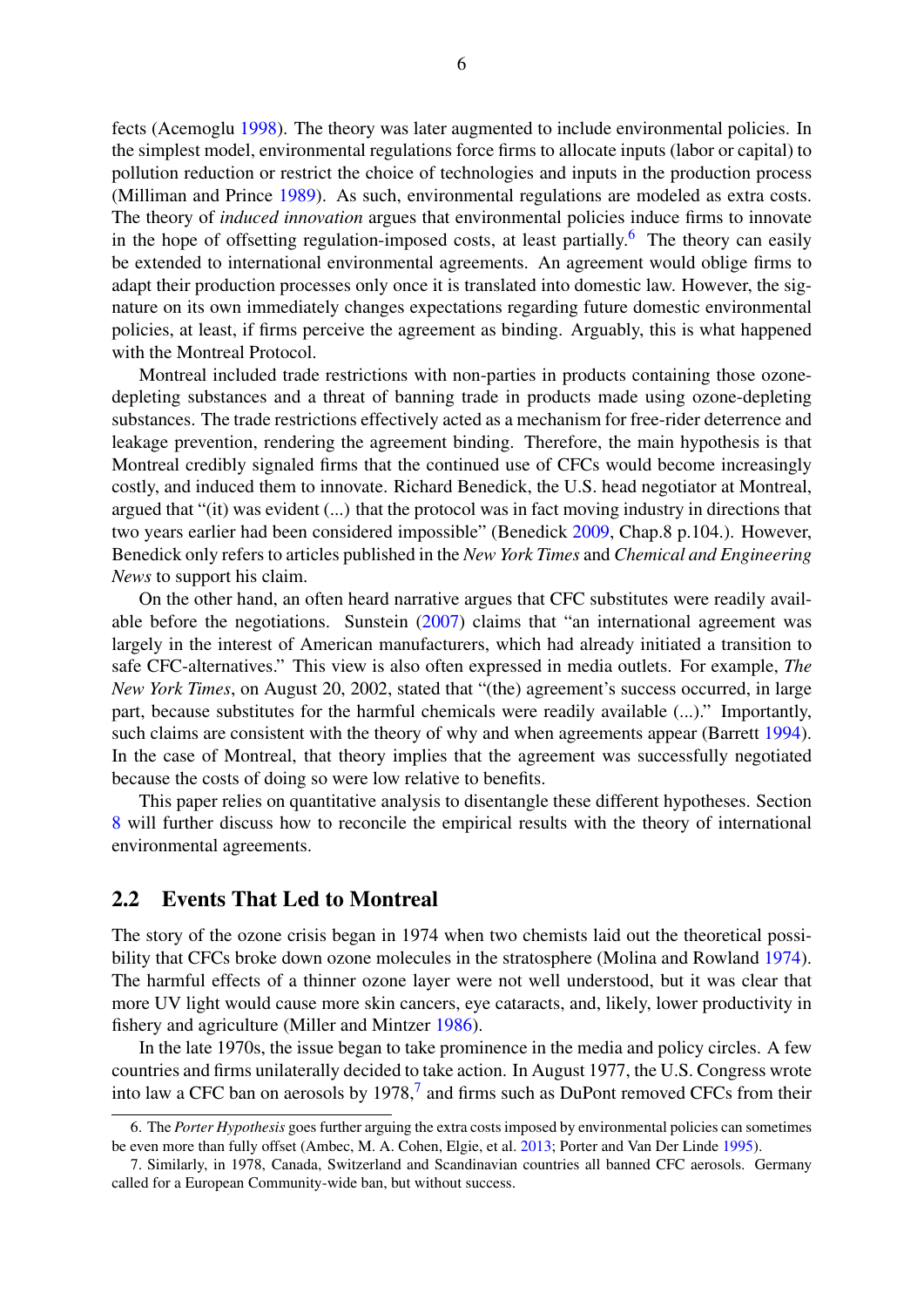fects (Acemoglu [1998\)](#page-31-8). The theory was later augmented to include environmental policies. In the simplest model, environmental regulations force firms to allocate inputs (labor or capital) to pollution reduction or restrict the choice of technologies and inputs in the production process (Milliman and Prince [1989\)](#page-33-5). As such, environmental regulations are modeled as extra costs. The theory of *induced innovation* argues that environmental policies induce firms to innovate in the hope of offsetting regulation-imposed costs, at least partially.<sup>[6](#page-2-0)</sup> The theory can easily be extended to international environmental agreements. An agreement would oblige firms to adapt their production processes only once it is translated into domestic law. However, the signature on its own immediately changes expectations regarding future domestic environmental policies, at least, if firms perceive the agreement as binding. Arguably, this is what happened with the Montreal Protocol.

Montreal included trade restrictions with non-parties in products containing those ozonedepleting substances and a threat of banning trade in products made using ozone-depleting substances. The trade restrictions effectively acted as a mechanism for free-rider deterrence and leakage prevention, rendering the agreement binding. Therefore, the main hypothesis is that Montreal credibly signaled firms that the continued use of CFCs would become increasingly costly, and induced them to innovate. Richard Benedick, the U.S. head negotiator at Montreal, argued that "(it) was evident (...) that the protocol was in fact moving industry in directions that two years earlier had been considered impossible" (Benedick [2009,](#page-32-1) Chap.8 p.104.). However, Benedick only refers to articles published in the *New York Times* and *Chemical and Engineering News* to support his claim.

On the other hand, an often heard narrative argues that CFC substitutes were readily available before the negotiations. Sunstein [\(2007\)](#page-34-0) claims that "an international agreement was largely in the interest of American manufacturers, which had already initiated a transition to safe CFC-alternatives." This view is also often expressed in media outlets. For example, *The New York Times*, on August 20, 2002, stated that "(the) agreement's success occurred, in large part, because substitutes for the harmful chemicals were readily available (...)." Importantly, such claims are consistent with the theory of why and when agreements appear (Barrett [1994\)](#page-31-1). In the case of Montreal, that theory implies that the agreement was successfully negotiated because the costs of doing so were low relative to benefits.

This paper relies on quantitative analysis to disentangle these different hypotheses. Section [8](#page-27-0) will further discuss how to reconcile the empirical results with the theory of international environmental agreements.

#### 2.2 Events That Led to Montreal

The story of the ozone crisis began in 1974 when two chemists laid out the theoretical possibility that CFCs broke down ozone molecules in the stratosphere (Molina and Rowland [1974\)](#page-33-9). The harmful effects of a thinner ozone layer were not well understood, but it was clear that more UV light would cause more skin cancers, eye cataracts, and, likely, lower productivity in fishery and agriculture (Miller and Mintzer [1986\)](#page-33-10).

In the late 1970s, the issue began to take prominence in the media and policy circles. A few countries and firms unilaterally decided to take action. In August 1977, the U.S. Congress wrote into law a CFC ban on aerosols by  $1978<sup>7</sup>$  $1978<sup>7</sup>$  $1978<sup>7</sup>$  and firms such as DuPont removed CFCs from their

<sup>6.</sup> The *Porter Hypothesis* goes further arguing the extra costs imposed by environmental policies can sometimes be even more than fully offset (Ambec, M. A. Cohen, Elgie, et al. [2013;](#page-31-9) Porter and Van Der Linde [1995\)](#page-34-2).

<sup>7.</sup> Similarly, in 1978, Canada, Switzerland and Scandinavian countries all banned CFC aerosols. Germany called for a European Community-wide ban, but without success.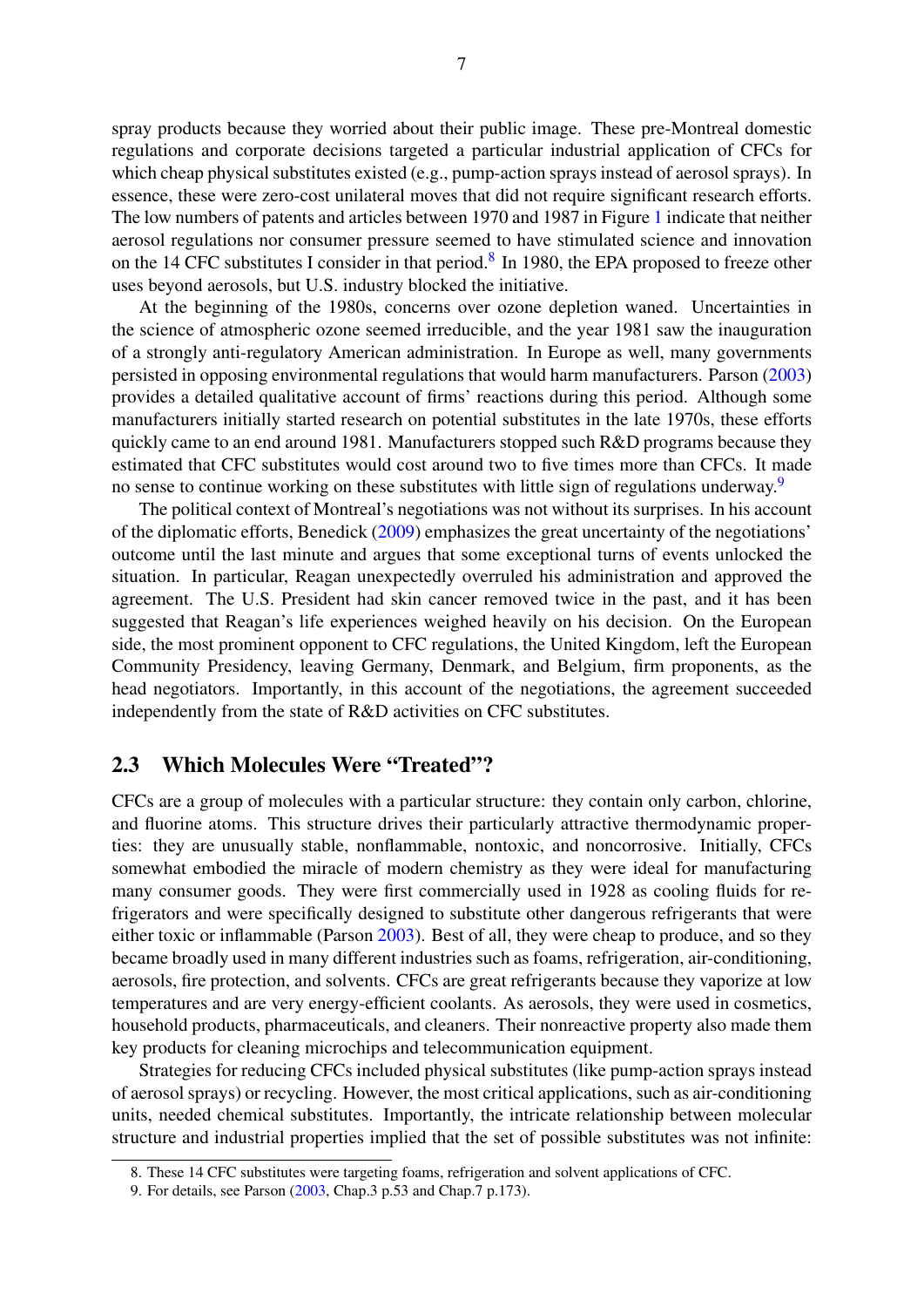spray products because they worried about their public image. These pre-Montreal domestic regulations and corporate decisions targeted a particular industrial application of CFCs for which cheap physical substitutes existed (e.g., pump-action sprays instead of aerosol sprays). In essence, these were zero-cost unilateral moves that did not require significant research efforts. The low numbers of patents and articles between 1970 and 1987 in Figure [1](#page-4-0) indicate that neither aerosol regulations nor consumer pressure seemed to have stimulated science and innovation on the 14 CFC substitutes I consider in that period.<sup>[8](#page-2-0)</sup> In 1980, the EPA proposed to freeze other uses beyond aerosols, but U.S. industry blocked the initiative.

At the beginning of the 1980s, concerns over ozone depletion waned. Uncertainties in the science of atmospheric ozone seemed irreducible, and the year 1981 saw the inauguration of a strongly anti-regulatory American administration. In Europe as well, many governments persisted in opposing environmental regulations that would harm manufacturers. Parson [\(2003\)](#page-33-1) provides a detailed qualitative account of firms' reactions during this period. Although some manufacturers initially started research on potential substitutes in the late 1970s, these efforts quickly came to an end around 1981. Manufacturers stopped such R&D programs because they estimated that CFC substitutes would cost around two to five times more than CFCs. It made no sense to continue working on these substitutes with little sign of regulations underway.<sup>[9](#page-2-0)</sup>

The political context of Montreal's negotiations was not without its surprises. In his account of the diplomatic efforts, Benedick [\(2009\)](#page-32-1) emphasizes the great uncertainty of the negotiations' outcome until the last minute and argues that some exceptional turns of events unlocked the situation. In particular, Reagan unexpectedly overruled his administration and approved the agreement. The U.S. President had skin cancer removed twice in the past, and it has been suggested that Reagan's life experiences weighed heavily on his decision. On the European side, the most prominent opponent to CFC regulations, the United Kingdom, left the European Community Presidency, leaving Germany, Denmark, and Belgium, firm proponents, as the head negotiators. Importantly, in this account of the negotiations, the agreement succeeded independently from the state of R&D activities on CFC substitutes.

#### 2.3 Which Molecules Were "Treated"?

CFCs are a group of molecules with a particular structure: they contain only carbon, chlorine, and fluorine atoms. This structure drives their particularly attractive thermodynamic properties: they are unusually stable, nonflammable, nontoxic, and noncorrosive. Initially, CFCs somewhat embodied the miracle of modern chemistry as they were ideal for manufacturing many consumer goods. They were first commercially used in 1928 as cooling fluids for refrigerators and were specifically designed to substitute other dangerous refrigerants that were either toxic or inflammable (Parson [2003\)](#page-33-1). Best of all, they were cheap to produce, and so they became broadly used in many different industries such as foams, refrigeration, air-conditioning, aerosols, fire protection, and solvents. CFCs are great refrigerants because they vaporize at low temperatures and are very energy-efficient coolants. As aerosols, they were used in cosmetics, household products, pharmaceuticals, and cleaners. Their nonreactive property also made them key products for cleaning microchips and telecommunication equipment.

Strategies for reducing CFCs included physical substitutes (like pump-action sprays instead of aerosol sprays) or recycling. However, the most critical applications, such as air-conditioning units, needed chemical substitutes. Importantly, the intricate relationship between molecular structure and industrial properties implied that the set of possible substitutes was not infinite:

<sup>8.</sup> These 14 CFC substitutes were targeting foams, refrigeration and solvent applications of CFC.

<sup>9.</sup> For details, see Parson [\(2003,](#page-33-1) Chap.3 p.53 and Chap.7 p.173).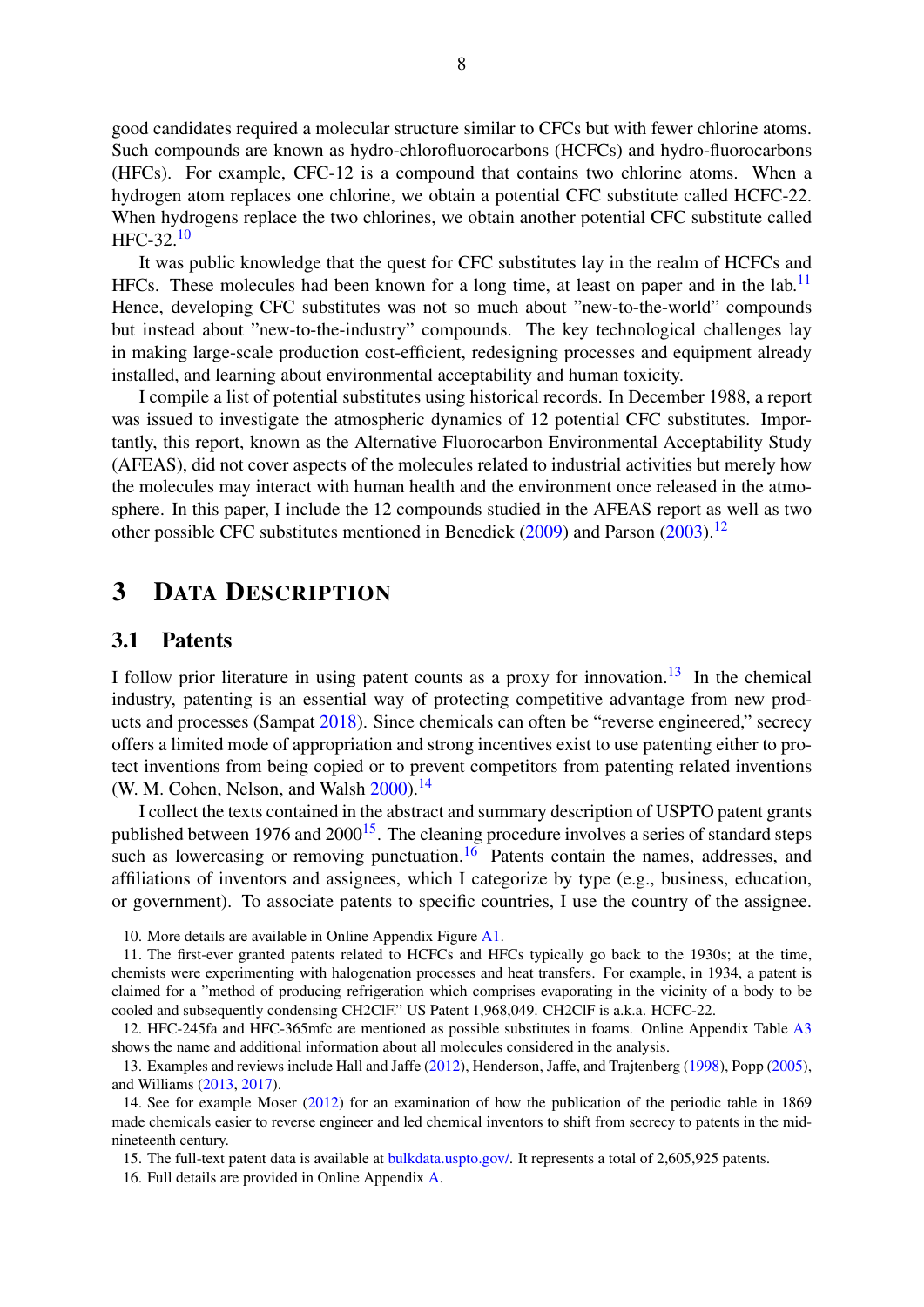good candidates required a molecular structure similar to CFCs but with fewer chlorine atoms. Such compounds are known as hydro-chlorofluorocarbons (HCFCs) and hydro-fluorocarbons (HFCs). For example, CFC-12 is a compound that contains two chlorine atoms. When a hydrogen atom replaces one chlorine, we obtain a potential CFC substitute called HCFC-22. When hydrogens replace the two chlorines, we obtain another potential CFC substitute called HFC-32.[10](#page-2-0)

It was public knowledge that the quest for CFC substitutes lay in the realm of HCFCs and HFCs. These molecules had been known for a long time, at least on paper and in the lab.<sup>[11](#page-2-0)</sup> Hence, developing CFC substitutes was not so much about "new-to-the-world" compounds but instead about "new-to-the-industry" compounds. The key technological challenges lay in making large-scale production cost-efficient, redesigning processes and equipment already installed, and learning about environmental acceptability and human toxicity.

I compile a list of potential substitutes using historical records. In December 1988, a report was issued to investigate the atmospheric dynamics of 12 potential CFC substitutes. Importantly, this report, known as the Alternative Fluorocarbon Environmental Acceptability Study (AFEAS), did not cover aspects of the molecules related to industrial activities but merely how the molecules may interact with human health and the environment once released in the atmosphere. In this paper, I include the 12 compounds studied in the AFEAS report as well as two other possible CFC substitutes mentioned in Benedick  $(2009)$  and Parson  $(2003)$ .<sup>[12](#page-2-0)</sup>

## <span id="page-9-0"></span>3 DATA DESCRIPTION

#### 3.1 Patents

I follow prior literature in using patent counts as a proxy for innovation.<sup>[13](#page-2-0)</sup> In the chemical industry, patenting is an essential way of protecting competitive advantage from new products and processes (Sampat [2018\)](#page-34-6). Since chemicals can often be "reverse engineered," secrecy offers a limited mode of appropriation and strong incentives exist to use patenting either to protect inventions from being copied or to prevent competitors from patenting related inventions (W. M. Cohen, Nelson, and Walsh  $2000$ ).<sup>[14](#page-2-0)</sup>

I collect the texts contained in the abstract and summary description of USPTO patent grants published between 1976 and  $2000^{15}$  $2000^{15}$  $2000^{15}$ . The cleaning procedure involves a series of standard steps such as lowercasing or removing punctuation.<sup>[16](#page-2-0)</sup> Patents contain the names, addresses, and affiliations of inventors and assignees, which I categorize by type (e.g., business, education, or government). To associate patents to specific countries, I use the country of the assignee.

<sup>10.</sup> More details are available in Online Appendix Figure [A1.](#page-15-0)

<sup>11.</sup> The first-ever granted patents related to HCFCs and HFCs typically go back to the 1930s; at the time, chemists were experimenting with halogenation processes and heat transfers. For example, in 1934, a patent is claimed for a "method of producing refrigeration which comprises evaporating in the vicinity of a body to be cooled and subsequently condensing CH2ClF." US Patent 1,968,049. CH2ClF is a.k.a. HCFC-22.

<sup>12.</sup> HFC-245fa and HFC-365mfc are mentioned as possible substitutes in foams. Online Appendix Table [A3](#page-2-0) shows the name and additional information about all molecules considered in the analysis.

<sup>13.</sup> Examples and reviews include Hall and Jaffe [\(2012\)](#page-32-10), Henderson, Jaffe, and Trajtenberg [\(1998\)](#page-32-11), Popp [\(2005\)](#page-33-11), and Williams [\(2013,](#page-34-7) [2017\)](#page-34-8).

<sup>14.</sup> See for example Moser [\(2012\)](#page-33-12) for an examination of how the publication of the periodic table in 1869 made chemicals easier to reverse engineer and led chemical inventors to shift from secrecy to patents in the midnineteenth century.

<sup>15.</sup> The full-text patent data is available at [bulkdata.uspto.gov/.](bulkdata.uspto.gov/) It represents a total of 2,605,925 patents.

<sup>16.</sup> Full details are provided in Online Appendix [A.](#page-2-0)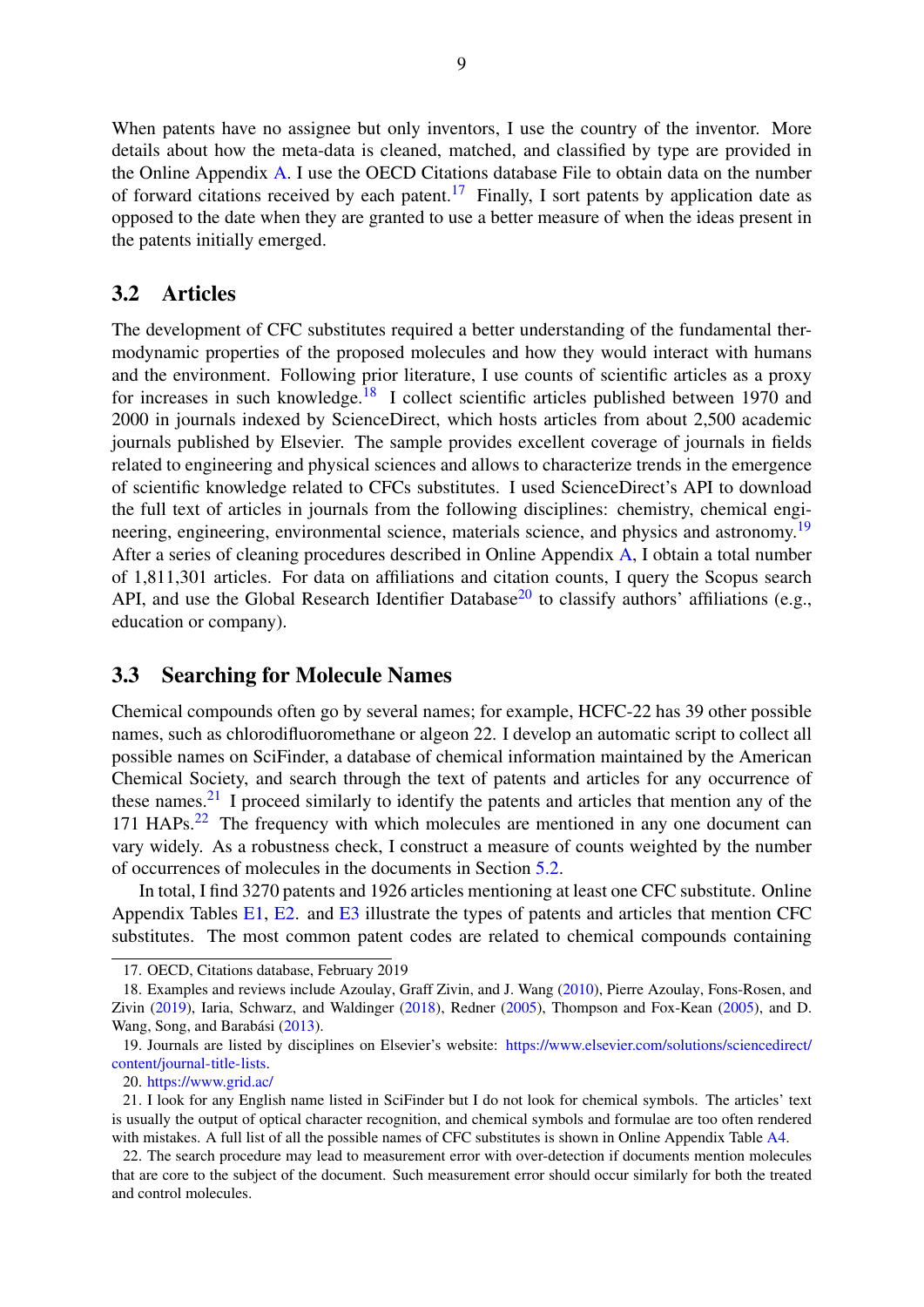When patents have no assignee but only inventors. I use the country of the inventor. More details about how the meta-data is cleaned, matched, and classified by type are provided in the Online Appendix [A.](#page-2-0) I use the OECD Citations database File to obtain data on the number of forward citations received by each patent.<sup>[17](#page-2-0)</sup> Finally, I sort patents by application date as opposed to the date when they are granted to use a better measure of when the ideas present in the patents initially emerged.

#### 3.2 Articles

The development of CFC substitutes required a better understanding of the fundamental thermodynamic properties of the proposed molecules and how they would interact with humans and the environment. Following prior literature, I use counts of scientific articles as a proxy for increases in such knowledge.<sup>[18](#page-2-0)</sup> I collect scientific articles published between 1970 and 2000 in journals indexed by ScienceDirect, which hosts articles from about 2,500 academic journals published by Elsevier. The sample provides excellent coverage of journals in fields related to engineering and physical sciences and allows to characterize trends in the emergence of scientific knowledge related to CFCs substitutes. I used ScienceDirect's API to download the full text of articles in journals from the following disciplines: chemistry, chemical engi-neering, engineering, environmental science, materials science, and physics and astronomy.<sup>[19](#page-2-0)</sup> After a series of cleaning procedures described in Online Appendix [A,](#page-2-0) I obtain a total number of 1,811,301 articles. For data on affiliations and citation counts, I query the Scopus search API, and use the Global Research Identifier Database<sup>[20](#page-2-0)</sup> to classify authors' affiliations (e.g., education or company).

#### 3.3 Searching for Molecule Names

Chemical compounds often go by several names; for example, HCFC-22 has 39 other possible names, such as chlorodifluoromethane or algeon 22. I develop an automatic script to collect all possible names on SciFinder, a database of chemical information maintained by the American Chemical Society, and search through the text of patents and articles for any occurrence of these names. $2<sup>1</sup>$  I proceed similarly to identify the patents and articles that mention any of the 171 HAPs.[22](#page-2-0) The frequency with which molecules are mentioned in any one document can vary widely. As a robustness check, I construct a measure of counts weighted by the number of occurrences of molecules in the documents in Section [5.2.](#page-19-0)

In total, I find 3270 patents and 1926 articles mentioning at least one CFC substitute. Online Appendix Tables [E1,](#page-2-0) [E2.](#page-2-0) and [E3](#page-2-0) illustrate the types of patents and articles that mention CFC substitutes. The most common patent codes are related to chemical compounds containing

<sup>17.</sup> OECD, Citations database, February 2019

<sup>18.</sup> Examples and reviews include Azoulay, Graff Zivin, and J. Wang [\(2010\)](#page-31-10), Pierre Azoulay, Fons-Rosen, and Zivin [\(2019\)](#page-31-11), Iaria, Schwarz, and Waldinger [\(2018\)](#page-32-12), Redner [\(2005\)](#page-34-9), Thompson and Fox-Kean [\(2005\)](#page-34-10), and D. Wang, Song, and Barabási ([2013\)](#page-34-11).

<sup>19.</sup> Journals are listed by disciplines on Elsevier's website: [https://www.elsevier.com/solutions/sciencedirect/](https://www.elsevier.com/solutions/sciencedirect/content/journal-title-lists) [content/journal-title-lists.](https://www.elsevier.com/solutions/sciencedirect/content/journal-title-lists)

<sup>20.</sup> <https://www.grid.ac/>

<sup>21.</sup> I look for any English name listed in SciFinder but I do not look for chemical symbols. The articles' text is usually the output of optical character recognition, and chemical symbols and formulae are too often rendered with mistakes. A full list of all the possible names of CFC substitutes is shown in Online Appendix Table [A4.](#page-19-1)

<sup>22.</sup> The search procedure may lead to measurement error with over-detection if documents mention molecules that are core to the subject of the document. Such measurement error should occur similarly for both the treated and control molecules.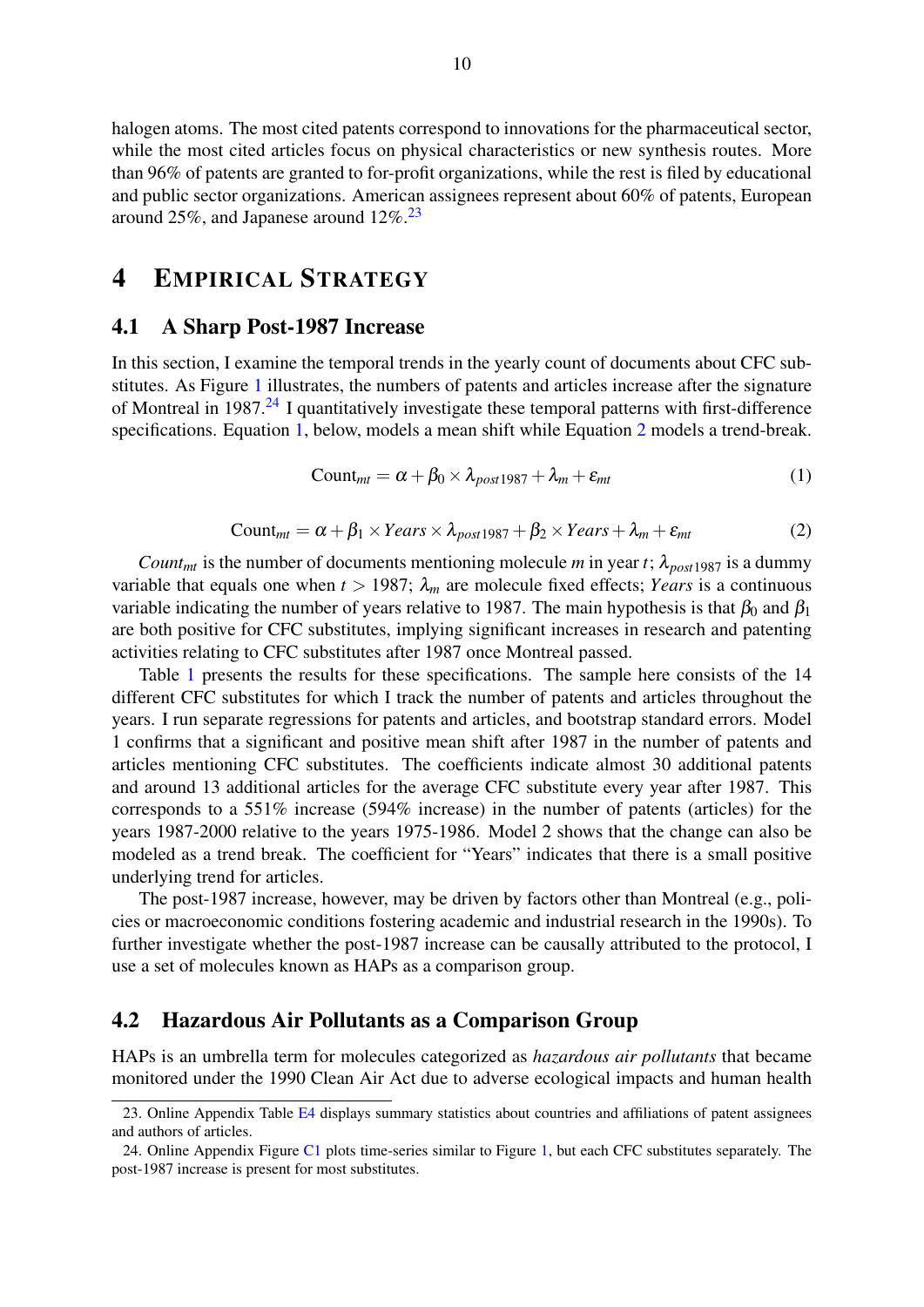halogen atoms. The most cited patents correspond to innovations for the pharmaceutical sector, while the most cited articles focus on physical characteristics or new synthesis routes. More than 96% of patents are granted to for-profit organizations, while the rest is filed by educational and public sector organizations. American assignees represent about 60% of patents, European around 25%, and Japanese around  $12\%$ <sup>[23](#page-2-0)</sup>

## <span id="page-11-0"></span>4 EMPIRICAL STRATEGY

#### 4.1 A Sharp Post-1987 Increase

<span id="page-11-1"></span>In this section, I examine the temporal trends in the yearly count of documents about CFC substitutes. As Figure [1](#page-4-0) illustrates, the numbers of patents and articles increase after the signature of Montreal in 1987.<sup>[24](#page-2-0)</sup> I quantitatively investigate these temporal patterns with first-difference specifications. Equation [1,](#page-11-1) below, models a mean shift while Equation [2](#page-11-2) models a trend-break.

$$
Count_{mt} = \alpha + \beta_0 \times \lambda_{post 1987} + \lambda_m + \varepsilon_{mt}
$$
 (1)

Count<sub>mt</sub> = 
$$
\alpha + \beta_1 \times Years \times \lambda_{post 1987} + \beta_2 \times Years + \lambda_m + \varepsilon_{mt}
$$
 (2)

<span id="page-11-2"></span>*Count<sub>mt</sub>* is the number of documents mentioning molecule *m* in year *t*;  $\lambda_{post 1987}$  is a dummy variable that equals one when  $t > 1987$ ;  $\lambda_m$  are molecule fixed effects; *Years* is a continuous variable indicating the number of years relative to 1987. The main hypothesis is that  $\beta_0$  and  $\beta_1$ are both positive for CFC substitutes, implying significant increases in research and patenting activities relating to CFC substitutes after 1987 once Montreal passed.

Table [1](#page-12-0) presents the results for these specifications. The sample here consists of the 14 different CFC substitutes for which I track the number of patents and articles throughout the years. I run separate regressions for patents and articles, and bootstrap standard errors. Model 1 confirms that a significant and positive mean shift after 1987 in the number of patents and articles mentioning CFC substitutes. The coefficients indicate almost 30 additional patents and around 13 additional articles for the average CFC substitute every year after 1987. This corresponds to a 551% increase (594% increase) in the number of patents (articles) for the years 1987-2000 relative to the years 1975-1986. Model 2 shows that the change can also be modeled as a trend break. The coefficient for "Years" indicates that there is a small positive underlying trend for articles.

The post-1987 increase, however, may be driven by factors other than Montreal (e.g., policies or macroeconomic conditions fostering academic and industrial research in the 1990s). To further investigate whether the post-1987 increase can be causally attributed to the protocol, I use a set of molecules known as HAPs as a comparison group.

#### 4.2 Hazardous Air Pollutants as a Comparison Group

HAPs is an umbrella term for molecules categorized as *hazardous air pollutants* that became monitored under the 1990 Clean Air Act due to adverse ecological impacts and human health

<sup>23.</sup> Online Appendix Table [E4](#page-2-0) displays summary statistics about countries and affiliations of patent assignees and authors of articles.

<sup>24.</sup> Online Appendix Figure [C1](#page-30-0) plots time-series similar to Figure [1,](#page-4-0) but each CFC substitutes separately. The post-1987 increase is present for most substitutes.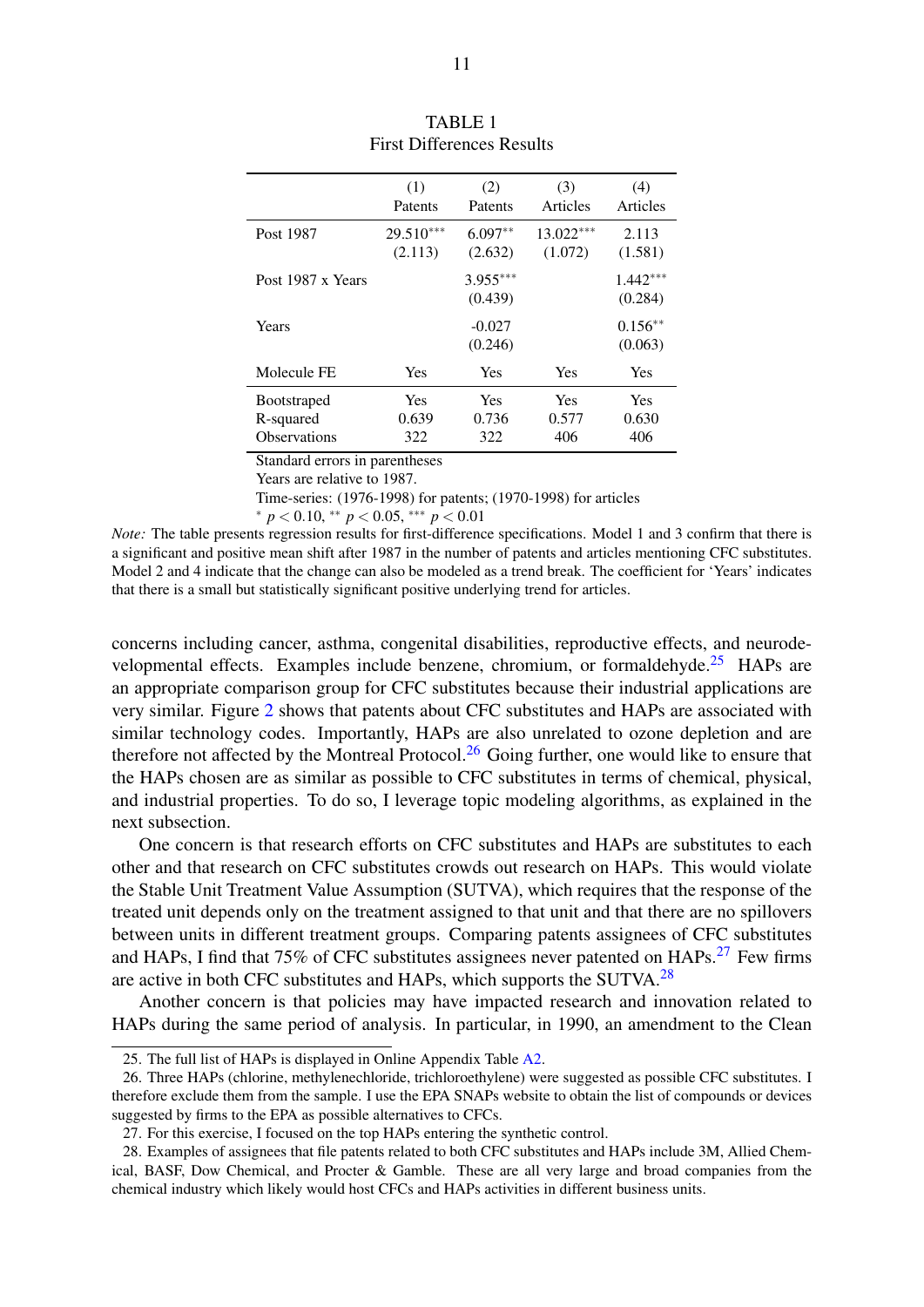<span id="page-12-0"></span>

|                     | (1)         | (2)                   | (3)         | (4)                   |
|---------------------|-------------|-----------------------|-------------|-----------------------|
|                     | Patents     | Patents               | Articles    | Articles              |
| Post 1987           | $29.510***$ | $6.097**$             | $13.022***$ | 2.113                 |
|                     | (2.113)     | (2.632)               | (1.072)     | (1.581)               |
| Post 1987 x Years   |             | $3.955***$<br>(0.439) |             | $1.442***$<br>(0.284) |
| Years               |             | $-0.027$<br>(0.246)   |             | $0.156**$<br>(0.063)  |
| Molecule FE         | Yes         | <b>Yes</b>            | Yes         | Yes                   |
| <b>Bootstraped</b>  | Yes         | Yes                   | Yes         | Yes                   |
| R-squared           | 0.639       | 0.736                 | 0.577       | 0.630                 |
| <b>Observations</b> | 322         | 322                   | 406         | 406                   |

| <b>TABLE 1</b>                   |
|----------------------------------|
| <b>First Differences Results</b> |

Standard errors in parentheses

Years are relative to 1987.

Time-series: (1976-1998) for patents; (1970-1998) for articles

\* 
$$
p < 0.10
$$
, \*\*  $p < 0.05$ , \*\*\*  $p < 0.01$ 

*Note:* The table presents regression results for first-difference specifications. Model 1 and 3 confirm that there is a significant and positive mean shift after 1987 in the number of patents and articles mentioning CFC substitutes. Model 2 and 4 indicate that the change can also be modeled as a trend break. The coefficient for 'Years' indicates that there is a small but statistically significant positive underlying trend for articles.

concerns including cancer, asthma, congenital disabilities, reproductive effects, and neurode-velopmental effects. Examples include benzene, chromium, or formaldehyde.<sup>[25](#page-2-0)</sup> HAPs are an appropriate comparison group for CFC substitutes because their industrial applications are very similar. Figure [2](#page-13-0) shows that patents about CFC substitutes and HAPs are associated with similar technology codes. Importantly, HAPs are also unrelated to ozone depletion and are therefore not affected by the Montreal Protocol.<sup>[26](#page-2-0)</sup> Going further, one would like to ensure that the HAPs chosen are as similar as possible to CFC substitutes in terms of chemical, physical, and industrial properties. To do so, I leverage topic modeling algorithms, as explained in the next subsection.

One concern is that research efforts on CFC substitutes and HAPs are substitutes to each other and that research on CFC substitutes crowds out research on HAPs. This would violate the Stable Unit Treatment Value Assumption (SUTVA), which requires that the response of the treated unit depends only on the treatment assigned to that unit and that there are no spillovers between units in different treatment groups. Comparing patents assignees of CFC substitutes and HAPs, I find that 75% of CFC substitutes assignees never patented on  $HAPs$ <sup>[27](#page-2-0)</sup> Few firms are active in both CFC substitutes and HAPs, which supports the SUTVA.<sup>[28](#page-2-0)</sup>

Another concern is that policies may have impacted research and innovation related to HAPs during the same period of analysis. In particular, in 1990, an amendment to the Clean

<sup>25.</sup> The full list of HAPs is displayed in Online Appendix Table [A2.](#page-17-0)

<sup>26.</sup> Three HAPs (chlorine, methylenechloride, trichloroethylene) were suggested as possible CFC substitutes. I therefore exclude them from the sample. I use the EPA SNAPs website to obtain the list of compounds or devices suggested by firms to the EPA as possible alternatives to CFCs.

<sup>27.</sup> For this exercise, I focused on the top HAPs entering the synthetic control.

<sup>28.</sup> Examples of assignees that file patents related to both CFC substitutes and HAPs include 3M, Allied Chemical, BASF, Dow Chemical, and Procter & Gamble. These are all very large and broad companies from the chemical industry which likely would host CFCs and HAPs activities in different business units.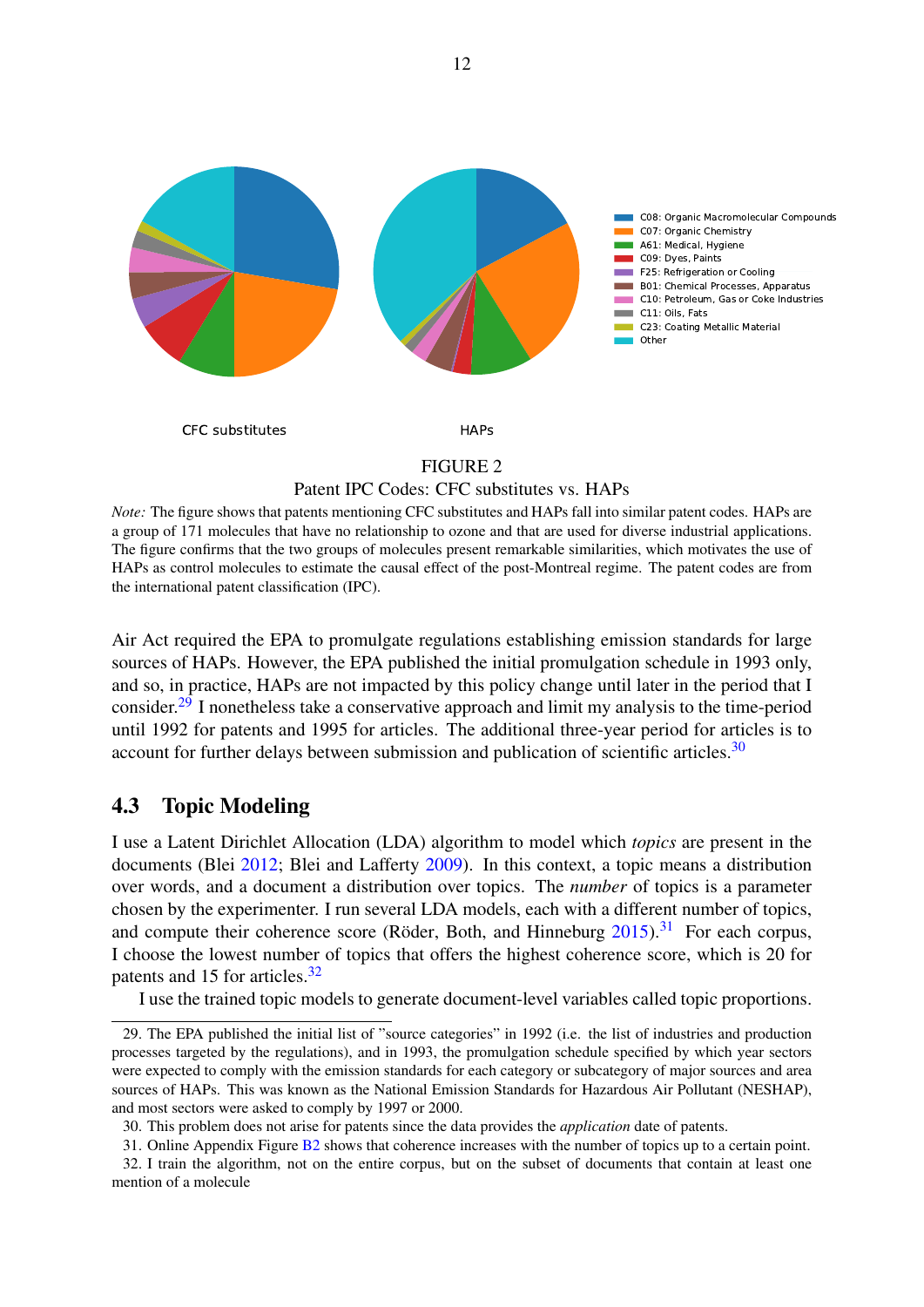<span id="page-13-0"></span>

#### Patent IPC Codes: CFC substitutes vs. HAPs

*Note:* The figure shows that patents mentioning CFC substitutes and HAPs fall into similar patent codes. HAPs are a group of 171 molecules that have no relationship to ozone and that are used for diverse industrial applications. The figure confirms that the two groups of molecules present remarkable similarities, which motivates the use of HAPs as control molecules to estimate the causal effect of the post-Montreal regime. The patent codes are from the international patent classification (IPC).

Air Act required the EPA to promulgate regulations establishing emission standards for large sources of HAPs. However, the EPA published the initial promulgation schedule in 1993 only, and so, in practice, HAPs are not impacted by this policy change until later in the period that I consider.[29](#page-2-0) I nonetheless take a conservative approach and limit my analysis to the time-period until 1992 for patents and 1995 for articles. The additional three-year period for articles is to account for further delays between submission and publication of scientific articles.<sup>[30](#page-2-0)</sup>

## 4.3 Topic Modeling

I use a Latent Dirichlet Allocation (LDA) algorithm to model which *topics* are present in the documents (Blei [2012;](#page-32-13) Blei and Lafferty [2009\)](#page-32-14). In this context, a topic means a distribution over words, and a document a distribution over topics. The *number* of topics is a parameter chosen by the experimenter. I run several LDA models, each with a different number of topics, and compute their coherence score (Röder, Both, and Hinneburg  $2015$ ).<sup>[31](#page-2-0)</sup> For each corpus, I choose the lowest number of topics that offers the highest coherence score, which is 20 for patents and 15 for articles.<sup>[32](#page-2-0)</sup>

I use the trained topic models to generate document-level variables called topic proportions.

<sup>29.</sup> The EPA published the initial list of "source categories" in 1992 (i.e. the list of industries and production processes targeted by the regulations), and in 1993, the promulgation schedule specified by which year sectors were expected to comply with the emission standards for each category or subcategory of major sources and area sources of HAPs. This was known as the National Emission Standards for Hazardous Air Pollutant (NESHAP), and most sectors were asked to comply by 1997 or 2000.

<sup>30.</sup> This problem does not arise for patents since the data provides the *application* date of patents.

<sup>31.</sup> Online Appendix Figure [B2](#page-23-0) shows that coherence increases with the number of topics up to a certain point. 32. I train the algorithm, not on the entire corpus, but on the subset of documents that contain at least one mention of a molecule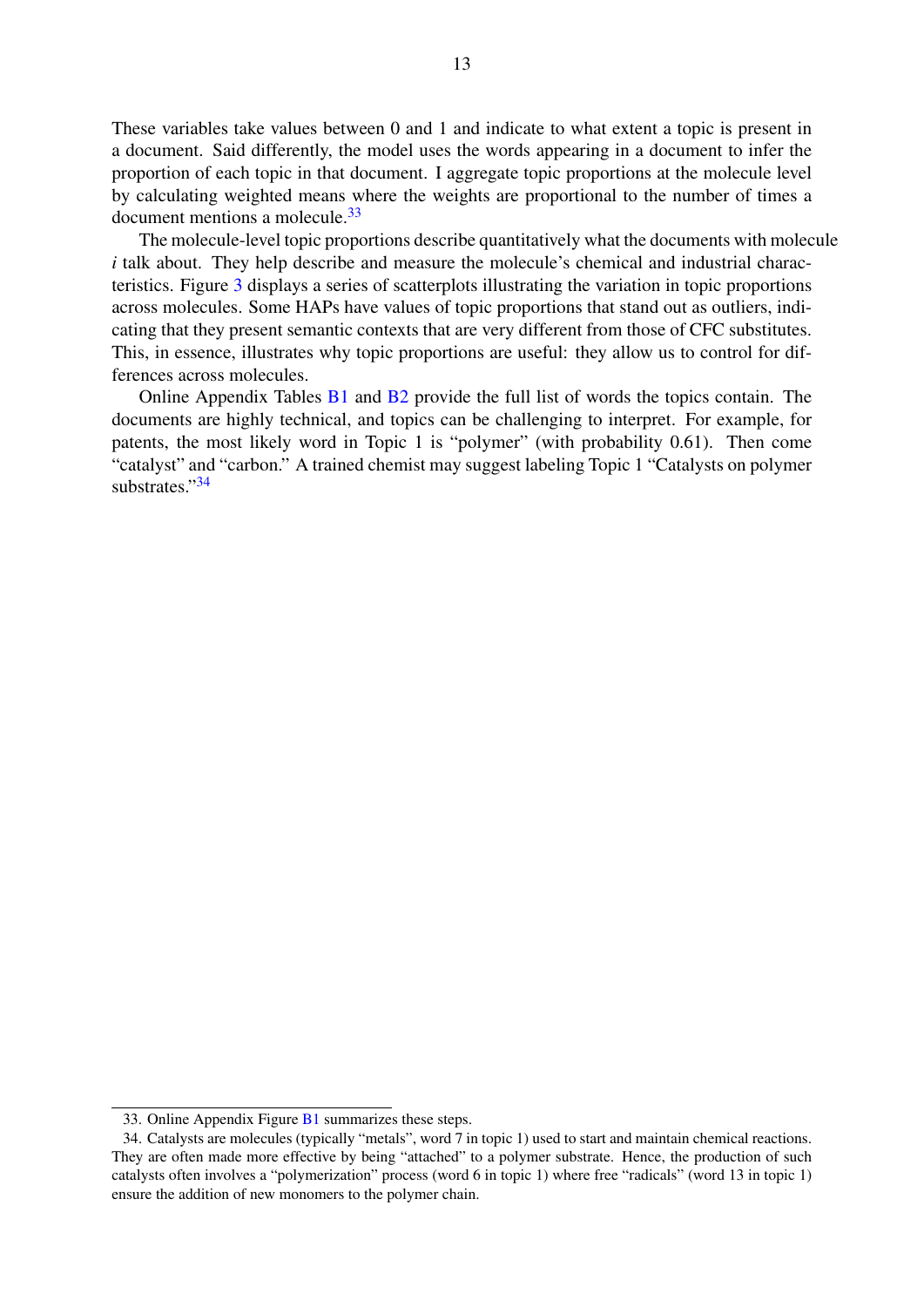These variables take values between 0 and 1 and indicate to what extent a topic is present in a document. Said differently, the model uses the words appearing in a document to infer the proportion of each topic in that document. I aggregate topic proportions at the molecule level by calculating weighted means where the weights are proportional to the number of times a document mentions a molecule.[33](#page-2-0)

The molecule-level topic proportions describe quantitatively what the documents with molecule *i* talk about. They help describe and measure the molecule's chemical and industrial characteristics. Figure [3](#page-15-0) displays a series of scatterplots illustrating the variation in topic proportions across molecules. Some HAPs have values of topic proportions that stand out as outliers, indicating that they present semantic contexts that are very different from those of CFC substitutes. This, in essence, illustrates why topic proportions are useful: they allow us to control for differences across molecules.

Online Appendix Tables [B1](#page-2-0) and [B2](#page-2-0) provide the full list of words the topics contain. The documents are highly technical, and topics can be challenging to interpret. For example, for patents, the most likely word in Topic 1 is "polymer" (with probability 0.61). Then come "catalyst" and "carbon." A trained chemist may suggest labeling Topic 1 "Catalysts on polymer substrates."[34](#page-2-0)

<sup>33.</sup> Online Appendix Figure [B1](#page-21-0) summarizes these steps.

<sup>34.</sup> Catalysts are molecules (typically "metals", word 7 in topic 1) used to start and maintain chemical reactions. They are often made more effective by being "attached" to a polymer substrate. Hence, the production of such catalysts often involves a "polymerization" process (word 6 in topic 1) where free "radicals" (word 13 in topic 1) ensure the addition of new monomers to the polymer chain.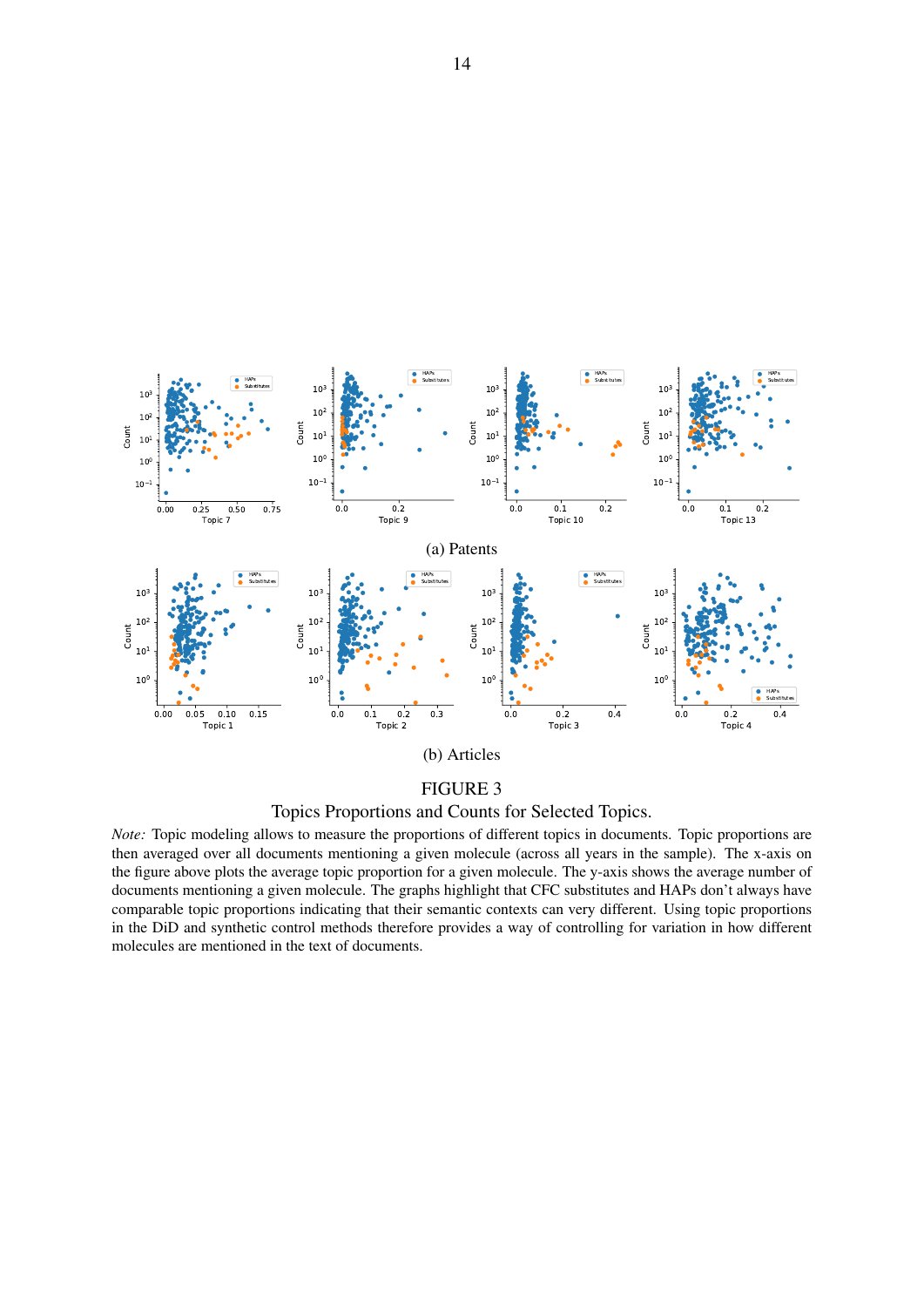<span id="page-15-0"></span>

Topics Proportions and Counts for Selected Topics.

*Note:* Topic modeling allows to measure the proportions of different topics in documents. Topic proportions are then averaged over all documents mentioning a given molecule (across all years in the sample). The x-axis on the figure above plots the average topic proportion for a given molecule. The y-axis shows the average number of documents mentioning a given molecule. The graphs highlight that CFC substitutes and HAPs don't always have comparable topic proportions indicating that their semantic contexts can very different. Using topic proportions in the DiD and synthetic control methods therefore provides a way of controlling for variation in how different molecules are mentioned in the text of documents.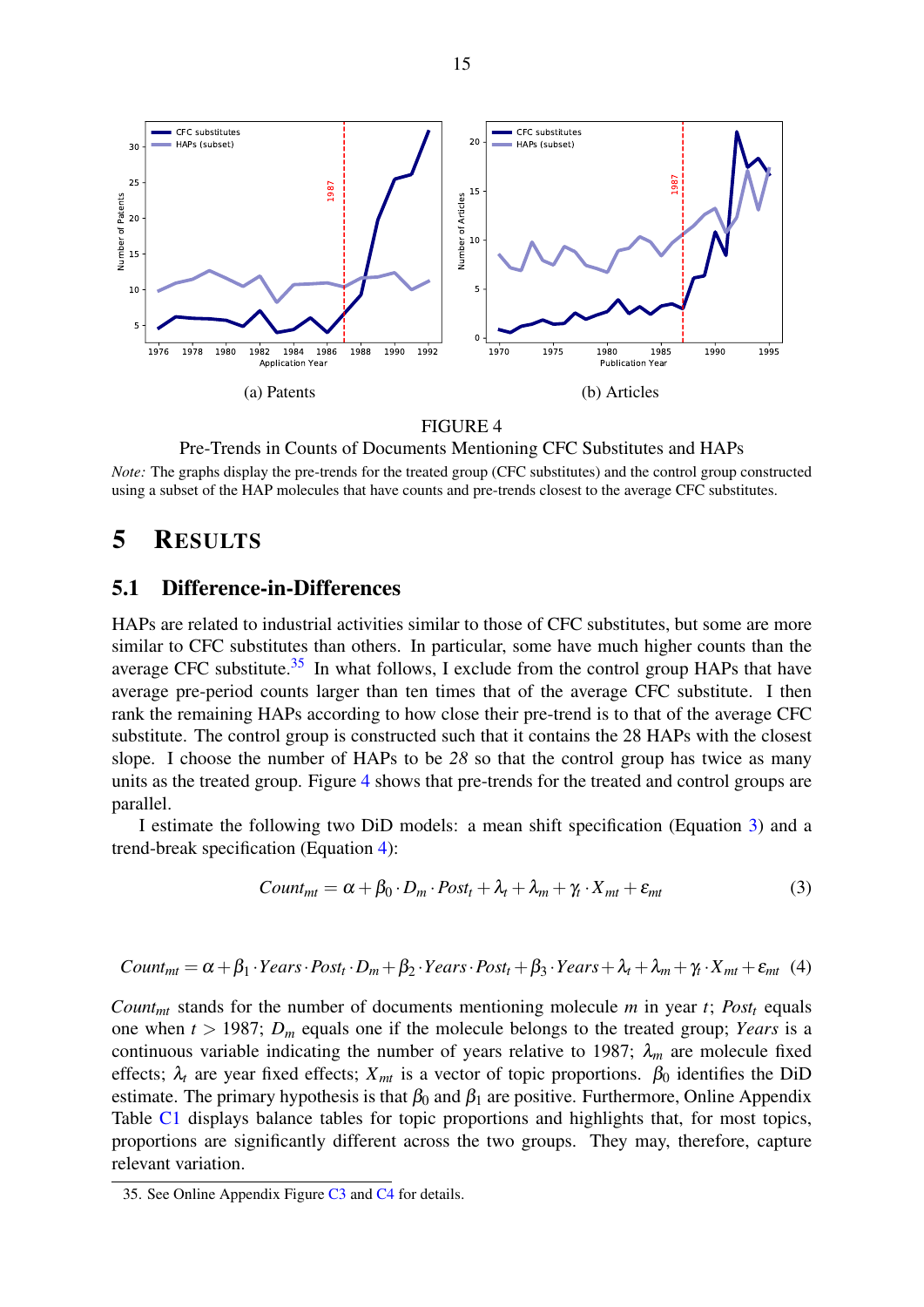<span id="page-16-1"></span>

Pre-Trends in Counts of Documents Mentioning CFC Substitutes and HAPs *Note:* The graphs display the pre-trends for the treated group (CFC substitutes) and the control group constructed using a subset of the HAP molecules that have counts and pre-trends closest to the average CFC substitutes.

## <span id="page-16-0"></span>5 RESULTS

#### 5.1 Difference-in-Differences

HAPs are related to industrial activities similar to those of CFC substitutes, but some are more similar to CFC substitutes than others. In particular, some have much higher counts than the average CFC substitute. $35$  In what follows, I exclude from the control group HAPs that have average pre-period counts larger than ten times that of the average CFC substitute. I then rank the remaining HAPs according to how close their pre-trend is to that of the average CFC substitute. The control group is constructed such that it contains the 28 HAPs with the closest slope. I choose the number of HAPs to be *28* so that the control group has twice as many units as the treated group. Figure [4](#page-16-1) shows that pre-trends for the treated and control groups are parallel.

I estimate the following two DiD models: a mean shift specification (Equation [3\)](#page-16-2) and a trend-break specification (Equation [4\)](#page-16-3):

<span id="page-16-2"></span>
$$
Count_{mt} = \alpha + \beta_0 \cdot D_m \cdot Post_t + \lambda_t + \lambda_m + \gamma_t \cdot X_{mt} + \varepsilon_{mt}
$$
\n(3)

<span id="page-16-3"></span>Count<sub>mt</sub> = 
$$
\alpha + \beta_1 \cdot Years \cdot Post_t \cdot D_m + \beta_2 \cdot Years \cdot Post_t + \beta_3 \cdot Years + \lambda_t + \lambda_m + \gamma_t \cdot X_{mt} + \varepsilon_{mt}
$$
 (4)

*Count<sub>mt</sub>* stands for the number of documents mentioning molecule *m* in year *t*; *Post<sub>t</sub>* equals one when  $t > 1987$ ;  $D_m$  equals one if the molecule belongs to the treated group; *Years* is a continuous variable indicating the number of years relative to 1987;  $\lambda_m$  are molecule fixed effects;  $\lambda_t$  are year fixed effects;  $X_{mt}$  is a vector of topic proportions.  $\beta_0$  identifies the DiD estimate. The primary hypothesis is that  $\beta_0$  and  $\beta_1$  are positive. Furthermore, Online Appendix Table [C1](#page-2-0) displays balance tables for topic proportions and highlights that, for most topics, proportions are significantly different across the two groups. They may, therefore, capture relevant variation.

<sup>35.</sup> See Online Appendix Figure [C3](#page-2-0) and [C4](#page-2-0) for details.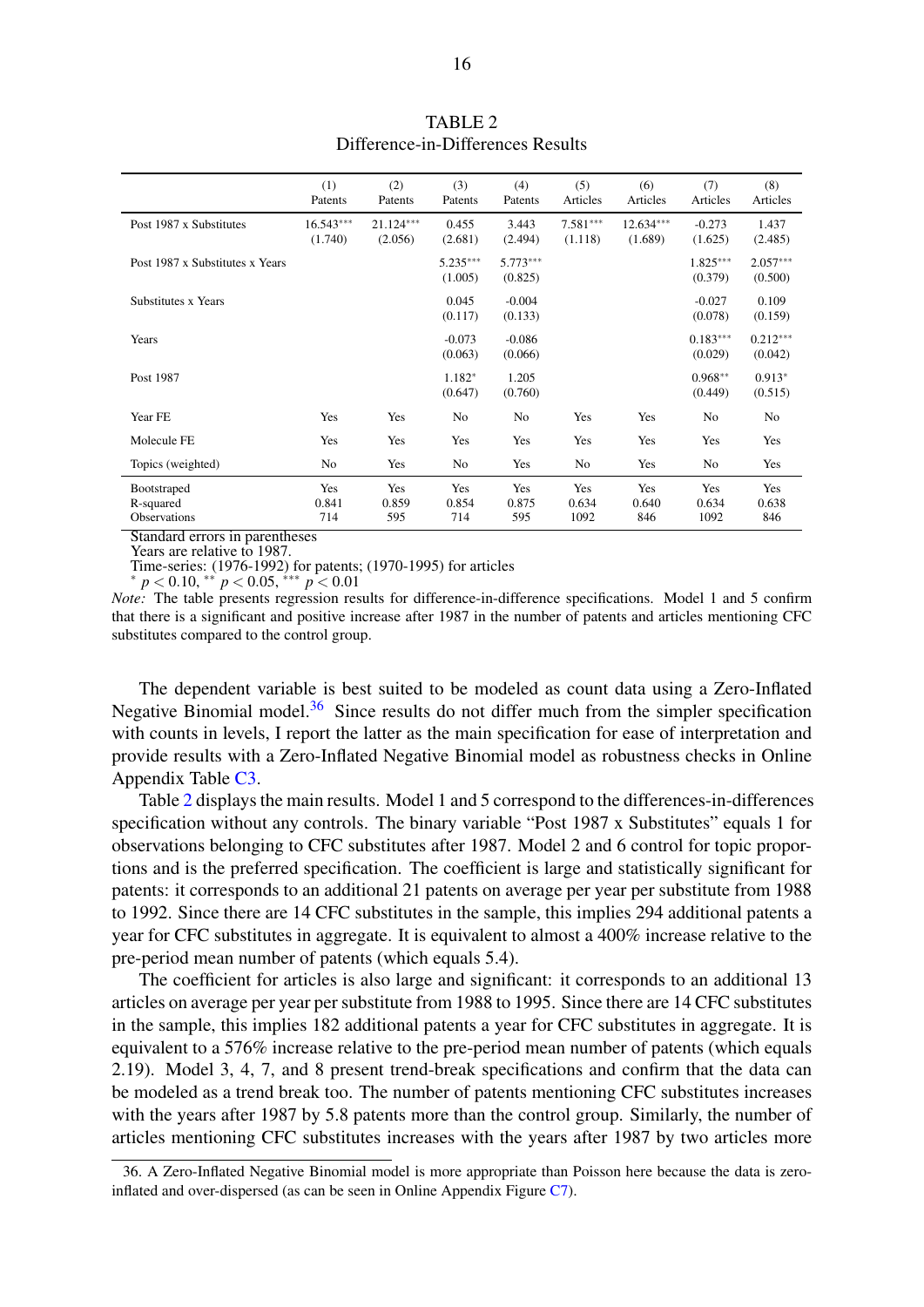<span id="page-17-0"></span>

|                                                 | (1)<br>Patents         | (2)<br>Patents         | (3)<br>Patents        | (4)<br>Patents        | (5)<br>Articles       | (6)<br>Articles        | (7)<br>Articles       | (8)<br>Articles       |
|-------------------------------------------------|------------------------|------------------------|-----------------------|-----------------------|-----------------------|------------------------|-----------------------|-----------------------|
| Post 1987 x Substitutes                         | $16.543***$<br>(1.740) | $21.124***$<br>(2.056) | 0.455<br>(2.681)      | 3.443<br>(2.494)      | $7.581***$<br>(1.118) | $12.634***$<br>(1.689) | $-0.273$<br>(1.625)   | 1.437<br>(2.485)      |
| Post 1987 x Substitutes x Years                 |                        |                        | $5.235***$<br>(1.005) | $5.773***$<br>(0.825) |                       |                        | $1.825***$<br>(0.379) | $2.057***$<br>(0.500) |
| Substitutes x Years                             |                        |                        | 0.045<br>(0.117)      | $-0.004$<br>(0.133)   |                       |                        | $-0.027$<br>(0.078)   | 0.109<br>(0.159)      |
| Years                                           |                        |                        | $-0.073$<br>(0.063)   | $-0.086$<br>(0.066)   |                       |                        | $0.183***$<br>(0.029) | $0.212***$<br>(0.042) |
| Post 1987                                       |                        |                        | 1.182*<br>(0.647)     | 1.205<br>(0.760)      |                       |                        | $0.968**$<br>(0.449)  | $0.913*$<br>(0.515)   |
| Year FE                                         | Yes                    | Yes                    | No                    | No                    | Yes                   | Yes                    | No                    | No                    |
| Molecule FE                                     | Yes                    | Yes                    | Yes                   | Yes                   | Yes                   | Yes                    | Yes                   | Yes                   |
| Topics (weighted)                               | No                     | Yes                    | No                    | Yes                   | No                    | Yes                    | No                    | Yes                   |
| Bootstraped<br>R-squared<br><b>Observations</b> | Yes<br>0.841<br>714    | Yes<br>0.859<br>595    | Yes<br>0.854<br>714   | Yes<br>0.875<br>595   | Yes<br>0.634<br>1092  | Yes<br>0.640<br>846    | Yes<br>0.634<br>1092  | Yes<br>0.638<br>846   |

TABLE 2 Difference-in-Differences Results

Standard errors in parentheses

Years are relative to 1987.

Time-series: (1976-1992) for patents; (1970-1995) for articles <sup>∗</sup> *p* < 0.10, ∗∗ *p* < 0.05, ∗∗∗ *p* < 0.01

*\**  $p < 0.10$ , \*\*  $p < 0.05$ , \*\*\*  $p < 0.01$ <br>*Note:* The table presents regression results for difference-in-difference specifications. Model 1 and 5 confirm that there is a significant and positive increase after 1987 in the number of patents and articles mentioning CFC substitutes compared to the control group.

The dependent variable is best suited to be modeled as count data using a Zero-Inflated Negative Binomial model.<sup>[36](#page-2-0)</sup> Since results do not differ much from the simpler specification with counts in levels, I report the latter as the main specification for ease of interpretation and provide results with a Zero-Inflated Negative Binomial model as robustness checks in Online Appendix Table [C3.](#page-2-0)

Table [2](#page-17-0) displays the main results. Model 1 and 5 correspond to the differences-in-differences specification without any controls. The binary variable "Post 1987 x Substitutes" equals 1 for observations belonging to CFC substitutes after 1987. Model 2 and 6 control for topic proportions and is the preferred specification. The coefficient is large and statistically significant for patents: it corresponds to an additional 21 patents on average per year per substitute from 1988 to 1992. Since there are 14 CFC substitutes in the sample, this implies 294 additional patents a year for CFC substitutes in aggregate. It is equivalent to almost a 400% increase relative to the pre-period mean number of patents (which equals 5.4).

The coefficient for articles is also large and significant: it corresponds to an additional 13 articles on average per year per substitute from 1988 to 1995. Since there are 14 CFC substitutes in the sample, this implies 182 additional patents a year for CFC substitutes in aggregate. It is equivalent to a 576% increase relative to the pre-period mean number of patents (which equals 2.19). Model 3, 4, 7, and 8 present trend-break specifications and confirm that the data can be modeled as a trend break too. The number of patents mentioning CFC substitutes increases with the years after 1987 by 5.8 patents more than the control group. Similarly, the number of articles mentioning CFC substitutes increases with the years after 1987 by two articles more

<sup>36.</sup> A Zero-Inflated Negative Binomial model is more appropriate than Poisson here because the data is zeroinflated and over-dispersed (as can be seen in Online Appendix Figure [C7\)](#page-2-0).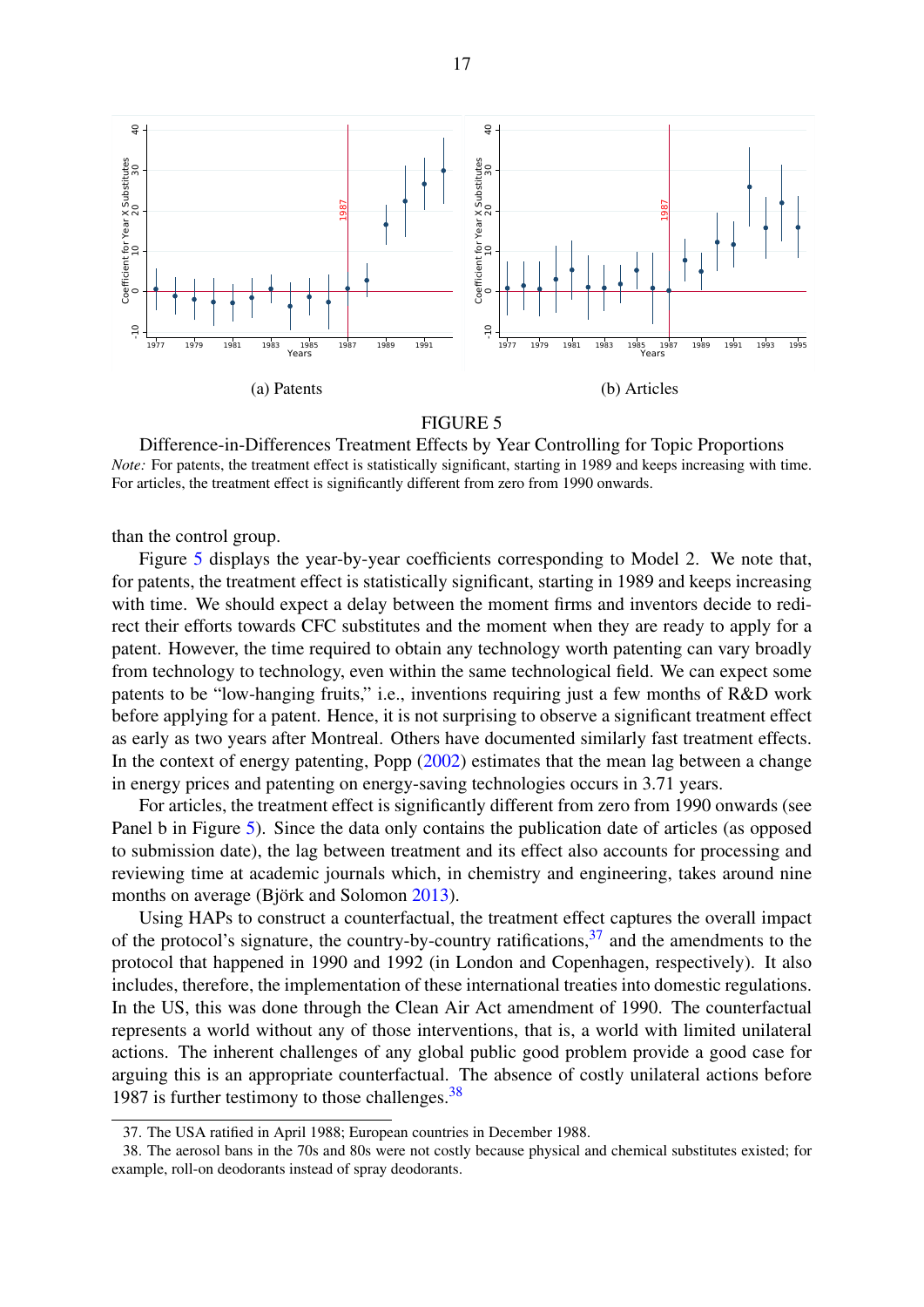<span id="page-18-0"></span>

Difference-in-Differences Treatment Effects by Year Controlling for Topic Proportions *Note:* For patents, the treatment effect is statistically significant, starting in 1989 and keeps increasing with time. For articles, the treatment effect is significantly different from zero from 1990 onwards.

than the control group.

Figure [5](#page-18-0) displays the year-by-year coefficients corresponding to Model 2. We note that, for patents, the treatment effect is statistically significant, starting in 1989 and keeps increasing with time. We should expect a delay between the moment firms and inventors decide to redirect their efforts towards CFC substitutes and the moment when they are ready to apply for a patent. However, the time required to obtain any technology worth patenting can vary broadly from technology to technology, even within the same technological field. We can expect some patents to be "low-hanging fruits," i.e., inventions requiring just a few months of R&D work before applying for a patent. Hence, it is not surprising to observe a significant treatment effect as early as two years after Montreal. Others have documented similarly fast treatment effects. In the context of energy patenting, Popp [\(2002\)](#page-33-0) estimates that the mean lag between a change in energy prices and patenting on energy-saving technologies occurs in 3.71 years.

For articles, the treatment effect is significantly different from zero from 1990 onwards (see Panel b in Figure [5\)](#page-18-0). Since the data only contains the publication date of articles (as opposed to submission date), the lag between treatment and its effect also accounts for processing and reviewing time at academic journals which, in chemistry and engineering, takes around nine months on average (Björk and Solomon [2013\)](#page-32-15).

Using HAPs to construct a counterfactual, the treatment effect captures the overall impact of the protocol's signature, the country-by-country ratifications,<sup>[37](#page-2-0)</sup> and the amendments to the protocol that happened in 1990 and 1992 (in London and Copenhagen, respectively). It also includes, therefore, the implementation of these international treaties into domestic regulations. In the US, this was done through the Clean Air Act amendment of 1990. The counterfactual represents a world without any of those interventions, that is, a world with limited unilateral actions. The inherent challenges of any global public good problem provide a good case for arguing this is an appropriate counterfactual. The absence of costly unilateral actions before 1987 is further testimony to those challenges.  $38$ 

<sup>37.</sup> The USA ratified in April 1988; European countries in December 1988.

<sup>38.</sup> The aerosol bans in the 70s and 80s were not costly because physical and chemical substitutes existed; for example, roll-on deodorants instead of spray deodorants.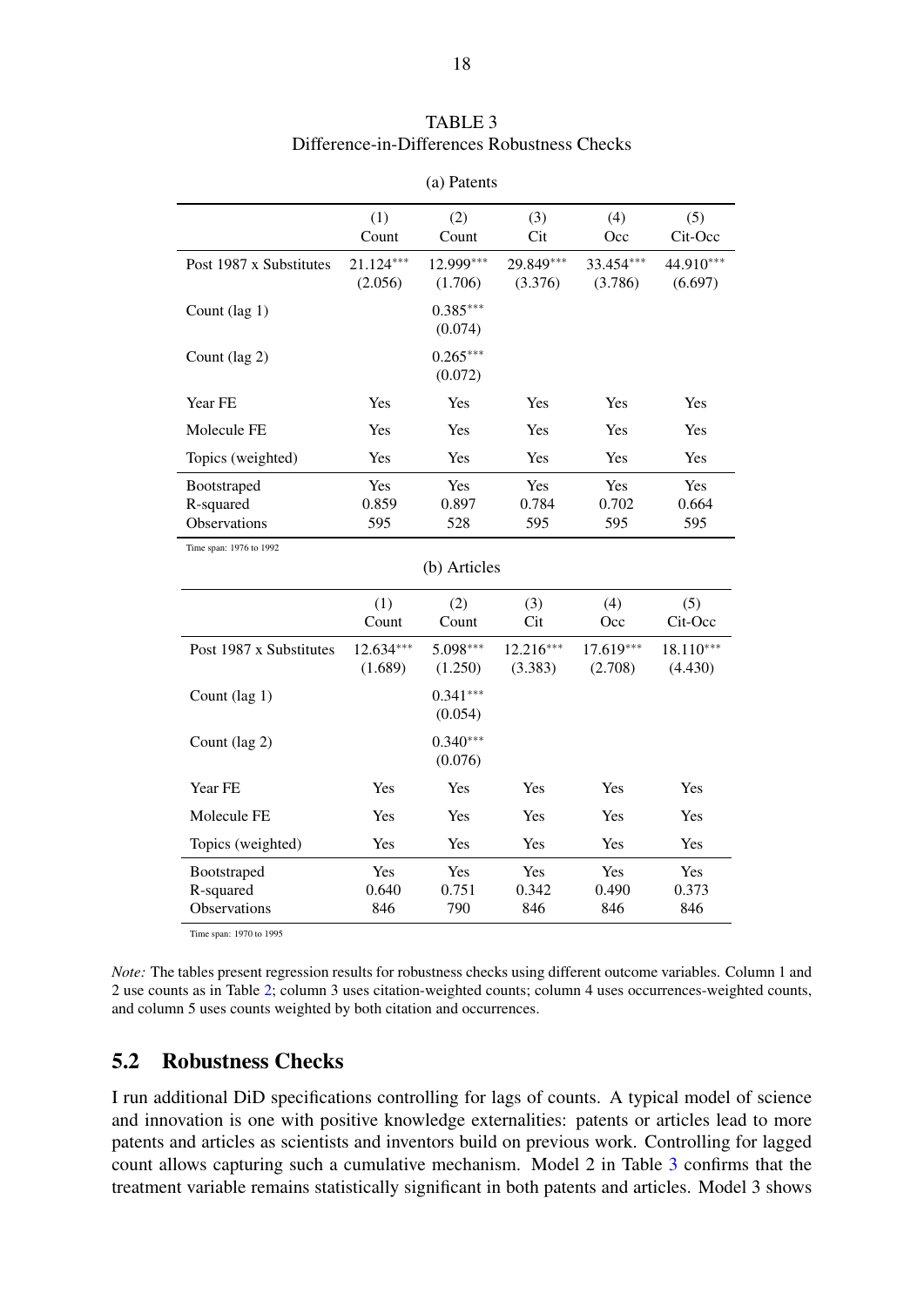<span id="page-19-1"></span>

|                                          | (1)<br>Count         | (2)<br>Count          | (3)<br>Cit             | (4)<br>Occ           | (5)<br>Cit-Occ         |  |  |
|------------------------------------------|----------------------|-----------------------|------------------------|----------------------|------------------------|--|--|
| Post 1987 x Substitutes                  | 21.124***<br>(2.056) | 12.999***<br>(1.706)  | 29.849***<br>(3.376)   | 33.454***<br>(3.786) | 44.910***<br>(6.697)   |  |  |
| Count (lag 1)                            |                      | $0.385***$<br>(0.074) |                        |                      |                        |  |  |
| Count (lag 2)                            |                      | $0.265***$<br>(0.072) |                        |                      |                        |  |  |
| Year FE                                  | Yes                  | Yes                   | Yes                    | Yes                  | Yes                    |  |  |
| Molecule FE                              | Yes                  | Yes                   | Yes                    | Yes                  | Yes                    |  |  |
| Topics (weighted)                        | Yes                  | Yes                   | Yes                    | Yes                  | Yes                    |  |  |
| Bootstraped<br>R-squared<br>Observations | Yes<br>0.859<br>595  | Yes<br>0.897<br>528   | Yes<br>0.784<br>595    | Yes<br>0.702<br>595  | Yes<br>0.664<br>595    |  |  |
| Time span: 1976 to 1992                  |                      |                       |                        |                      |                        |  |  |
| (b) Articles                             |                      |                       |                        |                      |                        |  |  |
|                                          | (1)<br>Count         | (2)<br>Count          | (3)<br>Cit             | (4)<br>Occ           | (5)<br>Cit-Occ         |  |  |
| Post 1987 x Substitutes                  | 12.634***<br>(1.689) | 5.098***<br>(1.250)   | $12.216***$<br>(3.383) | 17.619***<br>(2.708) | $18.110***$<br>(4.430) |  |  |
| Count (lag 1)                            |                      | $0.341***$<br>(0.054) |                        |                      |                        |  |  |
| Count (lag 2)                            |                      | $0.340***$<br>(0.076) |                        |                      |                        |  |  |
| Year FE                                  | Yes                  | Yes                   | Yes                    | Yes                  | Yes                    |  |  |
| Molecule FE                              | Yes                  | Yes                   | Yes                    | Yes                  | Yes                    |  |  |
| Topics (weighted)                        | Yes                  | Yes                   | Yes                    | Yes                  | Yes                    |  |  |
| Bootstraped<br>R-squared<br>Observations | Yes<br>0.640<br>846  | Yes<br>0.751<br>790   | Yes<br>0.342<br>846    | Yes<br>0.490<br>846  | Yes<br>0.373<br>846    |  |  |

(a) Patents

Time span: 1970 to 1995

*Note:* The tables present regression results for robustness checks using different outcome variables. Column 1 and 2 use counts as in Table [2;](#page-17-0) column 3 uses citation-weighted counts; column 4 uses occurrences-weighted counts, and column 5 uses counts weighted by both citation and occurrences.

## <span id="page-19-0"></span>5.2 Robustness Checks

I run additional DiD specifications controlling for lags of counts. A typical model of science and innovation is one with positive knowledge externalities: patents or articles lead to more patents and articles as scientists and inventors build on previous work. Controlling for lagged count allows capturing such a cumulative mechanism. Model 2 in Table [3](#page-19-1) confirms that the treatment variable remains statistically significant in both patents and articles. Model 3 shows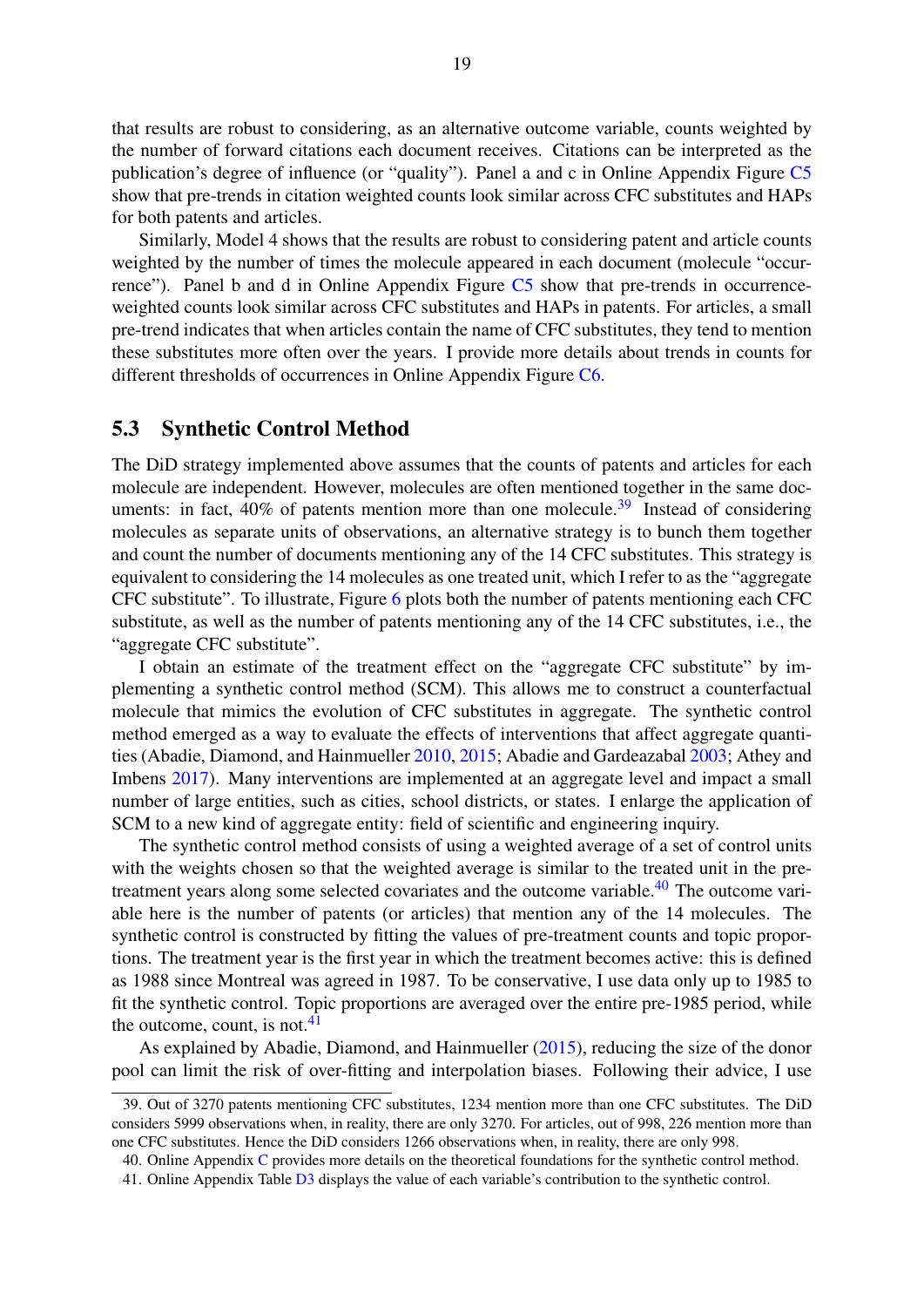that results are robust to considering, as an alternative outcome variable, counts weighted by the number of forward citations each document receives. Citations can be interpreted as the publication's degree of influence (or "quality"). Panel a and c in Online Appendix Figure [C5](#page-2-0) show that pre-trends in citation weighted counts look similar across CFC substitutes and HAPs for both patents and articles.

Similarly, Model 4 shows that the results are robust to considering patent and article counts weighted by the number of times the molecule appeared in each document (molecule "occurrence"). Panel b and d in Online Appendix Figure [C5](#page-2-0) show that pre-trends in occurrenceweighted counts look similar across CFC substitutes and HAPs in patents. For articles, a small pre-trend indicates that when articles contain the name of CFC substitutes, they tend to mention these substitutes more often over the years. I provide more details about trends in counts for different thresholds of occurrences in Online Appendix Figure [C6.](#page-2-0)

#### 5.3 Synthetic Control Method

The DiD strategy implemented above assumes that the counts of patents and articles for each molecule are independent. However, molecules are often mentioned together in the same documents: in fact,  $40\%$  of patents mention more than one molecule.<sup>[39](#page-2-0)</sup> Instead of considering molecules as separate units of observations, an alternative strategy is to bunch them together and count the number of documents mentioning any of the 14 CFC substitutes. This strategy is equivalent to considering the 14 molecules as one treated unit, which I refer to as the "aggregate CFC substitute". To illustrate, Figure [6](#page-21-0) plots both the number of patents mentioning each CFC substitute, as well as the number of patents mentioning any of the 14 CFC substitutes, i.e., the "aggregate CFC substitute".

I obtain an estimate of the treatment effect on the "aggregate CFC substitute" by implementing a synthetic control method (SCM). This allows me to construct a counterfactual molecule that mimics the evolution of CFC substitutes in aggregate. The synthetic control method emerged as a way to evaluate the effects of interventions that affect aggregate quantities (Abadie, Diamond, and Hainmueller [2010,](#page-31-12) [2015;](#page-31-13) Abadie and Gardeazabal [2003;](#page-31-14) Athey and Imbens [2017\)](#page-31-15). Many interventions are implemented at an aggregate level and impact a small number of large entities, such as cities, school districts, or states. I enlarge the application of SCM to a new kind of aggregate entity: field of scientific and engineering inquiry.

The synthetic control method consists of using a weighted average of a set of control units with the weights chosen so that the weighted average is similar to the treated unit in the pre-treatment years along some selected covariates and the outcome variable.<sup>[40](#page-2-0)</sup> The outcome variable here is the number of patents (or articles) that mention any of the 14 molecules. The synthetic control is constructed by fitting the values of pre-treatment counts and topic proportions. The treatment year is the first year in which the treatment becomes active: this is defined as 1988 since Montreal was agreed in 1987. To be conservative, I use data only up to 1985 to fit the synthetic control. Topic proportions are averaged over the entire pre-1985 period, while the outcome, count, is not.<sup>[41](#page-2-0)</sup>

As explained by Abadie, Diamond, and Hainmueller [\(2015\)](#page-31-13), reducing the size of the donor pool can limit the risk of over-fitting and interpolation biases. Following their advice, I use

<sup>39.</sup> Out of 3270 patents mentioning CFC substitutes, 1234 mention more than one CFC substitutes. The DiD considers 5999 observations when, in reality, there are only 3270. For articles, out of 998, 226 mention more than one CFC substitutes. Hence the DiD considers 1266 observations when, in reality, there are only 998.

<sup>40.</sup> Online Appendix [C](#page-2-0) provides more details on the theoretical foundations for the synthetic control method.

<sup>41.</sup> Online Appendix Table [D3](#page-2-0) displays the value of each variable's contribution to the synthetic control.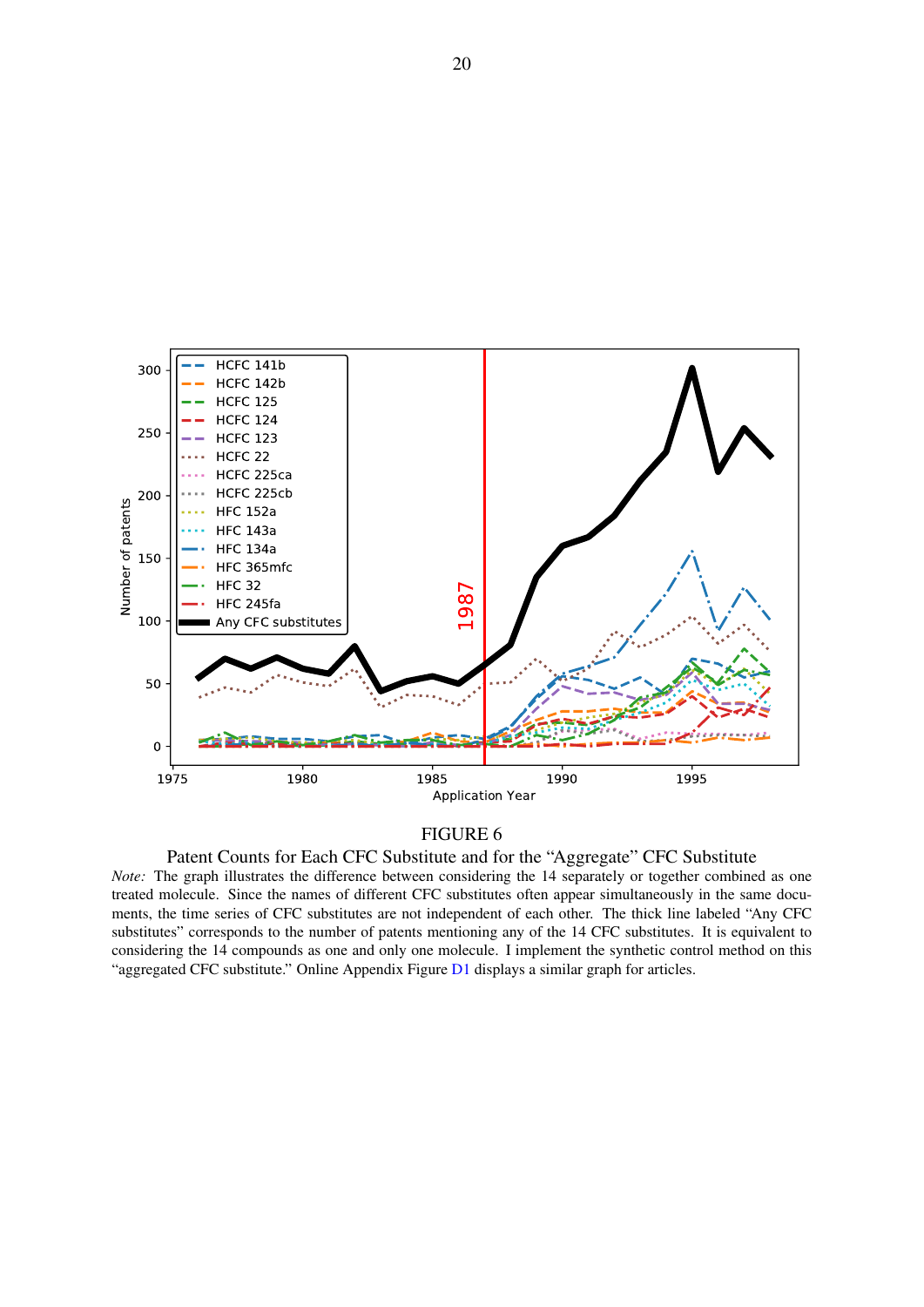<span id="page-21-0"></span>

Patent Counts for Each CFC Substitute and for the "Aggregate" CFC Substitute

*Note:* The graph illustrates the difference between considering the 14 separately or together combined as one treated molecule. Since the names of different CFC substitutes often appear simultaneously in the same documents, the time series of CFC substitutes are not independent of each other. The thick line labeled "Any CFC substitutes" corresponds to the number of patents mentioning any of the 14 CFC substitutes. It is equivalent to considering the 14 compounds as one and only one molecule. I implement the synthetic control method on this "aggregated CFC substitute." Online Appendix Figure [D1](#page-2-0) displays a similar graph for articles.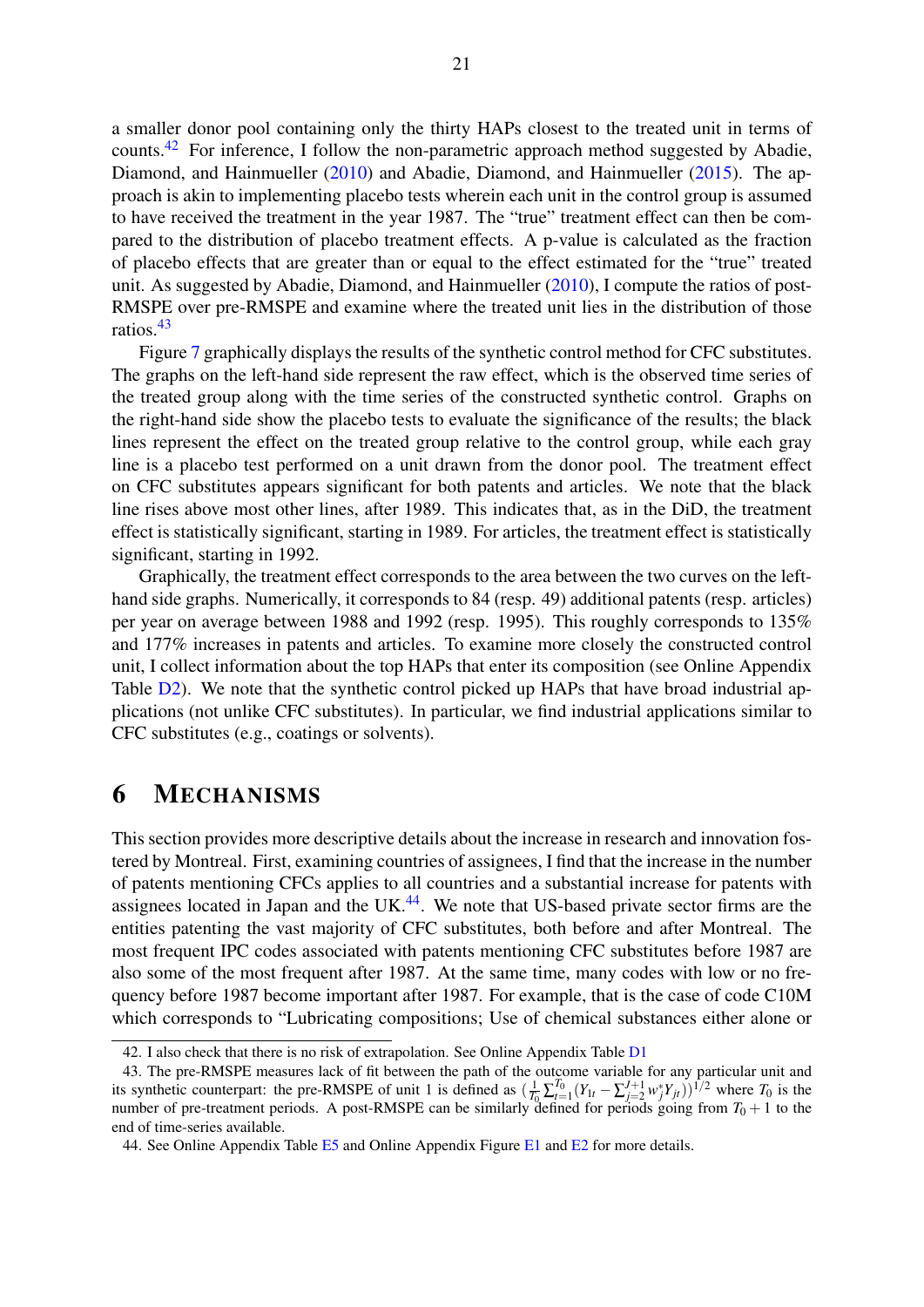a smaller donor pool containing only the thirty HAPs closest to the treated unit in terms of counts.<sup>[42](#page-2-0)</sup> For inference, I follow the non-parametric approach method suggested by Abadie, Diamond, and Hainmueller [\(2010\)](#page-31-12) and Abadie, Diamond, and Hainmueller [\(2015\)](#page-31-13). The approach is akin to implementing placebo tests wherein each unit in the control group is assumed to have received the treatment in the year 1987. The "true" treatment effect can then be compared to the distribution of placebo treatment effects. A p-value is calculated as the fraction of placebo effects that are greater than or equal to the effect estimated for the "true" treated unit. As suggested by Abadie, Diamond, and Hainmueller [\(2010\)](#page-31-12), I compute the ratios of post-RMSPE over pre-RMSPE and examine where the treated unit lies in the distribution of those ratios.[43](#page-2-0)

Figure [7](#page-23-0) graphically displays the results of the synthetic control method for CFC substitutes. The graphs on the left-hand side represent the raw effect, which is the observed time series of the treated group along with the time series of the constructed synthetic control. Graphs on the right-hand side show the placebo tests to evaluate the significance of the results; the black lines represent the effect on the treated group relative to the control group, while each gray line is a placebo test performed on a unit drawn from the donor pool. The treatment effect on CFC substitutes appears significant for both patents and articles. We note that the black line rises above most other lines, after 1989. This indicates that, as in the DiD, the treatment effect is statistically significant, starting in 1989. For articles, the treatment effect is statistically significant, starting in 1992.

Graphically, the treatment effect corresponds to the area between the two curves on the lefthand side graphs. Numerically, it corresponds to 84 (resp. 49) additional patents (resp. articles) per year on average between 1988 and 1992 (resp. 1995). This roughly corresponds to 135% and 177% increases in patents and articles. To examine more closely the constructed control unit, I collect information about the top HAPs that enter its composition (see Online Appendix Table  $D2$ ). We note that the synthetic control picked up HAPs that have broad industrial applications (not unlike CFC substitutes). In particular, we find industrial applications similar to CFC substitutes (e.g., coatings or solvents).

## <span id="page-22-0"></span>6 MECHANISMS

This section provides more descriptive details about the increase in research and innovation fostered by Montreal. First, examining countries of assignees, I find that the increase in the number of patents mentioning CFCs applies to all countries and a substantial increase for patents with assignees located in Japan and the  $UK<sup>44</sup>$  $UK<sup>44</sup>$  $UK<sup>44</sup>$ . We note that US-based private sector firms are the entities patenting the vast majority of CFC substitutes, both before and after Montreal. The most frequent IPC codes associated with patents mentioning CFC substitutes before 1987 are also some of the most frequent after 1987. At the same time, many codes with low or no frequency before 1987 become important after 1987. For example, that is the case of code C10M which corresponds to "Lubricating compositions; Use of chemical substances either alone or

<sup>42.</sup> I also check that there is no risk of extrapolation. See Online Appendix Table [D1](#page-2-0)

<sup>43.</sup> The pre-RMSPE measures lack of fit between the path of the outcome variable for any particular unit and its synthetic counterpart: the pre-RMSPE of unit 1 is defined as  $(\frac{1}{T_0}\sum_{i=1}^{T_0}(Y_{1t}-\sum_{j=2}^{J+1}w_j^*Y_{jt}))^{1/2}$  where  $T_0$  is the number of pre-treatment periods. A post-RMSPE can be similarly defined for periods going from  $T_0 + 1$  to the end of time-series available.

<sup>44.</sup> See Online Appendix Table [E5](#page-2-0) and Online Appendix Figure [E1](#page-2-0) and [E2](#page-2-0) for more details.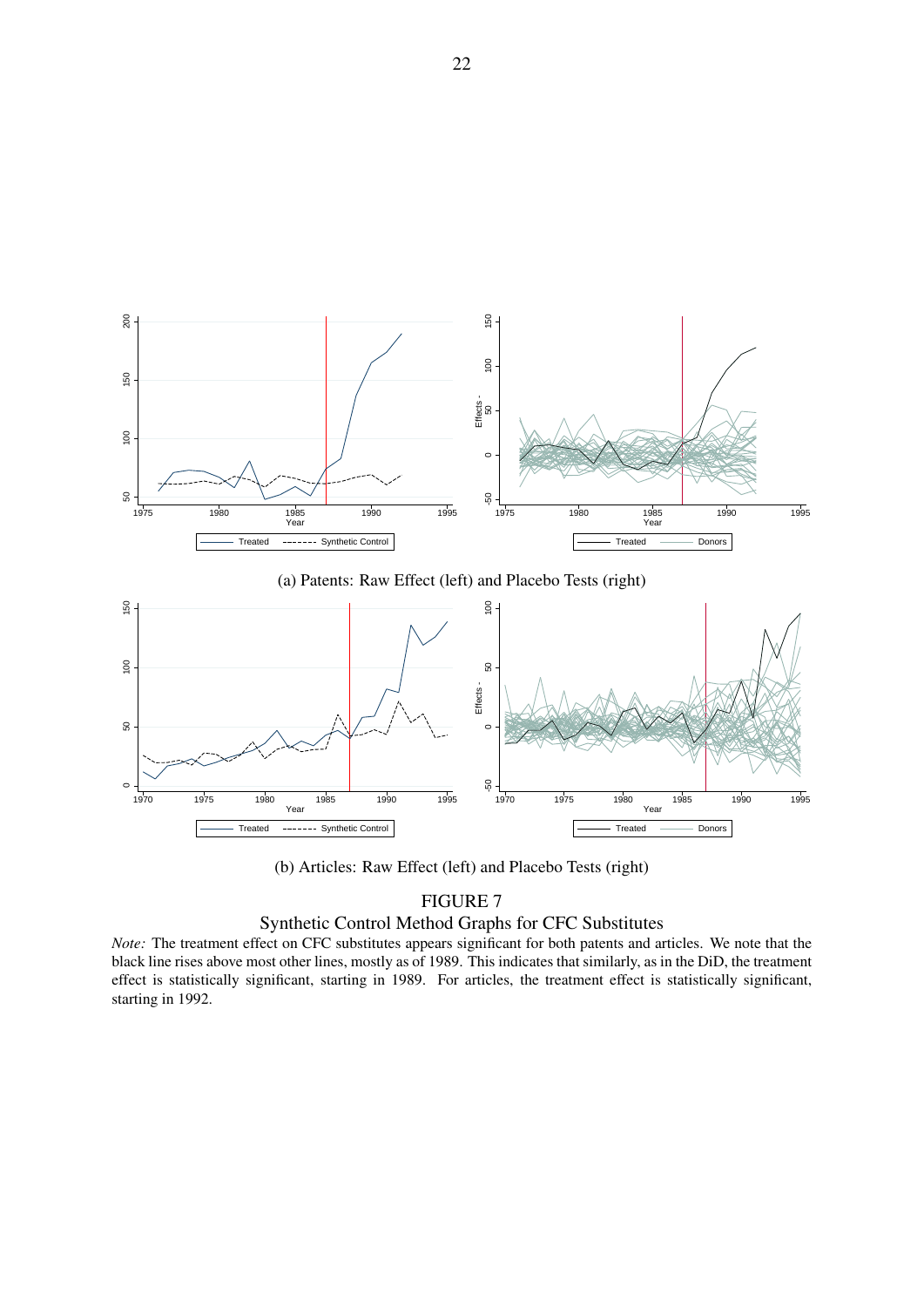<span id="page-23-0"></span>

(a) Patents: Raw Effect (left) and Placebo Tests (right)



(b) Articles: Raw Effect (left) and Placebo Tests (right)

#### Synthetic Control Method Graphs for CFC Substitutes

*Note:* The treatment effect on CFC substitutes appears significant for both patents and articles. We note that the black line rises above most other lines, mostly as of 1989. This indicates that similarly, as in the DiD, the treatment effect is statistically significant, starting in 1989. For articles, the treatment effect is statistically significant, starting in 1992.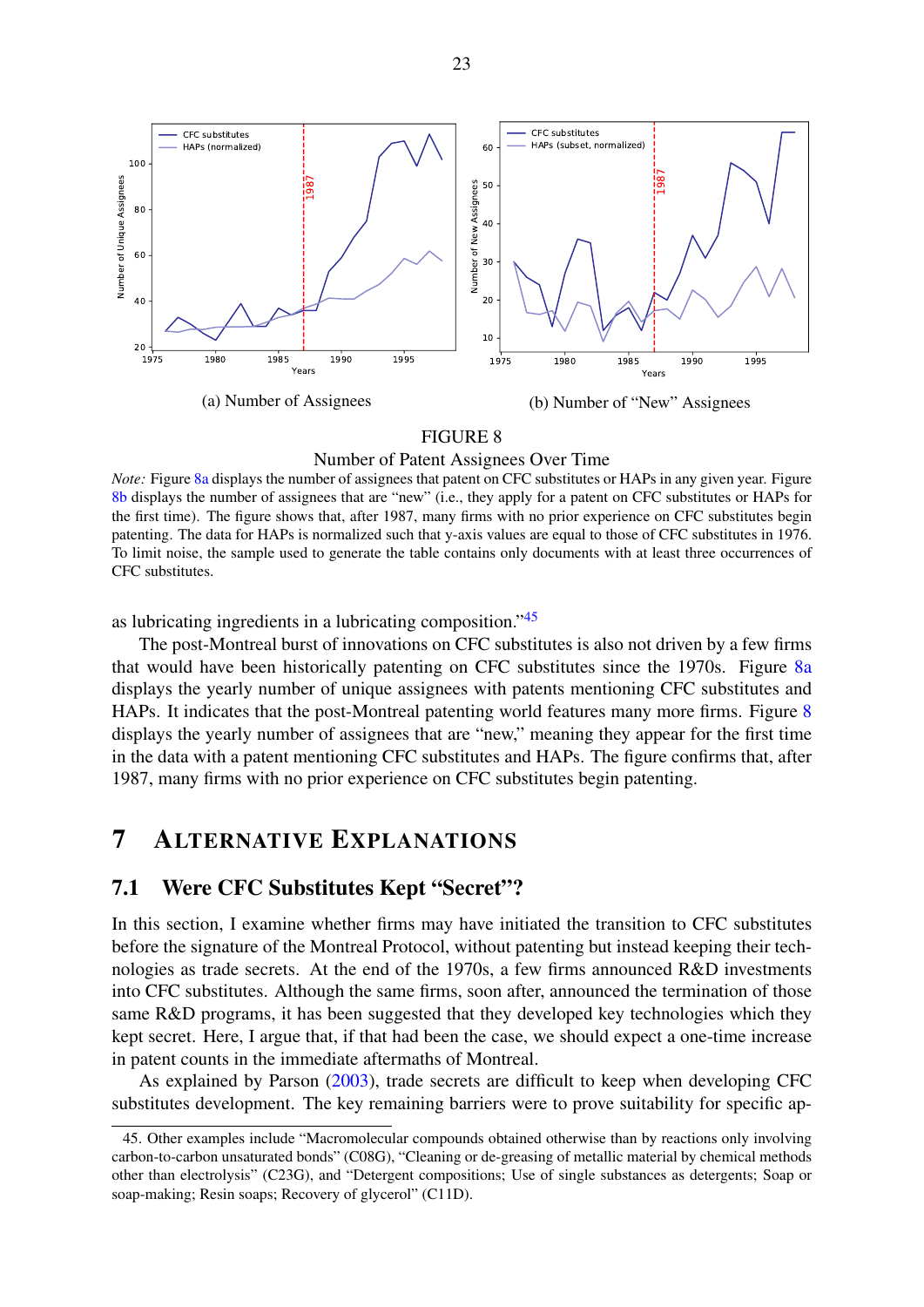<span id="page-24-1"></span>

#### Number of Patent Assignees Over Time

*Note:* Figure [8a](#page-24-1) displays the number of assignees that patent on CFC substitutes or HAPs in any given year. Figure [8b](#page-24-1) displays the number of assignees that are "new" (i.e., they apply for a patent on CFC substitutes or HAPs for the first time). The figure shows that, after 1987, many firms with no prior experience on CFC substitutes begin patenting. The data for HAPs is normalized such that y-axis values are equal to those of CFC substitutes in 1976. To limit noise, the sample used to generate the table contains only documents with at least three occurrences of CFC substitutes.

as lubricating ingredients in a lubricating composition."[45](#page-2-0)

The post-Montreal burst of innovations on CFC substitutes is also not driven by a few firms that would have been historically patenting on CFC substitutes since the 1970s. Figure [8a](#page-24-1) displays the yearly number of unique assignees with patents mentioning CFC substitutes and HAPs. It indicates that the post-Montreal patenting world features many more firms. Figure [8](#page-24-1) displays the yearly number of assignees that are "new," meaning they appear for the first time in the data with a patent mentioning CFC substitutes and HAPs. The figure confirms that, after 1987, many firms with no prior experience on CFC substitutes begin patenting.

## <span id="page-24-0"></span>7 ALTERNATIVE EXPLANATIONS

#### 7.1 Were CFC Substitutes Kept "Secret"?

In this section, I examine whether firms may have initiated the transition to CFC substitutes before the signature of the Montreal Protocol, without patenting but instead keeping their technologies as trade secrets. At the end of the 1970s, a few firms announced R&D investments into CFC substitutes. Although the same firms, soon after, announced the termination of those same R&D programs, it has been suggested that they developed key technologies which they kept secret. Here, I argue that, if that had been the case, we should expect a one-time increase in patent counts in the immediate aftermaths of Montreal.

As explained by Parson [\(2003\)](#page-33-1), trade secrets are difficult to keep when developing CFC substitutes development. The key remaining barriers were to prove suitability for specific ap-

<sup>45.</sup> Other examples include "Macromolecular compounds obtained otherwise than by reactions only involving carbon-to-carbon unsaturated bonds" (C08G), "Cleaning or de-greasing of metallic material by chemical methods other than electrolysis" (C23G), and "Detergent compositions; Use of single substances as detergents; Soap or soap-making; Resin soaps; Recovery of glycerol" (C11D).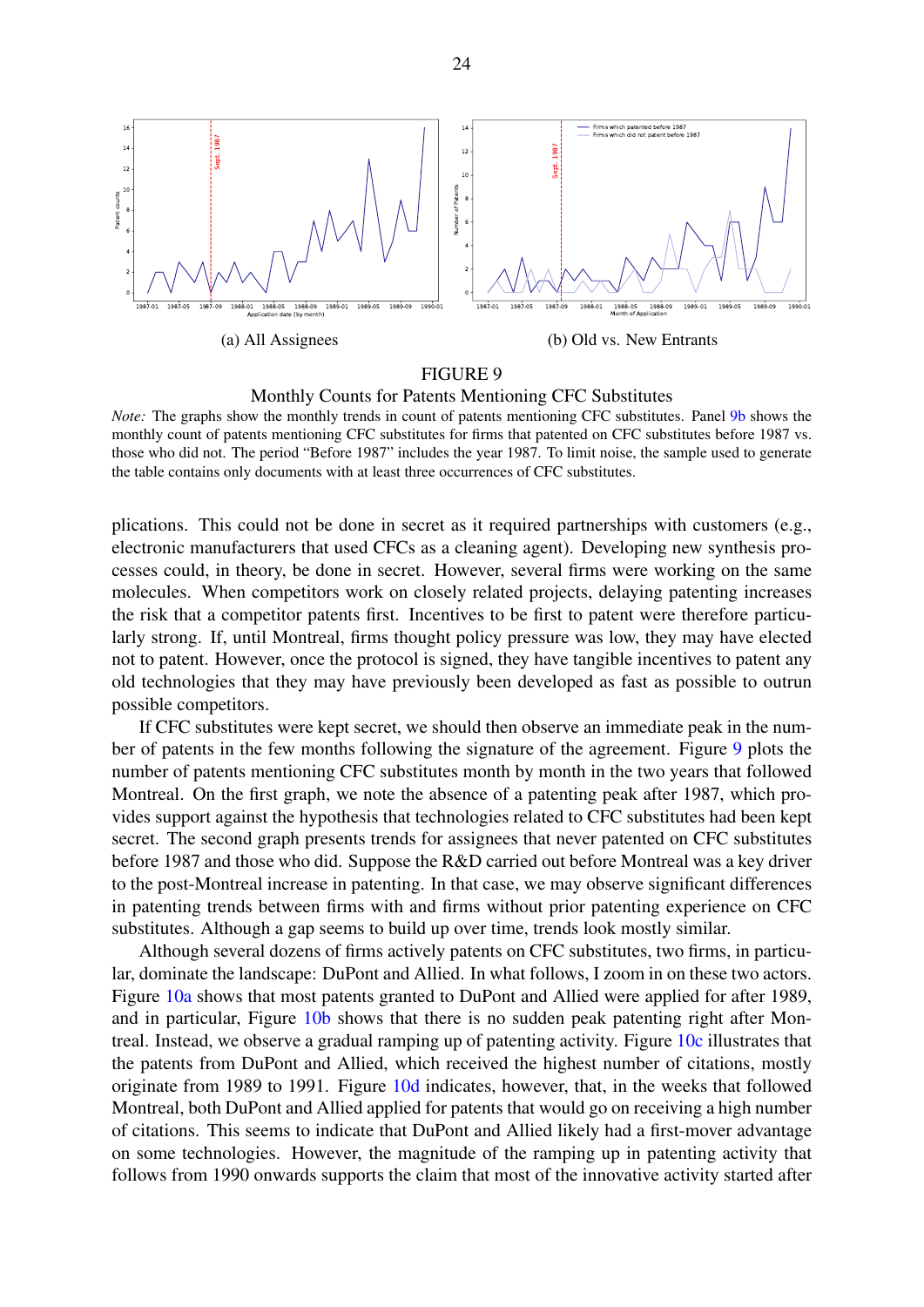<span id="page-25-0"></span>



*Note:* The graphs show the monthly trends in count of patents mentioning CFC substitutes. Panel [9b](#page-25-0) shows the monthly count of patents mentioning CFC substitutes for firms that patented on CFC substitutes before 1987 vs. those who did not. The period "Before 1987" includes the year 1987. To limit noise, the sample used to generate the table contains only documents with at least three occurrences of CFC substitutes.

plications. This could not be done in secret as it required partnerships with customers (e.g., electronic manufacturers that used CFCs as a cleaning agent). Developing new synthesis processes could, in theory, be done in secret. However, several firms were working on the same molecules. When competitors work on closely related projects, delaying patenting increases the risk that a competitor patents first. Incentives to be first to patent were therefore particularly strong. If, until Montreal, firms thought policy pressure was low, they may have elected not to patent. However, once the protocol is signed, they have tangible incentives to patent any old technologies that they may have previously been developed as fast as possible to outrun possible competitors.

If CFC substitutes were kept secret, we should then observe an immediate peak in the number of patents in the few months following the signature of the agreement. Figure [9](#page-25-0) plots the number of patents mentioning CFC substitutes month by month in the two years that followed Montreal. On the first graph, we note the absence of a patenting peak after 1987, which provides support against the hypothesis that technologies related to CFC substitutes had been kept secret. The second graph presents trends for assignees that never patented on CFC substitutes before 1987 and those who did. Suppose the R&D carried out before Montreal was a key driver to the post-Montreal increase in patenting. In that case, we may observe significant differences in patenting trends between firms with and firms without prior patenting experience on CFC substitutes. Although a gap seems to build up over time, trends look mostly similar.

Although several dozens of firms actively patents on CFC substitutes, two firms, in particular, dominate the landscape: DuPont and Allied. In what follows, I zoom in on these two actors. Figure [10a](#page-26-0) shows that most patents granted to DuPont and Allied were applied for after 1989, and in particular, Figure [10b](#page-26-0) shows that there is no sudden peak patenting right after Montreal. Instead, we observe a gradual ramping up of patenting activity. Figure [10c](#page-26-0) illustrates that the patents from DuPont and Allied, which received the highest number of citations, mostly originate from 1989 to 1991. Figure [10d](#page-26-0) indicates, however, that, in the weeks that followed Montreal, both DuPont and Allied applied for patents that would go on receiving a high number of citations. This seems to indicate that DuPont and Allied likely had a first-mover advantage on some technologies. However, the magnitude of the ramping up in patenting activity that follows from 1990 onwards supports the claim that most of the innovative activity started after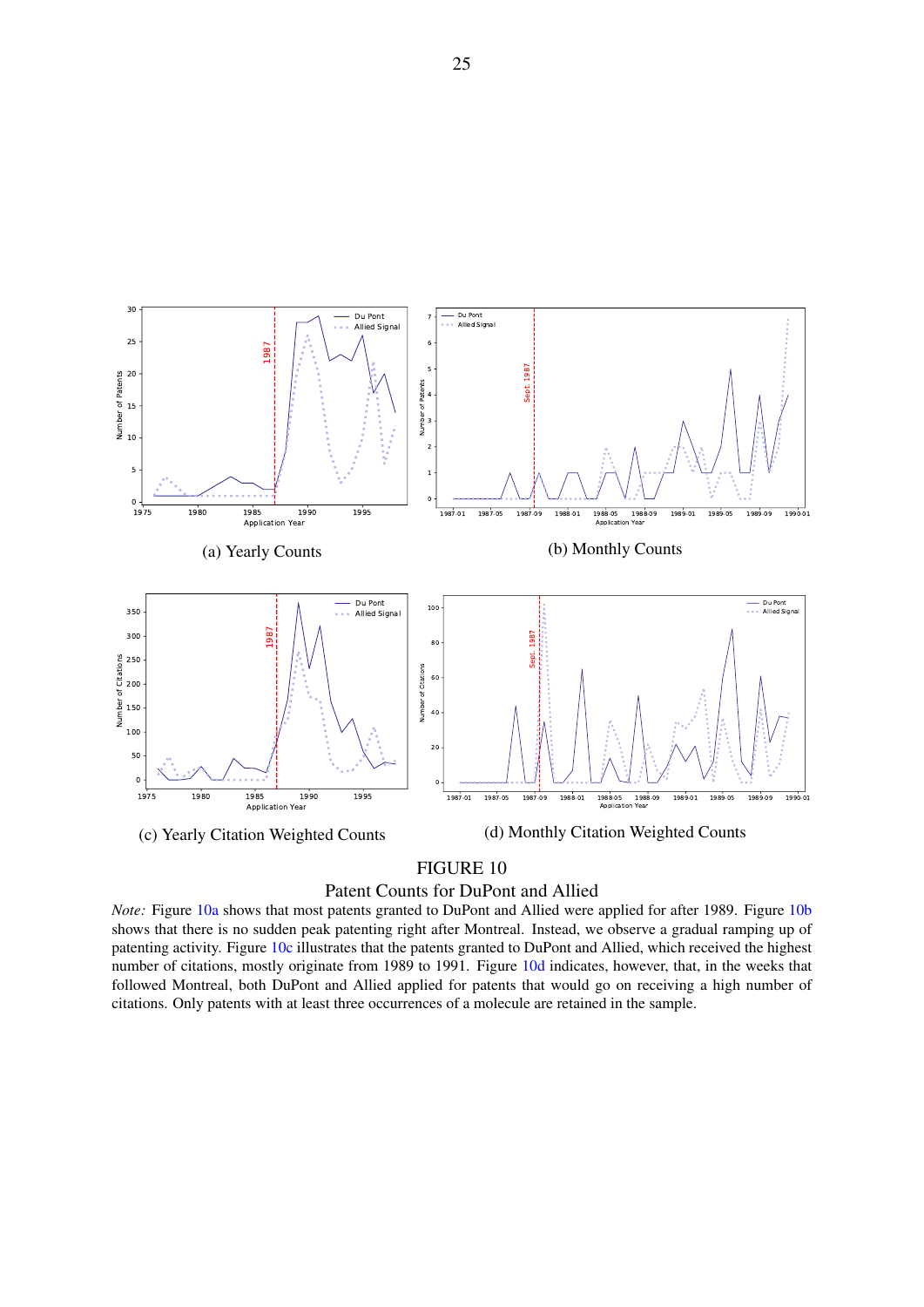<span id="page-26-0"></span>



*Note:* Figure [10a](#page-26-0) shows that most patents granted to DuPont and Allied were applied for after 1989. Figure [10b](#page-26-0) shows that there is no sudden peak patenting right after Montreal. Instead, we observe a gradual ramping up of patenting activity. Figure [10c](#page-26-0) illustrates that the patents granted to DuPont and Allied, which received the highest number of citations, mostly originate from 1989 to 1991. Figure [10d](#page-26-0) indicates, however, that, in the weeks that followed Montreal, both DuPont and Allied applied for patents that would go on receiving a high number of citations. Only patents with at least three occurrences of a molecule are retained in the sample.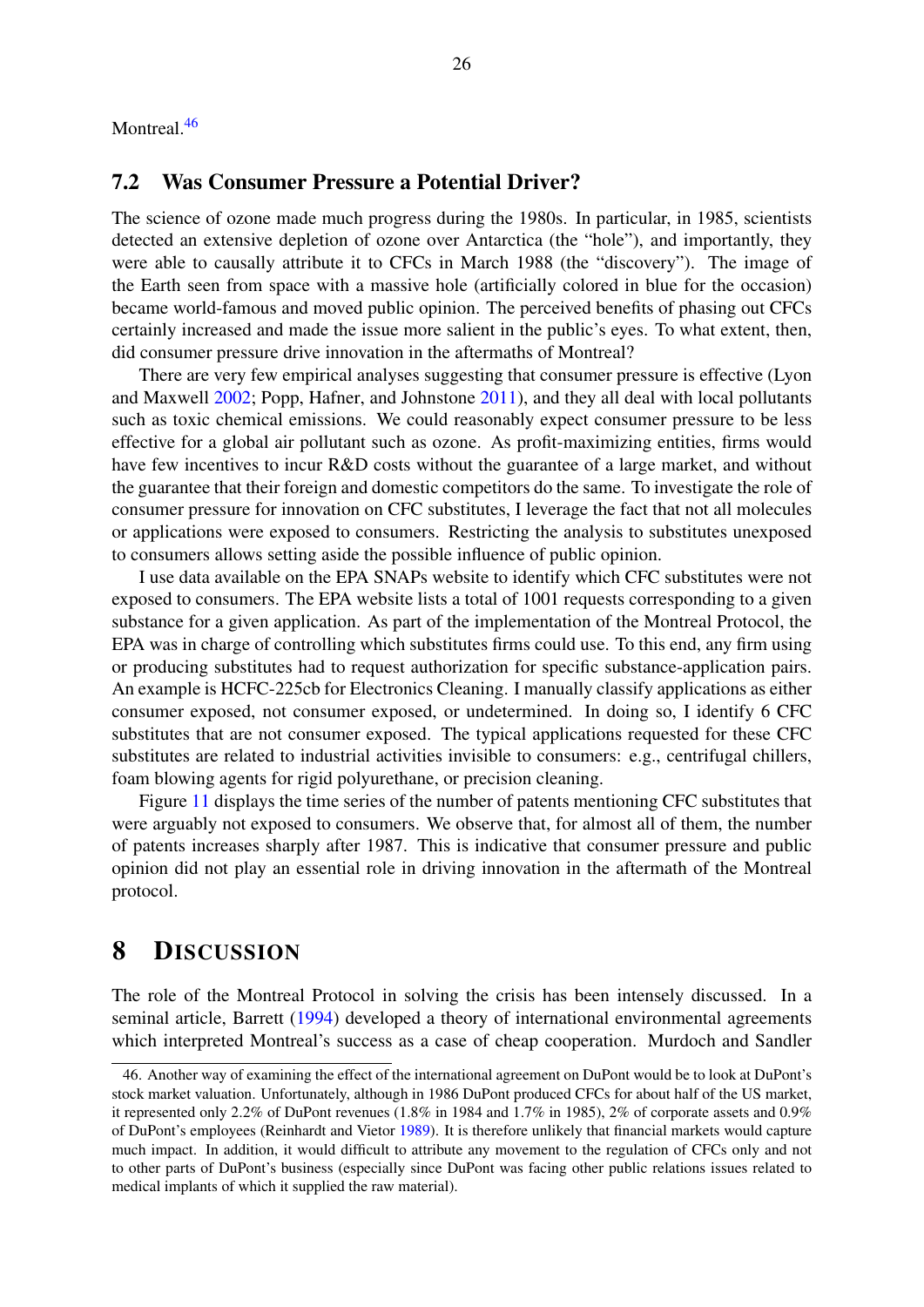Montreal.<sup>[46](#page-2-0)</sup>

#### 7.2 Was Consumer Pressure a Potential Driver?

The science of ozone made much progress during the 1980s. In particular, in 1985, scientists detected an extensive depletion of ozone over Antarctica (the "hole"), and importantly, they were able to causally attribute it to CFCs in March 1988 (the "discovery"). The image of the Earth seen from space with a massive hole (artificially colored in blue for the occasion) became world-famous and moved public opinion. The perceived benefits of phasing out CFCs certainly increased and made the issue more salient in the public's eyes. To what extent, then, did consumer pressure drive innovation in the aftermaths of Montreal?

There are very few empirical analyses suggesting that consumer pressure is effective (Lyon and Maxwell [2002;](#page-33-13) Popp, Hafner, and Johnstone [2011\)](#page-33-14), and they all deal with local pollutants such as toxic chemical emissions. We could reasonably expect consumer pressure to be less effective for a global air pollutant such as ozone. As profit-maximizing entities, firms would have few incentives to incur R&D costs without the guarantee of a large market, and without the guarantee that their foreign and domestic competitors do the same. To investigate the role of consumer pressure for innovation on CFC substitutes, I leverage the fact that not all molecules or applications were exposed to consumers. Restricting the analysis to substitutes unexposed to consumers allows setting aside the possible influence of public opinion.

I use data available on the EPA SNAPs website to identify which CFC substitutes were not exposed to consumers. The EPA website lists a total of 1001 requests corresponding to a given substance for a given application. As part of the implementation of the Montreal Protocol, the EPA was in charge of controlling which substitutes firms could use. To this end, any firm using or producing substitutes had to request authorization for specific substance-application pairs. An example is HCFC-225cb for Electronics Cleaning. I manually classify applications as either consumer exposed, not consumer exposed, or undetermined. In doing so, I identify 6 CFC substitutes that are not consumer exposed. The typical applications requested for these CFC substitutes are related to industrial activities invisible to consumers: e.g., centrifugal chillers, foam blowing agents for rigid polyurethane, or precision cleaning.

Figure [11](#page-28-0) displays the time series of the number of patents mentioning CFC substitutes that were arguably not exposed to consumers. We observe that, for almost all of them, the number of patents increases sharply after 1987. This is indicative that consumer pressure and public opinion did not play an essential role in driving innovation in the aftermath of the Montreal protocol.

## <span id="page-27-0"></span>8 DISCUSSION

The role of the Montreal Protocol in solving the crisis has been intensely discussed. In a seminal article, Barrett [\(1994\)](#page-31-1) developed a theory of international environmental agreements which interpreted Montreal's success as a case of cheap cooperation. Murdoch and Sandler

<sup>46.</sup> Another way of examining the effect of the international agreement on DuPont would be to look at DuPont's stock market valuation. Unfortunately, although in 1986 DuPont produced CFCs for about half of the US market, it represented only 2.2% of DuPont revenues (1.8% in 1984 and 1.7% in 1985), 2% of corporate assets and 0.9% of DuPont's employees (Reinhardt and Vietor [1989\)](#page-34-13). It is therefore unlikely that financial markets would capture much impact. In addition, it would difficult to attribute any movement to the regulation of CFCs only and not to other parts of DuPont's business (especially since DuPont was facing other public relations issues related to medical implants of which it supplied the raw material).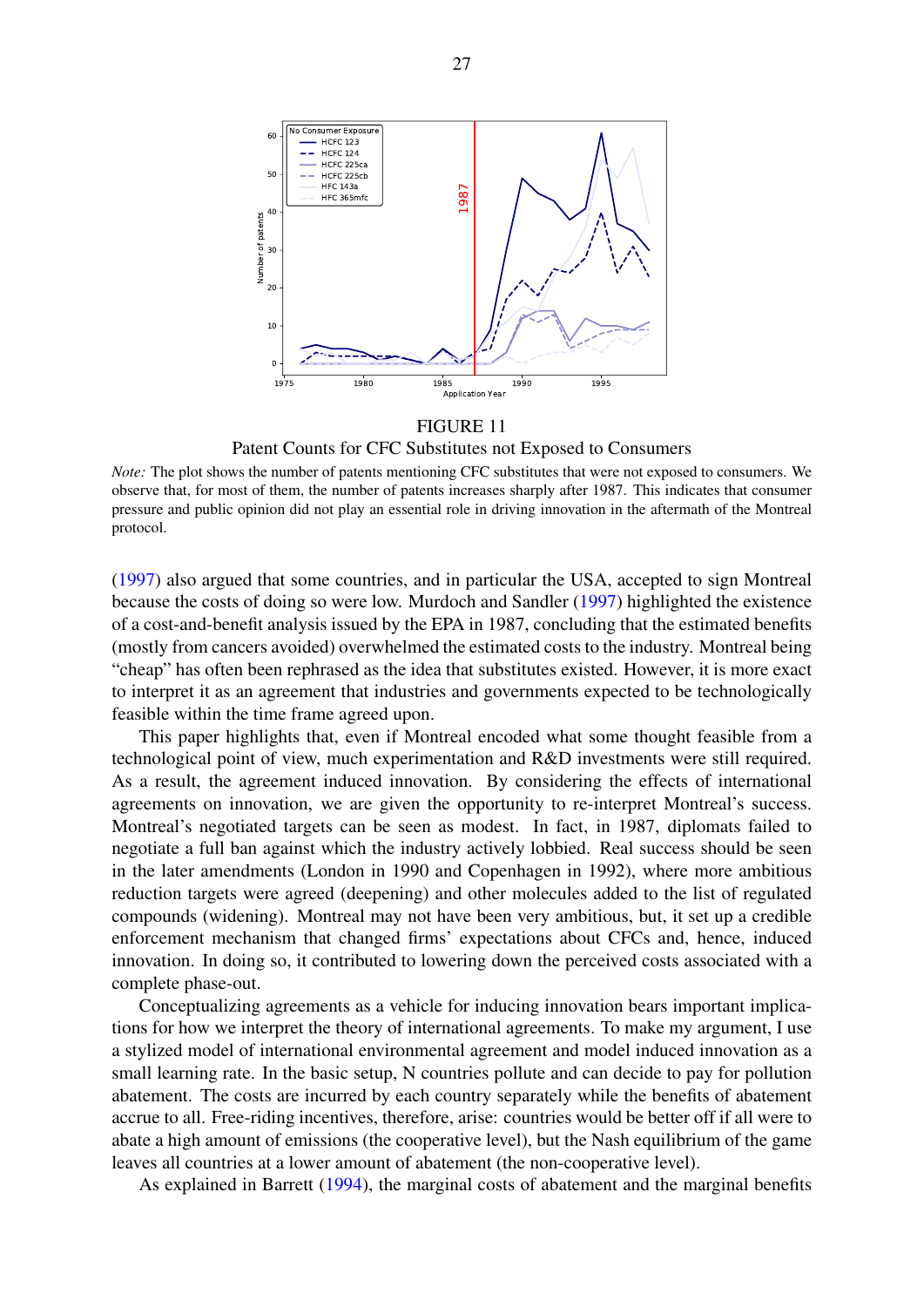<span id="page-28-0"></span>

Patent Counts for CFC Substitutes not Exposed to Consumers

*Note:* The plot shows the number of patents mentioning CFC substitutes that were not exposed to consumers. We observe that, for most of them, the number of patents increases sharply after 1987. This indicates that consumer pressure and public opinion did not play an essential role in driving innovation in the aftermath of the Montreal protocol.

[\(1997\)](#page-33-15) also argued that some countries, and in particular the USA, accepted to sign Montreal because the costs of doing so were low. Murdoch and Sandler [\(1997\)](#page-33-15) highlighted the existence of a cost-and-benefit analysis issued by the EPA in 1987, concluding that the estimated benefits (mostly from cancers avoided) overwhelmed the estimated costs to the industry. Montreal being "cheap" has often been rephrased as the idea that substitutes existed. However, it is more exact to interpret it as an agreement that industries and governments expected to be technologically feasible within the time frame agreed upon.

This paper highlights that, even if Montreal encoded what some thought feasible from a technological point of view, much experimentation and R&D investments were still required. As a result, the agreement induced innovation. By considering the effects of international agreements on innovation, we are given the opportunity to re-interpret Montreal's success. Montreal's negotiated targets can be seen as modest. In fact, in 1987, diplomats failed to negotiate a full ban against which the industry actively lobbied. Real success should be seen in the later amendments (London in 1990 and Copenhagen in 1992), where more ambitious reduction targets were agreed (deepening) and other molecules added to the list of regulated compounds (widening). Montreal may not have been very ambitious, but, it set up a credible enforcement mechanism that changed firms' expectations about CFCs and, hence, induced innovation. In doing so, it contributed to lowering down the perceived costs associated with a complete phase-out.

Conceptualizing agreements as a vehicle for inducing innovation bears important implications for how we interpret the theory of international agreements. To make my argument, I use a stylized model of international environmental agreement and model induced innovation as a small learning rate. In the basic setup, N countries pollute and can decide to pay for pollution abatement. The costs are incurred by each country separately while the benefits of abatement accrue to all. Free-riding incentives, therefore, arise: countries would be better off if all were to abate a high amount of emissions (the cooperative level), but the Nash equilibrium of the game leaves all countries at a lower amount of abatement (the non-cooperative level).

As explained in Barrett [\(1994\)](#page-31-1), the marginal costs of abatement and the marginal benefits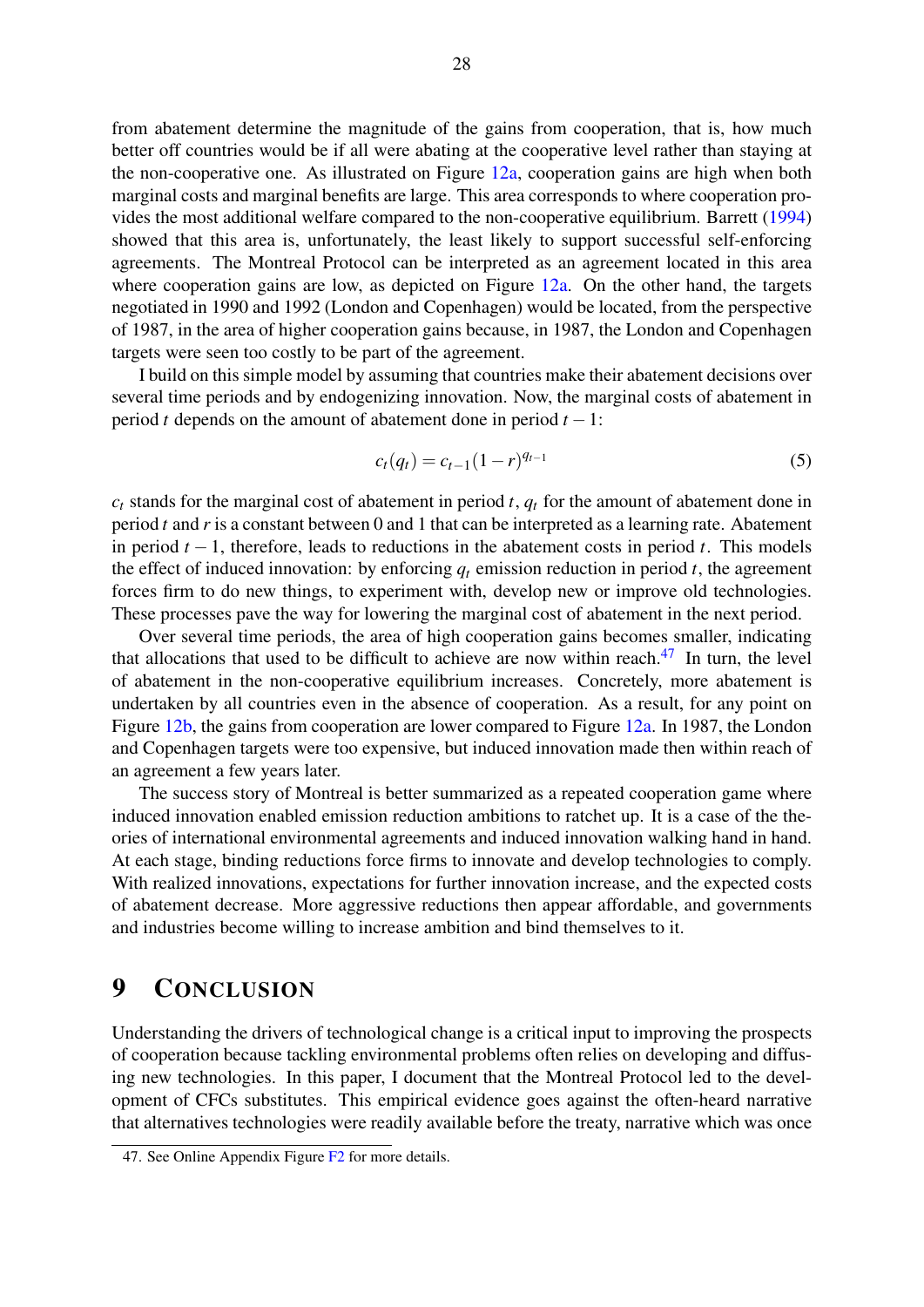from abatement determine the magnitude of the gains from cooperation, that is, how much better off countries would be if all were abating at the cooperative level rather than staying at the non-cooperative one. As illustrated on Figure [12a,](#page-30-0) cooperation gains are high when both marginal costs and marginal benefits are large. This area corresponds to where cooperation provides the most additional welfare compared to the non-cooperative equilibrium. Barrett [\(1994\)](#page-31-1) showed that this area is, unfortunately, the least likely to support successful self-enforcing agreements. The Montreal Protocol can be interpreted as an agreement located in this area where cooperation gains are low, as depicted on Figure [12a.](#page-30-0) On the other hand, the targets negotiated in 1990 and 1992 (London and Copenhagen) would be located, from the perspective of 1987, in the area of higher cooperation gains because, in 1987, the London and Copenhagen targets were seen too costly to be part of the agreement.

I build on this simple model by assuming that countries make their abatement decisions over several time periods and by endogenizing innovation. Now, the marginal costs of abatement in period *t* depends on the amount of abatement done in period *t* −1:

$$
c_t(q_t) = c_{t-1}(1-r)^{q_{t-1}}
$$
\n(5)

 $c_t$  stands for the marginal cost of abatement in period *t*,  $q_t$  for the amount of abatement done in period *t* and *r* is a constant between 0 and 1 that can be interpreted as a learning rate. Abatement in period *t* − 1, therefore, leads to reductions in the abatement costs in period *t*. This models the effect of induced innovation: by enforcing  $q_t$  emission reduction in period  $t$ , the agreement forces firm to do new things, to experiment with, develop new or improve old technologies. These processes pave the way for lowering the marginal cost of abatement in the next period.

Over several time periods, the area of high cooperation gains becomes smaller, indicating that allocations that used to be difficult to achieve are now within reach. $47$  In turn, the level of abatement in the non-cooperative equilibrium increases. Concretely, more abatement is undertaken by all countries even in the absence of cooperation. As a result, for any point on Figure [12b,](#page-30-0) the gains from cooperation are lower compared to Figure [12a.](#page-30-0) In 1987, the London and Copenhagen targets were too expensive, but induced innovation made then within reach of an agreement a few years later.

The success story of Montreal is better summarized as a repeated cooperation game where induced innovation enabled emission reduction ambitions to ratchet up. It is a case of the theories of international environmental agreements and induced innovation walking hand in hand. At each stage, binding reductions force firms to innovate and develop technologies to comply. With realized innovations, expectations for further innovation increase, and the expected costs of abatement decrease. More aggressive reductions then appear affordable, and governments and industries become willing to increase ambition and bind themselves to it.

## <span id="page-29-0"></span>9 CONCLUSION

Understanding the drivers of technological change is a critical input to improving the prospects of cooperation because tackling environmental problems often relies on developing and diffusing new technologies. In this paper, I document that the Montreal Protocol led to the development of CFCs substitutes. This empirical evidence goes against the often-heard narrative that alternatives technologies were readily available before the treaty, narrative which was once

<sup>47.</sup> See Online Appendix Figure [F2](#page-2-0) for more details.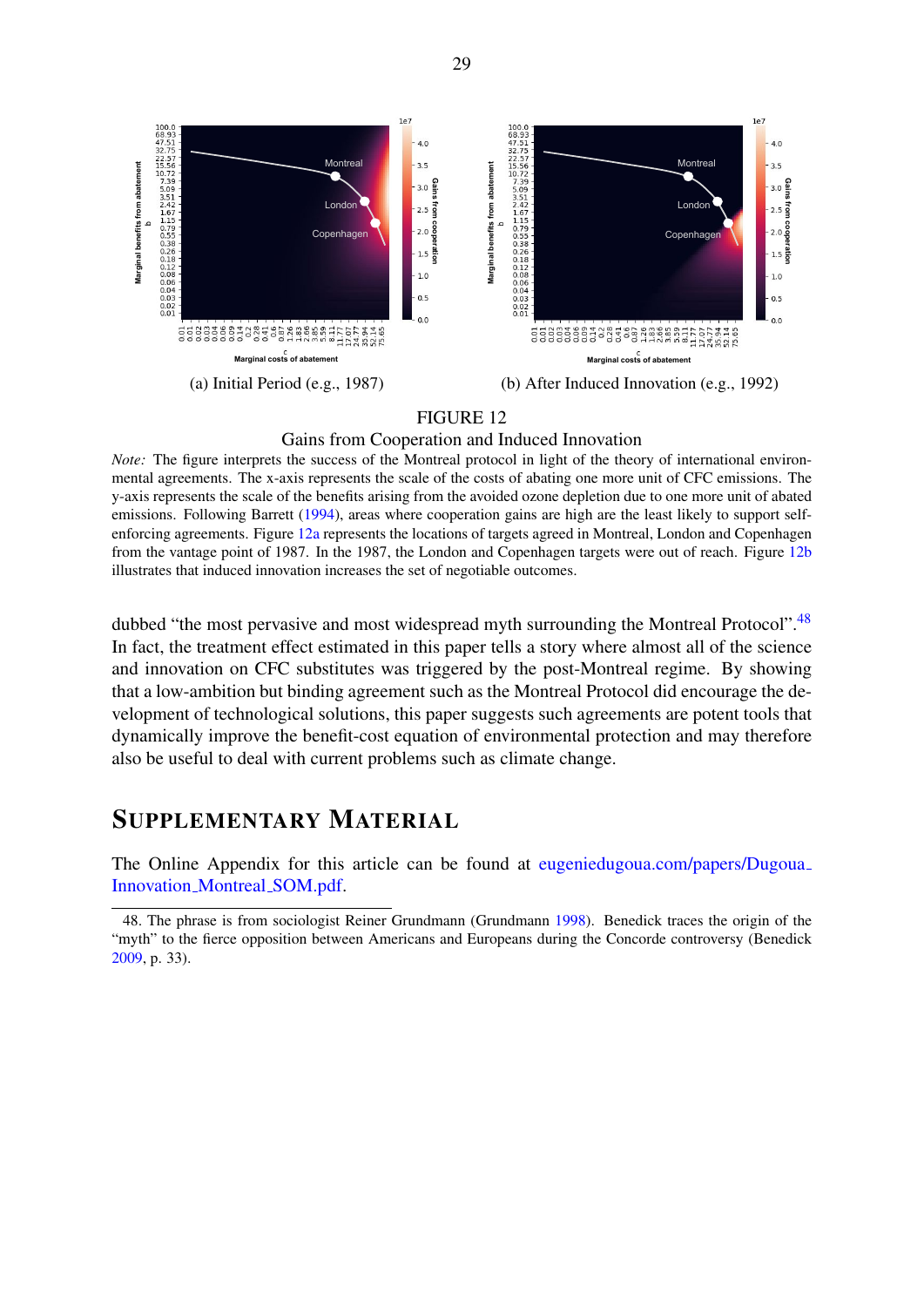<span id="page-30-0"></span>

## Gains from Cooperation and Induced Innovation

*Note:* The figure interprets the success of the Montreal protocol in light of the theory of international environmental agreements. The x-axis represents the scale of the costs of abating one more unit of CFC emissions. The y-axis represents the scale of the benefits arising from the avoided ozone depletion due to one more unit of abated emissions. Following Barrett [\(1994\)](#page-31-1), areas where cooperation gains are high are the least likely to support selfenforcing agreements. Figure [12a](#page-30-0) represents the locations of targets agreed in Montreal, London and Copenhagen from the vantage point of 1987. In the 1987, the London and Copenhagen targets were out of reach. Figure [12b](#page-30-0) illustrates that induced innovation increases the set of negotiable outcomes.

dubbed "the most pervasive and most widespread myth surrounding the Montreal Protocol".<sup>[48](#page-2-0)</sup> In fact, the treatment effect estimated in this paper tells a story where almost all of the science and innovation on CFC substitutes was triggered by the post-Montreal regime. By showing that a low-ambition but binding agreement such as the Montreal Protocol did encourage the development of technological solutions, this paper suggests such agreements are potent tools that dynamically improve the benefit-cost equation of environmental protection and may therefore also be useful to deal with current problems such as climate change.

## SUPPLEMENTARY MATERIAL

The Online Appendix for this article can be found at [eugeniedugoua.com/papers/Dugoua](eugeniedugoua.com/papers/Dugoua_Innovation_Montreal_SOM.pdf)\_ [Innovation](eugeniedugoua.com/papers/Dugoua_Innovation_Montreal_SOM.pdf) Montreal SOM.pdf.

<sup>48.</sup> The phrase is from sociologist Reiner Grundmann (Grundmann [1998\)](#page-32-16). Benedick traces the origin of the "myth" to the fierce opposition between Americans and Europeans during the Concorde controversy (Benedick [2009,](#page-32-1) p. 33).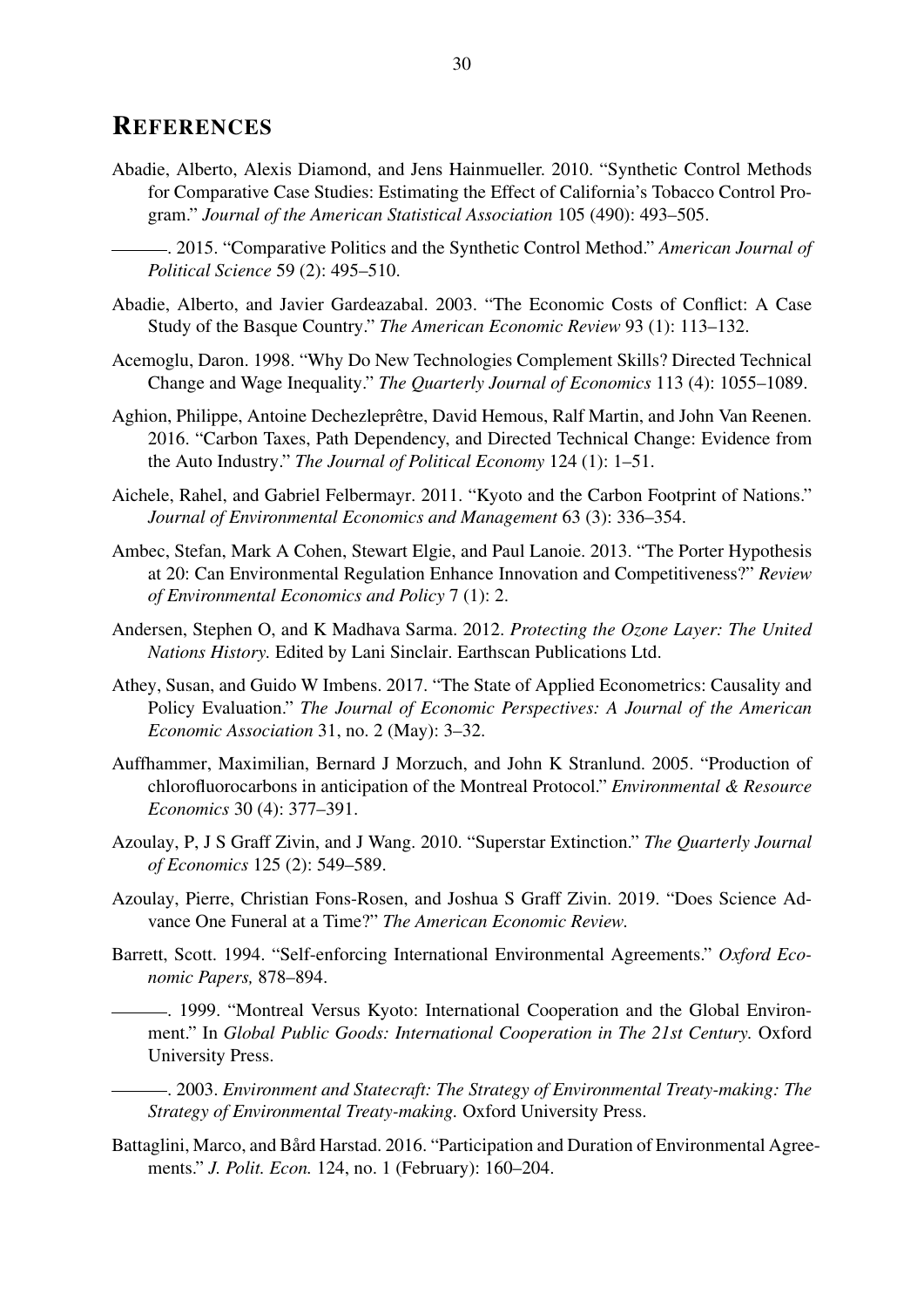## **REFERENCES**

- <span id="page-31-12"></span>Abadie, Alberto, Alexis Diamond, and Jens Hainmueller. 2010. "Synthetic Control Methods for Comparative Case Studies: Estimating the Effect of California's Tobacco Control Program." *Journal of the American Statistical Association* 105 (490): 493–505.
	- . 2015. "Comparative Politics and the Synthetic Control Method." *American Journal of Political Science* 59 (2): 495–510.
- <span id="page-31-14"></span><span id="page-31-13"></span>Abadie, Alberto, and Javier Gardeazabal. 2003. "The Economic Costs of Conflict: A Case Study of the Basque Country." *The American Economic Review* 93 (1): 113–132.
- <span id="page-31-8"></span>Acemoglu, Daron. 1998. "Why Do New Technologies Complement Skills? Directed Technical Change and Wage Inequality." *The Quarterly Journal of Economics* 113 (4): 1055–1089.
- <span id="page-31-2"></span>Aghion, Philippe, Antoine Dechezleprêtre, David Hemous, Ralf Martin, and John Van Reenen. 2016. "Carbon Taxes, Path Dependency, and Directed Technical Change: Evidence from the Auto Industry." *The Journal of Political Economy* 124 (1): 1–51.
- <span id="page-31-3"></span>Aichele, Rahel, and Gabriel Felbermayr. 2011. "Kyoto and the Carbon Footprint of Nations." *Journal of Environmental Economics and Management* 63 (3): 336–354.
- <span id="page-31-9"></span>Ambec, Stefan, Mark A Cohen, Stewart Elgie, and Paul Lanoie. 2013. "The Porter Hypothesis at 20: Can Environmental Regulation Enhance Innovation and Competitiveness?" *Review of Environmental Economics and Policy* 7 (1): 2.
- <span id="page-31-7"></span>Andersen, Stephen O, and K Madhava Sarma. 2012. *Protecting the Ozone Layer: The United Nations History.* Edited by Lani Sinclair. Earthscan Publications Ltd.
- <span id="page-31-15"></span>Athey, Susan, and Guido W Imbens. 2017. "The State of Applied Econometrics: Causality and Policy Evaluation." *The Journal of Economic Perspectives: A Journal of the American Economic Association* 31, no. 2 (May): 3–32.
- <span id="page-31-5"></span>Auffhammer, Maximilian, Bernard J Morzuch, and John K Stranlund. 2005. "Production of chlorofluorocarbons in anticipation of the Montreal Protocol." *Environmental & Resource Economics* 30 (4): 377–391.
- <span id="page-31-10"></span>Azoulay, P, J S Graff Zivin, and J Wang. 2010. "Superstar Extinction." *The Quarterly Journal of Economics* 125 (2): 549–589.
- <span id="page-31-11"></span>Azoulay, Pierre, Christian Fons-Rosen, and Joshua S Graff Zivin. 2019. "Does Science Advance One Funeral at a Time?" *The American Economic Review.*
- <span id="page-31-1"></span>Barrett, Scott. 1994. "Self-enforcing International Environmental Agreements." *Oxford Economic Papers,* 878–894.
- <span id="page-31-0"></span>. 1999. "Montreal Versus Kyoto: International Cooperation and the Global Environment." In *Global Public Goods: International Cooperation in The 21st Century.* Oxford University Press.
- <span id="page-31-6"></span>. 2003. *Environment and Statecraft: The Strategy of Environmental Treaty-making: The Strategy of Environmental Treaty-making.* Oxford University Press.
- <span id="page-31-4"></span>Battaglini, Marco, and Bård Harstad. 2016. "Participation and Duration of Environmental Agreements." *J. Polit. Econ.* 124, no. 1 (February): 160–204.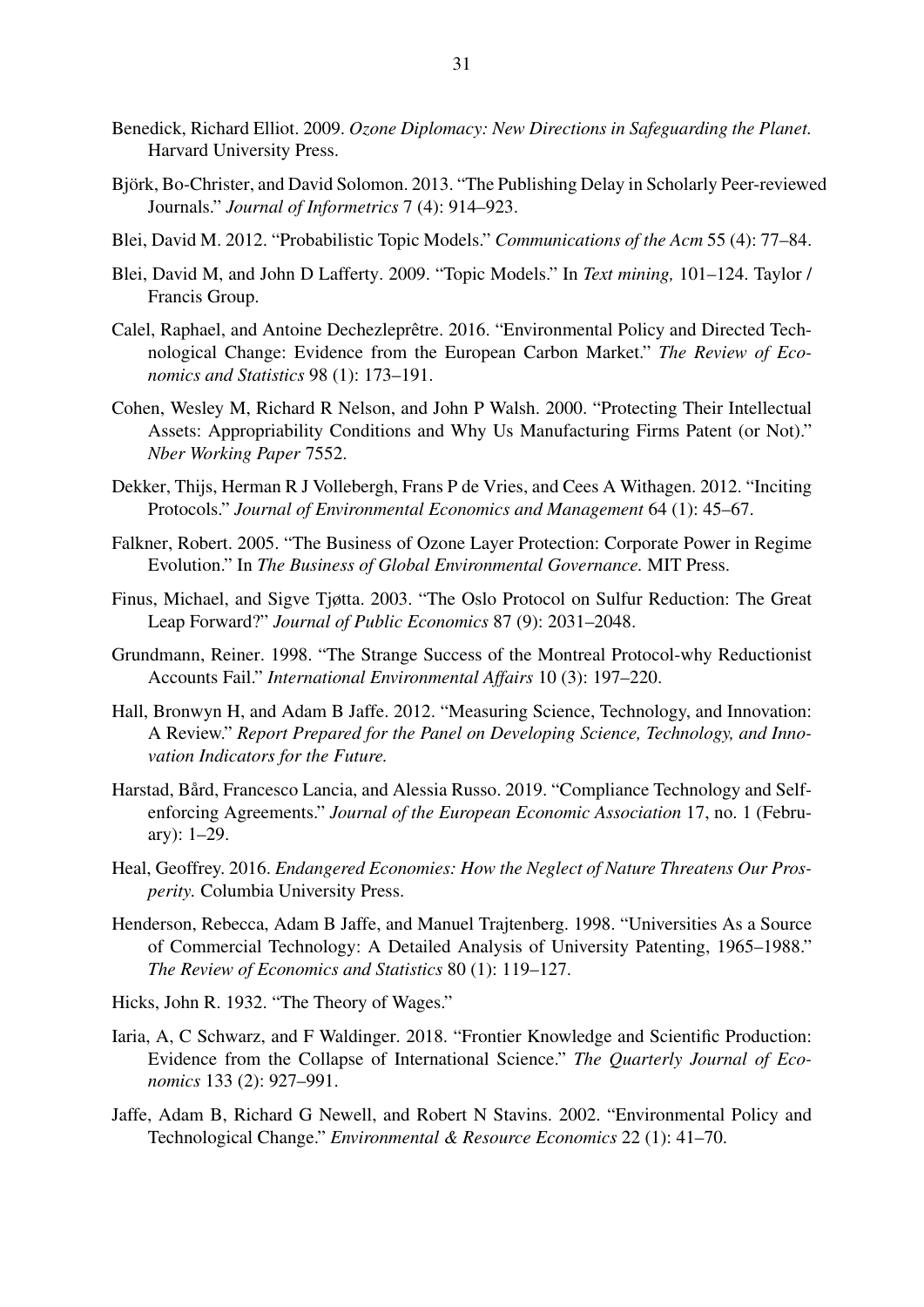- <span id="page-32-1"></span>Benedick, Richard Elliot. 2009. *Ozone Diplomacy: New Directions in Safeguarding the Planet.* Harvard University Press.
- <span id="page-32-15"></span>Björk, Bo-Christer, and David Solomon. 2013. "The Publishing Delay in Scholarly Peer-reviewed Journals." *Journal of Informetrics* 7 (4): 914–923.
- <span id="page-32-13"></span>Blei, David M. 2012. "Probabilistic Topic Models." *Communications of the Acm* 55 (4): 77–84.
- <span id="page-32-14"></span>Blei, David M, and John D Lafferty. 2009. "Topic Models." In *Text mining,* 101–124. Taylor / Francis Group.
- <span id="page-32-3"></span>Calel, Raphael, and Antoine Dechezleprêtre. 2016. "Environmental Policy and Directed Technological Change: Evidence from the European Carbon Market." *The Review of Economics and Statistics* 98 (1): 173–191.
- <span id="page-32-9"></span>Cohen, Wesley M, Richard R Nelson, and John P Walsh. 2000. "Protecting Their Intellectual Assets: Appropriability Conditions and Why Us Manufacturing Firms Patent (or Not)." *Nber Working Paper* 7552.
- <span id="page-32-8"></span>Dekker, Thijs, Herman R J Vollebergh, Frans P de Vries, and Cees A Withagen. 2012. "Inciting Protocols." *Journal of Environmental Economics and Management* 64 (1): 45–67.
- <span id="page-32-6"></span>Falkner, Robert. 2005. "The Business of Ozone Layer Protection: Corporate Power in Regime Evolution." In *The Business of Global Environmental Governance.* MIT Press.
- <span id="page-32-4"></span>Finus, Michael, and Sigve Tjøtta. 2003. "The Oslo Protocol on Sulfur Reduction: The Great Leap Forward?" *Journal of Public Economics* 87 (9): 2031–2048.
- <span id="page-32-16"></span>Grundmann, Reiner. 1998. "The Strange Success of the Montreal Protocol-why Reductionist Accounts Fail." *International Environmental Affairs* 10 (3): 197–220.
- <span id="page-32-10"></span>Hall, Bronwyn H, and Adam B Jaffe. 2012. "Measuring Science, Technology, and Innovation: A Review." *Report Prepared for the Panel on Developing Science, Technology, and Innovation Indicators for the Future.*
- <span id="page-32-5"></span>Harstad, Bård, Francesco Lancia, and Alessia Russo. 2019. "Compliance Technology and Selfenforcing Agreements." *Journal of the European Economic Association* 17, no. 1 (February): 1–29.
- <span id="page-32-0"></span>Heal, Geoffrey. 2016. *Endangered Economies: How the Neglect of Nature Threatens Our Prosperity.* Columbia University Press.
- <span id="page-32-11"></span>Henderson, Rebecca, Adam B Jaffe, and Manuel Trajtenberg. 1998. "Universities As a Source of Commercial Technology: A Detailed Analysis of University Patenting, 1965–1988." *The Review of Economics and Statistics* 80 (1): 119–127.
- <span id="page-32-7"></span>Hicks, John R. 1932. "The Theory of Wages."
- <span id="page-32-12"></span>Iaria, A, C Schwarz, and F Waldinger. 2018. "Frontier Knowledge and Scientific Production: Evidence from the Collapse of International Science." *The Quarterly Journal of Economics* 133 (2): 927–991.
- <span id="page-32-2"></span>Jaffe, Adam B, Richard G Newell, and Robert N Stavins. 2002. "Environmental Policy and Technological Change." *Environmental & Resource Economics* 22 (1): 41–70.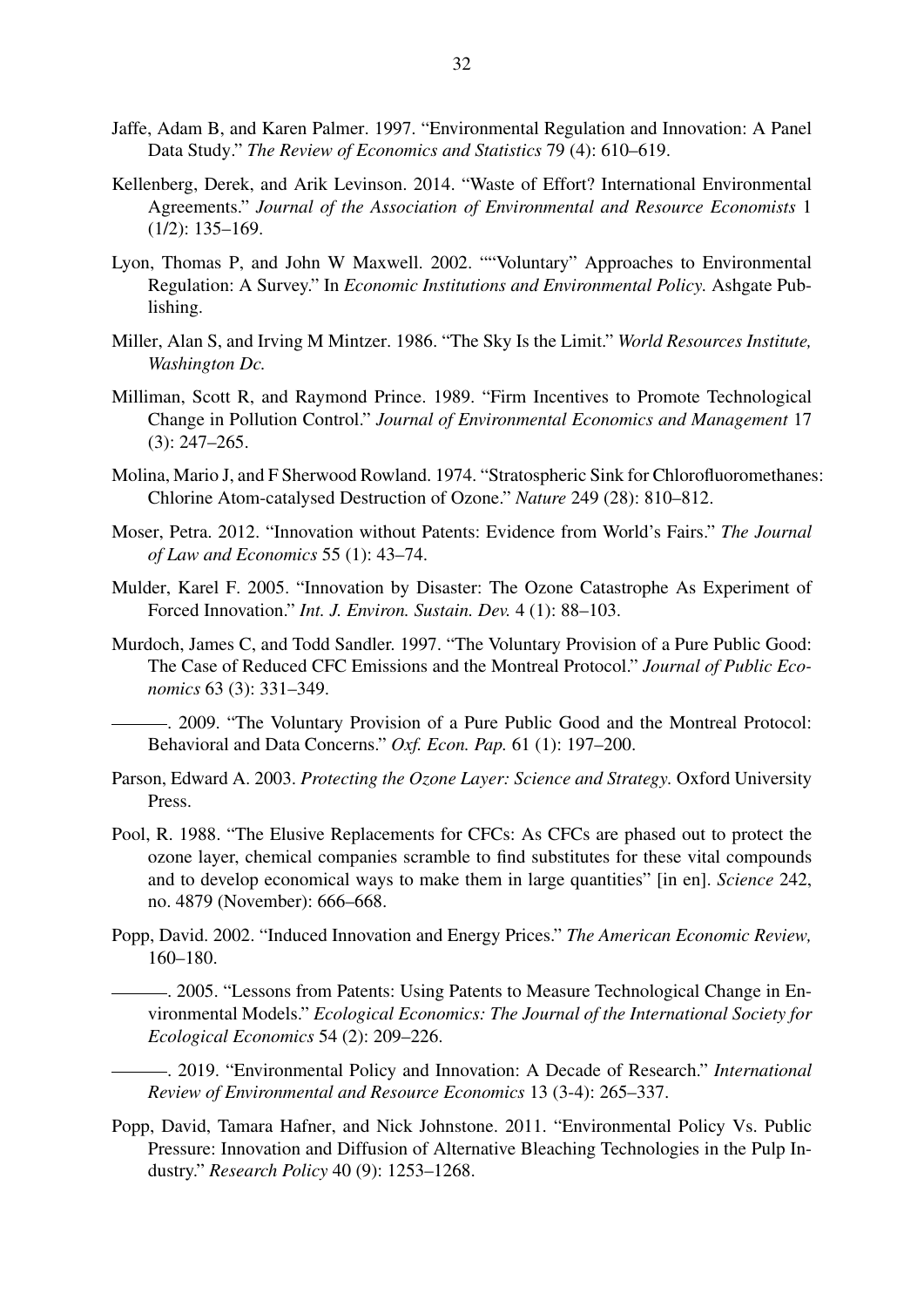- <span id="page-33-4"></span>Jaffe, Adam B, and Karen Palmer. 1997. "Environmental Regulation and Innovation: A Panel Data Study." *The Review of Economics and Statistics* 79 (4): 610–619.
- <span id="page-33-6"></span>Kellenberg, Derek, and Arik Levinson. 2014. "Waste of Effort? International Environmental Agreements." *Journal of the Association of Environmental and Resource Economists* 1 (1/2): 135–169.
- <span id="page-33-13"></span>Lyon, Thomas P, and John W Maxwell. 2002. ""Voluntary" Approaches to Environmental Regulation: A Survey." In *Economic Institutions and Environmental Policy.* Ashgate Publishing.
- <span id="page-33-10"></span>Miller, Alan S, and Irving M Mintzer. 1986. "The Sky Is the Limit." *World Resources Institute, Washington Dc.*
- <span id="page-33-5"></span>Milliman, Scott R, and Raymond Prince. 1989. "Firm Incentives to Promote Technological Change in Pollution Control." *Journal of Environmental Economics and Management* 17 (3): 247–265.
- <span id="page-33-9"></span>Molina, Mario J, and F Sherwood Rowland. 1974. "Stratospheric Sink for Chlorofluoromethanes: Chlorine Atom-catalysed Destruction of Ozone." *Nature* 249 (28): 810–812.
- <span id="page-33-12"></span>Moser, Petra. 2012. "Innovation without Patents: Evidence from World's Fairs." *The Journal of Law and Economics* 55 (1): 43–74.
- <span id="page-33-8"></span>Mulder, Karel F. 2005. "Innovation by Disaster: The Ozone Catastrophe As Experiment of Forced Innovation." *Int. J. Environ. Sustain. Dev.* 4 (1): 88–103.
- <span id="page-33-15"></span>Murdoch, James C, and Todd Sandler. 1997. "The Voluntary Provision of a Pure Public Good: The Case of Reduced CFC Emissions and the Montreal Protocol." *Journal of Public Economics* 63 (3): 331–349.

<span id="page-33-7"></span>. 2009. "The Voluntary Provision of a Pure Public Good and the Montreal Protocol: Behavioral and Data Concerns." *Oxf. Econ. Pap.* 61 (1): 197–200.

- <span id="page-33-1"></span>Parson, Edward A. 2003. *Protecting the Ozone Layer: Science and Strategy.* Oxford University Press.
- <span id="page-33-2"></span>Pool, R. 1988. "The Elusive Replacements for CFCs: As CFCs are phased out to protect the ozone layer, chemical companies scramble to find substitutes for these vital compounds and to develop economical ways to make them in large quantities" [in en]. *Science* 242, no. 4879 (November): 666–668.
- <span id="page-33-0"></span>Popp, David. 2002. "Induced Innovation and Energy Prices." *The American Economic Review,* 160–180.

<span id="page-33-11"></span>. 2005. "Lessons from Patents: Using Patents to Measure Technological Change in Environmental Models." *Ecological Economics: The Journal of the International Society for Ecological Economics* 54 (2): 209–226.

<span id="page-33-3"></span>. 2019. "Environmental Policy and Innovation: A Decade of Research." *International Review of Environmental and Resource Economics* 13 (3-4): 265–337.

<span id="page-33-14"></span>Popp, David, Tamara Hafner, and Nick Johnstone. 2011. "Environmental Policy Vs. Public Pressure: Innovation and Diffusion of Alternative Bleaching Technologies in the Pulp Industry." *Research Policy* 40 (9): 1253–1268.